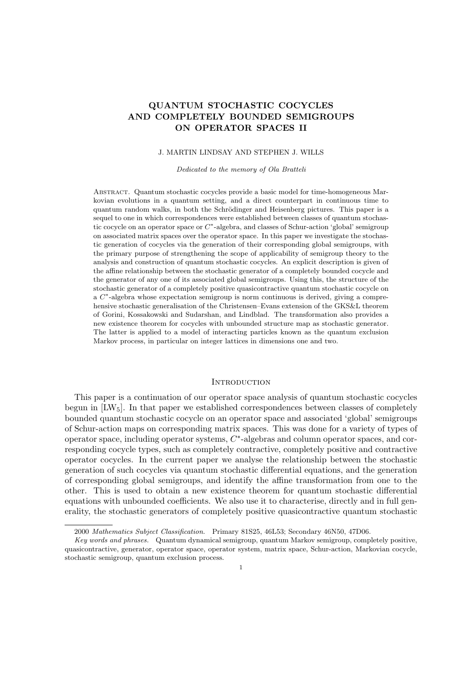# QUANTUM STOCHASTIC COCYCLES AND COMPLETELY BOUNDED SEMIGROUPS ON OPERATOR SPACES II

### J. MARTIN LINDSAY AND STEPHEN J. WILLS

Dedicated to the memory of Ola Bratteli

Abstract. Quantum stochastic cocycles provide a basic model for time-homogeneous Markovian evolutions in a quantum setting, and a direct counterpart in continuous time to quantum random walks, in both the Schrödinger and Heisenberg pictures. This paper is a sequel to one in which correspondences were established between classes of quantum stochastic cocycle on an operator space or  $C^*$ -algebra, and classes of Schur-action 'global' semigroup on associated matrix spaces over the operator space. In this paper we investigate the stochastic generation of cocycles via the generation of their corresponding global semigroups, with the primary purpose of strengthening the scope of applicability of semigroup theory to the analysis and construction of quantum stochastic cocycles. An explicit description is given of the affine relationship between the stochastic generator of a completely bounded cocycle and the generator of any one of its associated global semigroups. Using this, the structure of the stochastic generator of a completely positive quasicontractive quantum stochastic cocycle on a C<sup>\*</sup>-algebra whose expectation semigroup is norm continuous is derived, giving a comprehensive stochastic generalisation of the Christensen–Evans extension of the GKS&L theorem of Gorini, Kossakowski and Sudarshan, and Lindblad. The transformation also provides a new existence theorem for cocycles with unbounded structure map as stochastic generator. The latter is applied to a model of interacting particles known as the quantum exclusion Markov process, in particular on integer lattices in dimensions one and two.

# **INTRODUCTION**

This paper is a continuation of our operator space analysis of quantum stochastic cocycles begun in  $[LW_5]$ . In that paper we established correspondences between classes of completely bounded quantum stochastic cocycle on an operator space and associated 'global' semigroups of Schur-action maps on corresponding matrix spaces. This was done for a variety of types of operator space, including operator systems,  $C^*$ -algebras and column operator spaces, and corresponding cocycle types, such as completely contractive, completely positive and contractive operator cocycles. In the current paper we analyse the relationship between the stochastic generation of such cocycles via quantum stochastic differential equations, and the generation of corresponding global semigroups, and identify the affine transformation from one to the other. This is used to obtain a new existence theorem for quantum stochastic differential equations with unbounded coefficients. We also use it to characterise, directly and in full generality, the stochastic generators of completely positive quasicontractive quantum stochastic

<sup>2000</sup> Mathematics Subject Classification. Primary 81S25, 46L53; Secondary 46N50, 47D06.

Key words and phrases. Quantum dynamical semigroup, quantum Markov semigroup, completely positive, quasicontractive, generator, operator space, operator system, matrix space, Schur-action, Markovian cocycle, stochastic semigroup, quantum exclusion process.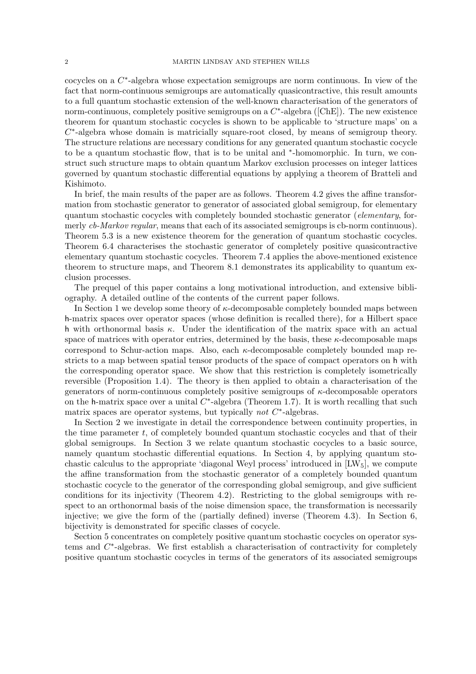cocycles on a  $C^*$ -algebra whose expectation semigroups are norm continuous. In view of the fact that norm-continuous semigroups are automatically quasicontractive, this result amounts to a full quantum stochastic extension of the well-known characterisation of the generators of norm-continuous, completely positive semigroups on a  $C^*$ -algebra ([ChE]). The new existence theorem for quantum stochastic cocycles is shown to be applicable to 'structure maps' on a  $C^*$ -algebra whose domain is matricially square-root closed, by means of semigroup theory. The structure relations are necessary conditions for any generated quantum stochastic cocycle to be a quantum stochastic flow, that is to be unital and <sup>∗</sup> -homomorphic. In turn, we construct such structure maps to obtain quantum Markov exclusion processes on integer lattices governed by quantum stochastic differential equations by applying a theorem of Bratteli and Kishimoto.

In brief, the main results of the paper are as follows. Theorem 4.2 gives the affine transformation from stochastic generator to generator of associated global semigroup, for elementary quantum stochastic cocycles with completely bounded stochastic generator (elementary, formerly cb-Markov regular, means that each of its associated semigroups is cb-norm continuous). Theorem 5.3 is a new existence theorem for the generation of quantum stochastic cocycles. Theorem 6.4 characterises the stochastic generator of completely positive quasicontractive elementary quantum stochastic cocycles. Theorem 7.4 applies the above-mentioned existence theorem to structure maps, and Theorem 8.1 demonstrates its applicability to quantum exclusion processes.

The prequel of this paper contains a long motivational introduction, and extensive bibliography. A detailed outline of the contents of the current paper follows.

In Section 1 we develop some theory of  $\kappa$ -decomposable completely bounded maps between h-matrix spaces over operator spaces (whose definition is recalled there), for a Hilbert space h with orthonormal basis  $\kappa$ . Under the identification of the matrix space with an actual space of matrices with operator entries, determined by the basis, these  $\kappa$ -decomposable maps correspond to Schur-action maps. Also, each κ-decomposable completely bounded map restricts to a map between spatial tensor products of the space of compact operators on h with the corresponding operator space. We show that this restriction is completely isometrically reversible (Proposition 1.4). The theory is then applied to obtain a characterisation of the generators of norm-continuous completely positive semigroups of κ-decomposable operators on the h-matrix space over a unital  $C^*$ -algebra (Theorem 1.7). It is worth recalling that such matrix spaces are operator systems, but typically *not*  $C^*$ -algebras.

In Section 2 we investigate in detail the correspondence between continuity properties, in the time parameter  $t$ , of completely bounded quantum stochastic cocycles and that of their global semigroups. In Section 3 we relate quantum stochastic cocycles to a basic source, namely quantum stochastic differential equations. In Section 4, by applying quantum stochastic calculus to the appropriate 'diagonal Weyl process' introduced in  $\text{[LW}_5$ , we compute the affine transformation from the stochastic generator of a completely bounded quantum stochastic cocycle to the generator of the corresponding global semigroup, and give sufficient conditions for its injectivity (Theorem 4.2). Restricting to the global semigroups with respect to an orthonormal basis of the noise dimension space, the transformation is necessarily injective; we give the form of the (partially defined) inverse (Theorem 4.3). In Section 6, bijectivity is demonstrated for specific classes of cocycle.

Section 5 concentrates on completely positive quantum stochastic cocycles on operator systems and  $C^*$ -algebras. We first establish a characterisation of contractivity for completely positive quantum stochastic cocycles in terms of the generators of its associated semigroups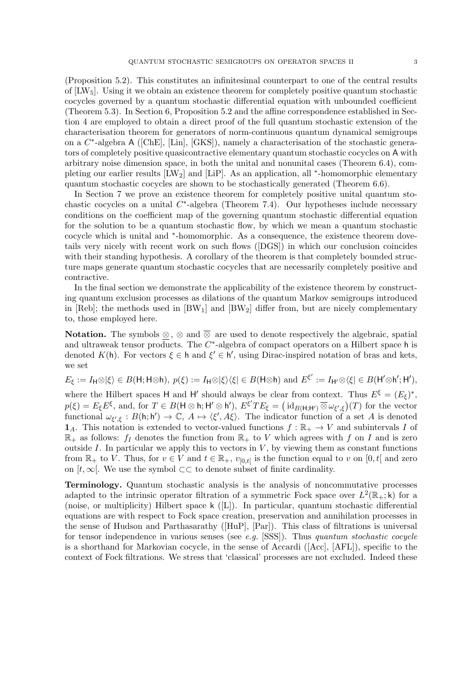(Proposition 5.2). This constitutes an infinitesimal counterpart to one of the central results of  $[{\rm LW}_5]$ . Using it we obtain an existence theorem for completely positive quantum stochastic cocycles governed by a quantum stochastic differential equation with unbounded coefficient (Theorem 5.3). In Section 6, Proposition 5.2 and the affine correspondence established in Section 4 are employed to obtain a direct proof of the full quantum stochastic extension of the characterisation theorem for generators of norm-continuous quantum dynamical semigroups on a C<sup>\*</sup>-algebra A ([ChE], [Lin], [GKS]), namely a characterisation of the stochastic generators of completely positive quasicontractive elementary quantum stochastic cocycles on A with arbitrary noise dimension space, in both the unital and nonunital cases (Theorem 6.4), completing our earlier results [LW<sub>2</sub>] and [LiP]. As an application, all <sup>\*</sup>-homomorphic elementary quantum stochastic cocycles are shown to be stochastically generated (Theorem 6.6).

In Section 7 we prove an existence theorem for completely positive unital quantum stochastic cocycles on a unital  $C^*$ -algebra (Theorem 7.4). Our hypotheses include necessary conditions on the coefficient map of the governing quantum stochastic differential equation for the solution to be a quantum stochastic flow, by which we mean a quantum stochastic cocycle which is unital and <sup>∗</sup> -homomorphic. As a consequence, the existence theorem dovetails very nicely with recent work on such flows ([DGS]) in which our conclusion coincides with their standing hypothesis. A corollary of the theorem is that completely bounded structure maps generate quantum stochastic cocycles that are necessarily completely positive and contractive.

In the final section we demonstrate the applicability of the existence theorem by constructing quantum exclusion processes as dilations of the quantum Markov semigroups introduced in [Reb]; the methods used in  $[BW_1]$  and  $[BW_2]$  differ from, but are nicely complementary to, those employed here.

Notation. The symbols ⊗, ⊗ and ⊗ are used to denote respectively the algebraic, spatial and ultraweak tensor products. The  $C^*$ -algebra of compact operators on a Hilbert space h is denoted K(h). For vectors  $\xi \in \mathsf{h}$  and  $\xi' \in \mathsf{h}'$ , using Dirac-inspired notation of bras and kets, we set

$$
E_{\xi} := I_{\mathsf{H}} \otimes |\xi\rangle \in B(\mathsf{H}; \mathsf{H} \otimes \mathsf{h}), p(\xi) := I_{\mathsf{H}} \otimes |\xi\rangle\langle\xi| \in B(\mathsf{H} \otimes \mathsf{h})
$$
 and  $E^{\xi'} := I_{\mathsf{H}'} \otimes \langle\xi| \in B(\mathsf{H}' \otimes \mathsf{h}'; \mathsf{H}'),$  where the Hilbert spaces  $\mathsf{H}$  and  $\mathsf{H}'$  should always be clear from context. Thus  $E^{\xi} = (E_{\xi})^*$ ,  $p(\xi) = E_{\xi}E^{\xi}$ , and, for  $T \in B(\mathsf{H} \otimes \mathsf{h}; \mathsf{H}' \otimes \mathsf{h}'), E^{\xi'}TE_{\xi} = (\mathrm{id}_{B(\mathsf{H}; \mathsf{H}')}\otimes \omega_{\xi',\xi})(T)$  for the vector functional  $\omega_{\xi',\xi} : B(\mathsf{h}; \mathsf{h}') \to \mathbb{C}, A \mapsto \langle\xi', A\xi\rangle$ . The indicator function of a set  $A$  is denoted  $\mathbf{1}_A$ . This notation is extended to vector-valued functions  $f : \mathbb{R}_+ \to V$  and subintervals  $I$  of  $\mathbb{R}_+$  as follows:  $f_I$  denotes the function from  $\mathbb{R}_+$  to  $V$  which agrees with  $f$  on  $I$  and is zero outside  $I$ . In particular we apply this to vectors in  $V$ , by viewing them as constant functions from  $\mathbb{R}_+$  to  $V$ . Thus, for  $v \in V$  and  $t \in \mathbb{R}_+$ ,  $v_{[0,t]}$  is the function equal to  $v$  on  $[0,t]$  and zero on  $[t, \infty]$ . We use the symbol  $\subset\subset$  to denote subset of finite cardinality.

Terminology. Quantum stochastic analysis is the analysis of noncommutative processes adapted to the intrinsic operator filtration of a symmetric Fock space over  $L^2(\mathbb{R}_+;\mathsf{k})$  for a (noise, or multiplicity) Hilbert space k ([L]). In particular, quantum stochastic differential equations are with respect to Fock space creation, preservation and annihilation processes in the sense of Hudson and Parthasarathy ([HuP], [Par]). This class of filtrations is universal for tensor independence in various senses (see e.g.  $[SSS]$ ). Thus quantum stochastic cocycle is a shorthand for Markovian cocycle, in the sense of Accardi ([Acc], [AFL]), specific to the context of Fock filtrations. We stress that 'classical' processes are not excluded. Indeed these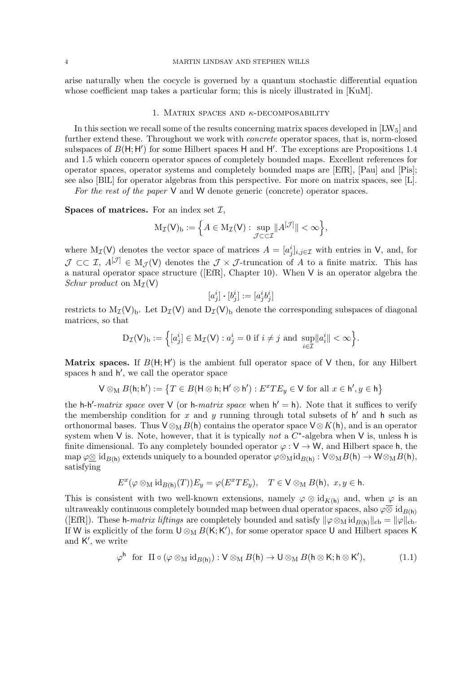arise naturally when the cocycle is governed by a quantum stochastic differential equation whose coefficient map takes a particular form; this is nicely illustrated in [KuM].

#### 1. MATRIX SPACES AND  $\kappa$ -DECOMPOSABILITY

In this section we recall some of the results concerning matrix spaces developed in  $[{\rm LW}_5]$  and further extend these. Throughout we work with *concrete* operator spaces, that is, norm-closed subspaces of  $B(H; H')$  for some Hilbert spaces H and H'. The exceptions are Propositions 1.4 and 1.5 which concern operator spaces of completely bounded maps. Excellent references for operator spaces, operator systems and completely bounded maps are [EfR], [Pau] and [Pis]; see also [BlL] for operator algebras from this perspective. For more on matrix spaces, see [L].

For the rest of the paper V and W denote generic (concrete) operator spaces.

**Spaces of matrices.** For an index set  $\mathcal{I}$ ,

$$
M_{\mathcal{I}}(\mathsf{V})_{\mathrm{b}} := \Big\{ A \in M_{\mathcal{I}}(\mathsf{V}) : \sup_{\mathcal{J} \subset \subset \mathcal{I}} \|A^{[\mathcal{J}]} \| < \infty \Big\},\,
$$

where M<sub>I</sub>(V) denotes the vector space of matrices  $A = [a_j^i]_{i,j \in \mathcal{I}}$  with entries in V, and, for  $\mathcal{J} \subset\subset \mathcal{I}, A^{[\mathcal{J}]} \in M_{\mathcal{J}}(V)$  denotes the  $\mathcal{J} \times \mathcal{J}$ -truncation of A to a finite matrix. This has a natural operator space structure ([EfR], Chapter 10). When V is an operator algebra the Schur product on  $M_{\mathcal{I}}(V)$ 

$$
[a_j^i] \boldsymbol{\cdot} [b_j^i] := [a_j^i b_j^i
$$

]

restricts to  $M_{\mathcal{I}}(V)_{b}$ . Let  $D_{\mathcal{I}}(V)$  and  $D_{\mathcal{I}}(V)_{b}$  denote the corresponding subspaces of diagonal matrices, so that

$$
\mathrm{D}_{\mathcal{I}}(\mathsf{V})_{\mathrm{b}} := \Big\{ [a_j^i] \in \mathrm{M}_{\mathcal{I}}(\mathsf{V}) : a_j^i = 0 \text{ if } i \neq j \text{ and } \sup_{i \in \mathcal{I}} \|a_i^i\| < \infty \Big\}.
$$

Matrix spaces. If  $B(H; H')$  is the ambient full operator space of V then, for any Hilbert spaces h and h', we call the operator space

$$
\mathsf{V}\otimes_{\mathsf{M}} B(\mathsf{h};\mathsf{h}'):=\big\{T\in B(\mathsf{H}\otimes\mathsf{h};\mathsf{H}'\otimes\mathsf{h}') : E^xTE_y\in\mathsf{V} \text{ for all } x\in\mathsf{h}', y\in\mathsf{h}\big\}
$$

the h-h'-matrix space over V (or h-matrix space when  $h' = h$ ). Note that it suffices to verify the membership condition for x and y running through total subsets of  $h'$  and  $h$  such as orthonormal bases. Thus  $V \otimes_M B(h)$  contains the operator space  $V \otimes K(h)$ , and is an operator system when V is. Note, however, that it is typically not a  $C^*$ -algebra when V is, unless h is finite dimensional. To any completely bounded operator  $\varphi : V \to W$ , and Hilbert space h, the  $\text{map } \varphi \underline{\otimes} \text{ id}_{B(\mathsf{h})} \text{ extends uniquely to a bounded operator } \varphi \underline{\otimes_M} \text{ id}_{B(\mathsf{h})} : \mathsf{V} \underline{\otimes_M} B(\mathsf{h}) \to \mathsf{W} \underline{\otimes_M} B(\mathsf{h}),$ satisfying

$$
E^x(\varphi \otimes_M \mathrm{id}_{B(\mathsf{h})}(T))E_y = \varphi(E^x TE_y), \quad T \in \mathsf{V} \otimes_M B(\mathsf{h}), \ x, y \in \mathsf{h}.
$$

This is consistent with two well-known extensions, namely  $\varphi \otimes id_{K(h)}$  and, when  $\varphi$  is an ultraweakly continuous completely bounded map between dual operator spaces, also  $\varphi \overline{\otimes} id_{B(h)}$ ([EfR]). These h-*matrix liftings* are completely bounded and satisfy  $\|\varphi \otimes_M id_{B(h)}\|_{cb} = \|\varphi\|_{cb}$ . If W is explicitly of the form  $\mathsf{U} \otimes_{\mathsf{M}} B(\mathsf{K}; \mathsf{K}')$ , for some operator space U and Hilbert spaces K and  $K'$ , we write

$$
\varphi^{\mathsf{h}} \ \ \text{for} \ \ \Pi \circ (\varphi \otimes_{\mathsf{M}} \mathrm{id}_{B(\mathsf{h})}) : \mathsf{V} \otimes_{\mathsf{M}} B(\mathsf{h}) \to \mathsf{U} \otimes_{\mathsf{M}} B(\mathsf{h} \otimes \mathsf{K}; \mathsf{h} \otimes \mathsf{K}'), \tag{1.1}
$$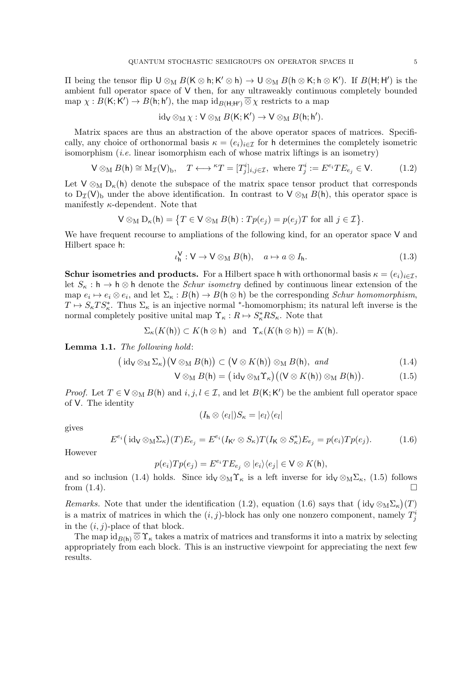II being the tensor flip  $\mathsf{U} \otimes_{\mathsf{M}} B(\mathsf{K} \otimes \mathsf{h}; \mathsf{K'} \otimes \mathsf{h}) \to \mathsf{U} \otimes_{\mathsf{M}} B(\mathsf{h} \otimes \mathsf{K}; \mathsf{h} \otimes \mathsf{K'})$ . If  $B(\mathsf{H}; \mathsf{H'})$  is the ambient full operator space of V then, for any ultraweakly continuous completely bounded map  $\chi: B(K; K') \to B(\mathsf{h}; \mathsf{h}'),$  the map  $\mathrm{id}_{B(\mathsf{H}; \mathsf{H}')}\otimes \chi$  restricts to a map

$$
\operatorname{id}_V\otimes_M \chi: V\otimes_M B({\sf K};{\sf K}')\to V\otimes_M B({\sf h};{\sf h}').
$$

Matrix spaces are thus an abstraction of the above operator spaces of matrices. Specifically, any choice of orthonormal basis  $\kappa = (e_i)_{i \in \mathcal{I}}$  for h determines the completely isometric isomorphism  $(i.e.$  linear isomorphism each of whose matrix liftings is an isometry)

$$
\mathsf{V} \otimes_{\mathsf{M}} B(\mathsf{h}) \cong \mathsf{M}_{\mathcal{I}}(\mathsf{V})_{\mathsf{b}}, \quad T \longleftrightarrow {}^{\kappa}T = [T_j^i]_{i,j \in \mathcal{I}}, \text{ where } T_j^i := E^{e_i} T E_{e_j} \in \mathsf{V}. \tag{1.2}
$$

Let  $V \otimes_M D_{\kappa}(h)$  denote the subspace of the matrix space tensor product that corresponds to  $D_{\mathcal{I}}(V)$ <sub>b</sub> under the above identification. In contrast to  $V \otimes_M B(h)$ , this operator space is manifestly  $\kappa$ -dependent. Note that

$$
\mathsf{V} \otimes_{\mathrm{M}} \mathrm{D}_{\kappa}(\mathsf{h}) = \big\{ T \in \mathsf{V} \otimes_{\mathrm{M}} B(\mathsf{h}) : T p(e_j) = p(e_j) T \text{ for all } j \in \mathcal{I} \big\}.
$$

We have frequent recourse to ampliations of the following kind, for an operator space V and Hilbert space h:

$$
\iota_{\mathsf{h}}^{\mathsf{V}} : \mathsf{V} \to \mathsf{V} \otimes_{\mathsf{M}} B(\mathsf{h}), \quad a \mapsto a \otimes I_{\mathsf{h}}.\tag{1.3}
$$

**Schur isometries and products.** For a Hilbert space h with orthonormal basis  $\kappa = (e_i)_{i \in \mathcal{I}}$ , let  $S_{\kappa}: \mathsf{h} \to \mathsf{h} \otimes \mathsf{h}$  denote the *Schur isometry* defined by continuous linear extension of the map  $e_i \mapsto e_i \otimes e_i$ , and let  $\Sigma_{\kappa}: B(\mathsf{h}) \to B(\mathsf{h} \otimes \mathsf{h})$  be the corresponding *Schur homomorphism*,  $T \mapsto S_{\kappa}TS_{\kappa}^*$ . Thus  $\Sigma_{\kappa}$  is an injective normal \*-homomorphism; its natural left inverse is the normal completely positive unital map  $\Upsilon_{\kappa}: R \mapsto S_{\kappa}^* R S_{\kappa}$ . Note that

$$
\Sigma_{\kappa}(K(\mathsf{h})) \subset K(\mathsf{h} \otimes \mathsf{h}) \text{ and } \Upsilon_{\kappa}(K(\mathsf{h} \otimes \mathsf{h})) = K(\mathsf{h}).
$$

Lemma 1.1. The following hold:

$$
(\mathrm{id}_{\mathsf{V}} \otimes_{\mathrm{M}} \Sigma_{\kappa}) (\mathsf{V} \otimes_{\mathrm{M}} B(\mathsf{h})) \subset (\mathsf{V} \otimes K(\mathsf{h})) \otimes_{\mathrm{M}} B(\mathsf{h}), \ \text{and} \tag{1.4}
$$

$$
\mathsf{V} \otimes_{\mathsf{M}} B(\mathsf{h}) = (\mathrm{id}_{\mathsf{V}} \otimes_{\mathsf{M}} \Upsilon_{\kappa}) ((\mathsf{V} \otimes K(\mathsf{h})) \otimes_{\mathsf{M}} B(\mathsf{h})). \tag{1.5}
$$

*Proof.* Let  $T \in V \otimes_M B(\mathsf{h})$  and  $i, j, l \in \mathcal{I}$ , and let  $B(\mathsf{K}; \mathsf{K}')$  be the ambient full operator space of V. The identity

 $(I_h \otimes \langle e_l |) S_\kappa = |e_l \rangle \langle e_l |$ 

gives

$$
E^{e_i}(\mathrm{id}_{\mathsf{V}} \otimes_{\mathsf{M}} \Sigma_{\kappa})(T)E_{e_j} = E^{e_i}(I_{\mathsf{K}'} \otimes S_{\kappa})T(I_{\mathsf{K}} \otimes S_{\kappa}^*)E_{e_j} = p(e_i)Tp(e_j). \tag{1.6}
$$

However

$$
p(e_i)Tp(e_j) = E^{e_i}TE_{e_j} \otimes |e_i\rangle\langle e_j| \in \mathsf{V} \otimes K(\mathsf{h}),
$$

and so inclusion (1.4) holds. Since  $id_V \otimes_M \Upsilon_{\kappa}$  is a left inverse for  $id_V \otimes_M \Sigma_{\kappa}$ , (1.5) follows from  $(1.4)$ .

Remarks. Note that under the identification (1.2), equation (1.6) says that  $(\mathrm{id}_{\mathsf{V}} \otimes_{\mathsf{M}} \Sigma_{\kappa})(T)$ is a matrix of matrices in which the  $(i, j)$ -block has only one nonzero component, namely  $T_j^i$ in the  $(i, j)$ -place of that block.

The map  $\mathrm{id}_{B(h)} \otimes \Upsilon_{\kappa}$  takes a matrix of matrices and transforms it into a matrix by selecting appropriately from each block. This is an instructive viewpoint for appreciating the next few results.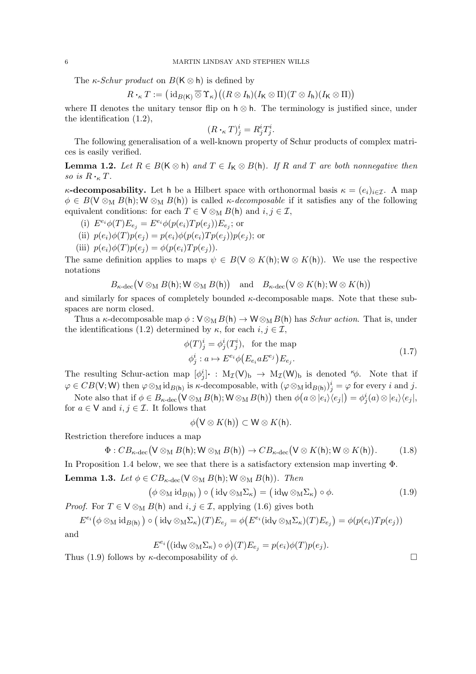The  $\kappa$ -*Schur product* on  $B(K \otimes h)$  is defined by

 $R\bm{\cdot}_{\kappa}T:=\big(\operatorname{id}_{B(\mathsf{K})}\mathbin{\overline{\otimes}} \Upsilon_\kappa\big)\big((R\otimes I_\mathsf{h})(I_\mathsf{K}\otimes \Pi)(T\otimes I_\mathsf{h})(I_\mathsf{K}\otimes \Pi)\big)$ 

where  $\Pi$  denotes the unitary tensor flip on  $h \otimes h$ . The terminology is justified since, under the identification (1.2),

$$
(R \cdot_{\kappa} T)^i_j = R^i_j T^i_j.
$$

The following generalisation of a well-known property of Schur products of complex matrices is easily verified.

**Lemma 1.2.** Let  $R \in B(K \otimes h)$  and  $T \in I_K \otimes B(h)$ . If R and T are both nonnegative then so is  $R \cdot_K T$ .

 $\kappa$ -decomposability. Let h be a Hilbert space with orthonormal basis  $\kappa = (e_i)_{i \in \mathcal{I}}$ . A map  $\phi \in B(\mathsf{V} \otimes_{\mathsf{M}} B(\mathsf{h}); \mathsf{W} \otimes_{\mathsf{M}} B(\mathsf{h}))$  is called *κ-decomposable* if it satisfies any of the following equivalent conditions: for each  $T \in V \otimes_M B(h)$  and  $i, j \in \mathcal{I}$ ,

- (i)  $E^{e_i} \phi(T) E_{e_j} = E^{e_i} \phi(p(e_i) T p(e_j)) E_{e_j}$ ; or
- (ii)  $p(e_i)\phi(T)p(e_i) = p(e_i)\phi(p(e_i)Tp(e_i))p(e_i);$  or
- (iii)  $p(e_i)\phi(T)p(e_j) = \phi(p(e_i)Tp(e_j)).$

The same definition applies to maps  $\psi \in B(\mathsf{V} \otimes K(\mathsf{h}); \mathsf{W} \otimes K(\mathsf{h}))$ . We use the respective notations

$$
B_{\kappa\text{-dec}}\big(\mathsf{V}\otimes_{\mathrm{M}} B(\mathsf{h}); \mathsf{W}\otimes_{\mathrm{M}} B(\mathsf{h})\big) \quad \text{and} \quad B_{\kappa\text{-dec}}\big(\mathsf{V}\otimes K(\mathsf{h}); \mathsf{W}\otimes K(\mathsf{h})\big)
$$

and similarly for spaces of completely bounded  $\kappa$ -decomposable maps. Note that these subspaces are norm closed.

Thus a  $\kappa$ -decomposable map  $\phi : V \otimes_M B(h) \to W \otimes_M B(h)$  has *Schur action*. That is, under the identifications (1.2) determined by  $\kappa$ , for each  $i, j \in \mathcal{I}$ ,

$$
\phi(T)^i_j = \phi^i_j(T^i_j), \text{ for the map}
$$
  

$$
\phi^i_j : a \mapsto E^{e_i} \phi(E_{e_i} a E^{e_j}) E_{e_j}.
$$
 (1.7)

The resulting Schur-action map  $[\phi_j^i] \cdot : M_{\mathcal{I}}(\mathsf{V})_b \to M_{\mathcal{I}}(\mathsf{W})_b$  is denoted  $\kappa \phi$ . Note that if  $\varphi \in CB(\mathsf{V}; \mathsf{W})$  then  $\varphi \otimes_{\mathbf{M}} id_{B(\mathsf{h})}$  is  $\kappa$ -decomposable, with  $(\varphi \otimes_{\mathbf{M}} id_{B(\mathsf{h})})^i_j = \varphi$  for every i and j.

Note also that if  $\phi \in B_{\kappa-\rm dec}(\mathsf{V}\otimes_{\mathrm{M}} B(\mathsf{h});\mathsf{W}\otimes_{\mathrm{M}} B(\mathsf{h}))$  then  $\phi\bigl(a\otimes |e_i\rangle\langle e_j|\bigr)=\phi^i_j(a)\otimes |e_i\rangle\langle e_j|,$ for  $a \in V$  and  $i, j \in \mathcal{I}$ . It follows that

$$
\phi(\mathsf{V} \otimes K(\mathsf{h})) \subset \mathsf{W} \otimes K(\mathsf{h}).
$$

Restriction therefore induces a map

$$
\Phi: CB_{\kappa\text{-dec}}(V \otimes_M B(\mathsf{h}); W \otimes_M B(\mathsf{h})) \to CB_{\kappa\text{-dec}}(V \otimes K(\mathsf{h}); W \otimes K(\mathsf{h})). \tag{1.8}
$$

In Proposition 1.4 below, we see that there is a satisfactory extension map inverting Φ.

**Lemma 1.3.** Let  $\phi \in CB_{\kappa-\text{dec}}(\mathsf{V} \otimes_{\mathsf{M}} B(\mathsf{h}); \mathsf{W} \otimes_{\mathsf{M}} B(\mathsf{h}))$ . Then

$$
(\phi \otimes_{\mathcal{M}} \mathrm{id}_{B(\mathsf{h})}) \circ (\mathrm{id}_{\mathsf{V}} \otimes_{\mathcal{M}} \Sigma_{\kappa}) = (\mathrm{id}_{\mathsf{W}} \otimes_{\mathcal{M}} \Sigma_{\kappa}) \circ \phi. \tag{1.9}
$$

*Proof.* For  $T \in V \otimes_M B(\mathsf{h})$  and  $i, j \in \mathcal{I}$ , applying (1.6) gives both

 $E^{e_i}(\phi \otimes_M \mathrm{id}_{B(\mathsf{h})}) \circ (\mathrm{id}_{\mathsf{V}} \otimes_M \Sigma_{\kappa})(T) E_{e_j} = \phi(E^{e_i}(\mathrm{id}_{\mathsf{V}} \otimes_M \Sigma_{\kappa})(T) E_{e_j}) = \phi(p(e_i) T p(e_j))$ 

and

$$
E^{e_i}((\mathrm{id}_\mathsf{W} \otimes_\mathrm{M} \Sigma_\kappa) \circ \phi)(T)E_{e_j} = p(e_i)\phi(T)p(e_j).
$$

Thus (1.9) follows by  $\kappa$ -decomposability of  $\phi$ .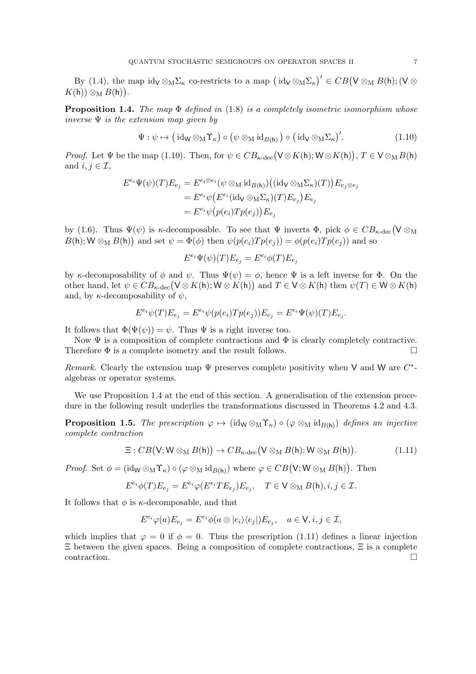By (1.4), the map  $\mathrm{id}_{\mathsf{V}} \otimes_{\mathsf{M}} \Sigma_{\kappa}$  co-restricts to a map  $(\mathrm{id}_{\mathsf{V}} \otimes_{\mathsf{M}} \Sigma_{\kappa})' \in CB(\mathsf{V} \otimes_{\mathsf{M}} B(\mathsf{h}); (\mathsf{V} \otimes_{\mathsf{M}} B(\mathsf{H}))$  $K(\mathsf{h})) \otimes_{\mathrm{M}} B(\mathsf{h})$ .

**Proposition 1.4.** The map  $\Phi$  defined in (1.8) is a completely isometric isomorphism whose inverse  $\Psi$  is the extension map given by

$$
\Psi : \psi \mapsto (\mathrm{id}_W \otimes_M \Upsilon_\kappa) \circ (\psi \otimes_M \mathrm{id}_{B(\mathsf{h})}) \circ (\mathrm{id}_V \otimes_M \Sigma_\kappa)'. \tag{1.10}
$$

*Proof.* Let  $\Psi$  be the map (1.10). Then, for  $\psi \in CB_{\kappa-\text{dec}}(V \otimes K(\mathsf{h}); W \otimes K(\mathsf{h})), T \in V \otimes_M B(\mathsf{h})$ and  $i, j \in \mathcal{I}$ ,

$$
E^{e_i}\Psi(\psi)(T)E_{e_j} = E^{e_i \otimes e_i}(\psi \otimes_M \mathrm{id}_{B(\mathsf{h})})((\mathrm{id}_{\mathsf{V}} \otimes_M \Sigma_{\kappa})(T))E_{e_j \otimes e_j}
$$
  
= 
$$
E^{e_i}\psi(E^{e_i}(\mathrm{id}_{\mathsf{V}} \otimes_M \Sigma_{\kappa})(T)E_{e_j})E_{e_j}
$$
  
= 
$$
E^{e_i}\psi(p(e_i)Tp(e_j))E_{e_j}
$$

by (1.6). Thus  $\Psi(\psi)$  is  $\kappa$ -decomposable. To see that  $\Psi$  inverts  $\Phi$ , pick  $\phi \in CB_{\kappa-\text{dec}}(V \otimes_M$  $B(\mathsf{h}); \mathsf{W} \otimes_{\mathsf{M}} B(\mathsf{h})$  and set  $\psi = \Phi(\phi)$  then  $\psi(p(e_i)Tp(e_j)) = \phi(p(e_i)Tp(e_j))$  and so

$$
E^{e_i}\Psi(\psi)(T)E_{e_j} = E^{e_i}\phi(T)E_{e_j}
$$

by κ-decomposability of  $\phi$  and  $\psi$ . Thus  $\Psi(\psi) = \phi$ , hence  $\Psi$  is a left inverse for  $\Phi$ . On the other hand, let  $\psi \in CB_{\kappa\text{-dec}}(\mathsf{V} \otimes K(\mathsf{h}); \mathsf{W} \otimes K(\mathsf{h}))$  and  $T \in \mathsf{V} \otimes K(\mathsf{h})$  then  $\psi(T) \in \mathsf{W} \otimes K(\mathsf{h})$ and, by  $\kappa$ -decomposability of  $\psi$ ,

$$
E^{e_i}\psi(T)E_{e_j} = E^{e_i}\psi(p(e_i)Tp(e_j))E_{e_j} = E^{e_i}\Psi(\psi)(T)E_{e_j}.
$$

It follows that  $\Phi(\Psi(\psi)) = \psi$ . Thus  $\Psi$  is a right inverse too.

Now  $\Psi$  is a composition of complete contractions and  $\Phi$  is clearly completely contractive. Therefore  $\Phi$  is a complete isometry and the result follows.

Remark. Clearly the extension map  $\Psi$  preserves complete positivity when V and W are  $C^*$ algebras or operator systems.

We use Proposition 1.4 at the end of this section. A generalisation of the extension procedure in the following result underlies the transformations discussed in Theorems 4.2 and 4.3.

**Proposition 1.5.** The prescription  $\varphi \mapsto (\mathrm{id}_W \otimes_M \Upsilon_{\kappa}) \circ (\varphi \otimes_M \mathrm{id}_{B(h)})$  defines an injective complete contraction

$$
\Xi: CB(\mathsf{V}; \mathsf{W} \otimes_{\mathrm{M}} B(\mathsf{h})) \to CB_{\kappa\text{-dec}}(\mathsf{V} \otimes_{\mathrm{M}} B(\mathsf{h}); \mathsf{W} \otimes_{\mathrm{M}} B(\mathsf{h})). \tag{1.11}
$$

*Proof.* Set  $\phi = (\text{id}_W \otimes_M \Upsilon_{\kappa}) \circ (\varphi \otimes_M \text{id}_{B(h)})$  where  $\varphi \in CB(V; W \otimes_M B(h))$ . Then

$$
E^{e_i}\phi(T)E_{e_j} = E^{e_i}\varphi(E^{e_i}TE_{e_j})E_{e_j}, \quad T \in V \otimes_M B(\mathsf{h}), i, j \in \mathcal{I}.
$$

It follows that  $\phi$  is  $\kappa$ -decomposable, and that

$$
E^{e_i}\varphi(a)E_{e_j}=E^{e_i}\phi(a\otimes|e_i\rangle\langle e_j|)E_{e_j},\quad a\in V, i,j\in\mathcal{I},
$$

which implies that  $\varphi = 0$  if  $\phi = 0$ . Thus the prescription (1.11) defines a linear injection Ξ between the given spaces. Being a composition of complete contractions, Ξ is a complete contraction. □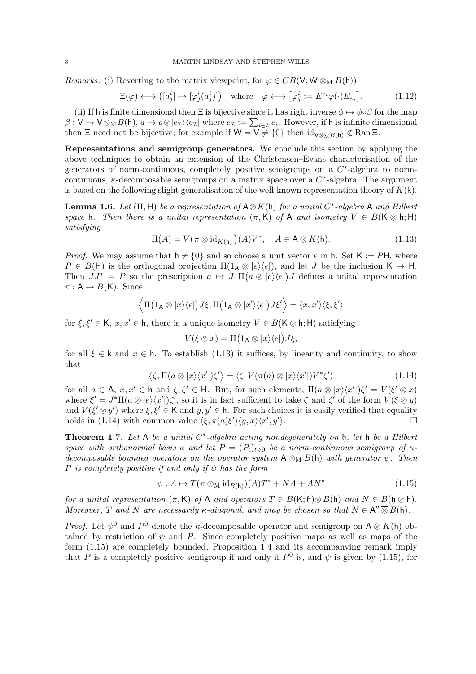*Remarks.* (i) Reverting to the matrix viewpoint, for  $\varphi \in CB(V; W \otimes_M B(h))$ 

$$
\Xi(\varphi) \longleftrightarrow ([a_j^i] \mapsto [\varphi_j^i(a_j^i)]) \quad \text{where} \quad \varphi \longleftrightarrow [\varphi_j^i := E^{e_i}\varphi(\cdot)E_{e_j}]. \tag{1.12}
$$

(ii) If h is finite dimensional then  $\Xi$  is bijective since it has right inverse  $\phi \mapsto \phi \circ \beta$  for the map  $\beta: V \to V \otimes_M B(\mathsf{h}), a \mapsto a \otimes |e_\mathcal{I}\rangle\langle e_\mathcal{I}|$  where  $e_\mathcal{I} := \sum_{i \in \mathcal{I}} e_i$ . However, if h is infinite dimensional then  $\Xi$  need not be bijective; for example if  $W = V \neq \{0\}$  then  $\mathrm{id}_{V \otimes_M B(h)} \notin \mathrm{Ran} \Xi$ .

Representations and semigroup generators. We conclude this section by applying the above techniques to obtain an extension of the Christensen–Evans characterisation of the generators of norm-continuous, completely positive semigroups on a  $C^*$ -algebra to normcontinuous,  $\kappa$ -decomposable semigroups on a matrix space over a  $C^*$ -algebra. The argument is based on the following slight generalisation of the well-known representation theory of  $K(k)$ .

**Lemma 1.6.** Let  $(\Pi, H)$  be a representation of  $A \otimes K(h)$  for a unital C<sup>\*</sup>-algebra A and Hilbert space h. Then there is a unital representation  $(\pi, K)$  of A and isometry  $V \in B(K \otimes h; H)$ satisfying

$$
\Pi(A) = V(\pi \otimes id_{K(\mathsf{h})})(A)V^*, \quad A \in \mathsf{A} \otimes K(\mathsf{h}).
$$
\n(1.13)

*Proof.* We may assume that  $h \neq \{0\}$  and so choose a unit vector e in h. Set K := PH, where  $P \in B(H)$  is the orthogonal projection  $\Pi(1_A \otimes |e\rangle\langle e|)$ , and let J be the inclusion  $K \to H$ . Then  $JJ^* = P$  so the prescription  $a \mapsto J^* \Pi(a \otimes |e\rangle\langle e|) J$  defines a unital representation  $\pi: A \rightarrow B(K)$ . Since

$$
\langle \Pi(1_{\mathsf{A}}\otimes|x\rangle\langle e|)J\xi,\Pi(1_{\mathsf{A}}\otimes|x'\rangle\langle e|)J\xi'\rangle=\langle x,x'\rangle\langle \xi,\xi'\rangle
$$

for  $\xi, \xi' \in K$ ,  $x, x' \in h$ , there is a unique isometry  $V \in B(K \otimes h; H)$  satisfying

$$
V(\xi \otimes x) = \Pi\big(1_{\mathsf{A}} \otimes |x\rangle\langle e| \big) J\xi,
$$

for all  $\xi \in k$  and  $x \in h$ . To establish (1.13) it suffices, by linearity and continuity, to show that

$$
\langle \zeta, \Pi(a \otimes |x\rangle\langle x'|)\zeta'\rangle = \langle \zeta, V(\pi(a) \otimes |x\rangle\langle x'|)V^*\zeta'\rangle \tag{1.14}
$$

for all  $a \in A$ ,  $x, x' \in h$  and  $\zeta, \zeta' \in H$ . But, for such elements,  $\Pi(a \otimes |x\rangle\langle x'|)\zeta' = V(\xi' \otimes x)$ where  $\xi' = J^* \Pi(a \otimes |e\rangle\langle x'|) \zeta'$ , so it is in fact sufficient to take  $\zeta$  and  $\zeta'$  of the form  $V(\xi \otimes y)$ and  $V(\xi' \otimes y')$  where  $\xi, \xi' \in \mathsf{K}$  and  $y, y' \in \mathsf{h}$ . For such choices it is easily verified that equality holds in (1.14) with common value  $\langle \xi, \pi(a)\xi' \rangle \langle y, x \rangle \langle x', y' \rangle$ ).  $\qquad \qquad \Box$ 

**Theorem 1.7.** Let A be a unital  $C^*$ -algebra acting nondegenerately on  $\mathfrak{h}$ , let  $\mathfrak{h}$  be a Hilbert space with orthonormal basis  $\kappa$  and let  $P = (P_t)_{t \geq 0}$  be a norm-continuous semigroup of  $\kappa$ decomposable bounded operators on the operator system  $A \otimes_M B(h)$  with generator  $\psi$ . Then P is completely positive if and only if  $\psi$  has the form

$$
\psi: A \mapsto T(\pi \otimes_{\mathcal{M}} \mathrm{id}_{B(\mathsf{h})})(A)T^* + NA + AN^* \tag{1.15}
$$

for a unital representation  $(\pi, K)$  of A and operators  $T \in B(K; \mathfrak{h}) \overline{\otimes} B(\mathfrak{h})$  and  $N \in B(\mathfrak{h} \otimes \mathfrak{h})$ . Moreover, T and N are necessarily  $\kappa$ -diagonal, and may be chosen so that  $N \in A'' \overline{\otimes} B(\mathsf{h})$ .

*Proof.* Let  $\psi^0$  and  $P^0$  denote the *κ*-decomposable operator and semigroup on  $A \otimes K(h)$  obtained by restriction of  $\psi$  and P. Since completely positive maps as well as maps of the form (1.15) are completely bounded, Proposition 1.4 and its accompanying remark imply that P is a completely positive semigroup if and only if  $P^0$  is, and  $\psi$  is given by (1.15), for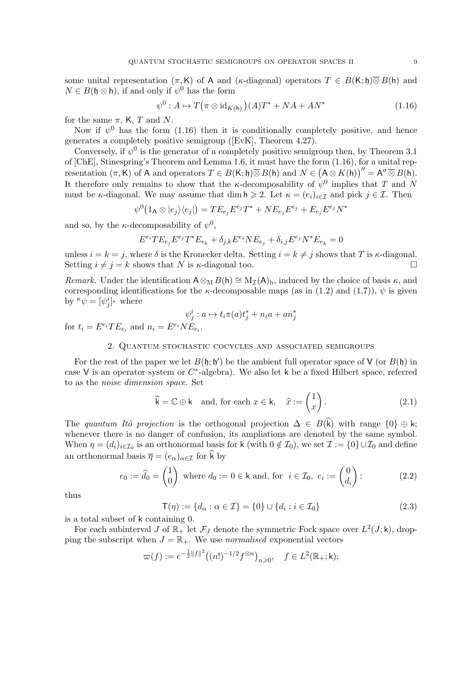some unital representation  $(\pi, K)$  of A and ( $\kappa$ -diagonal) operators  $T \in B(K; \mathfrak{h})\overline{\otimes}B(\mathfrak{h})$  and  $N \in B(\mathfrak{h} \otimes \mathfrak{h})$ , if and only if  $\psi^0$  has the form

$$
\psi^{0}: A \mapsto T(\pi \otimes id_{K(\mathsf{h})})(A)T^{*} + NA + AN^{*}
$$
\n(1.16)

for the same  $\pi$ , K, T and N.

Now if  $\psi^0$  has the form (1.16) then it is conditionally completely positive, and hence generates a completely positive semigroup ([EvK], Theorem 4.27).

Conversely, if  $\psi^0$  is the generator of a completely positive semigroup then, by Theorem 3.1 of [ChE], Stinespring's Theorem and Lemma 1.6, it must have the form (1.16), for a unital representation  $(\pi, K)$  of A and operators  $T \in B(K; \mathfrak{h}) \overline{\otimes} B(\mathfrak{h})$  and  $N \in (A \otimes K(\mathfrak{h}))'' = A'' \overline{\otimes} B(\mathfrak{h})$ . It therefore only remains to show that the *κ*-decomposability of  $\psi^0$  implies that T and N must be κ-diagonal. We may assume that dim  $h \geq 2$ . Let  $\kappa = (e_i)_{i \in \mathcal{I}}$  and pick  $j \in \mathcal{I}$ . Then

$$
\psi^0\big(1_{\mathsf{A}}\otimes |e_j\rangle\langle e_j|\big)=TE_{e_j}E^{e_j}T^*+NE_{e_j}E^{e_j}+E_{e_j}E^{e_j}N^*
$$

and so, by the  $\kappa$ -decomposability of  $\psi^0$ ,

$$
E^{e_i} T E_{e_j} E^{e_j} T^* E_{e_k} + \delta_{j,k} E^{e_i} N E_{e_j} + \delta_{i,j} E^{e_j} N^* E_{e_k} = 0
$$

unless  $i = k = j$ , where  $\delta$  is the Kronecker delta. Setting  $i = k \neq j$  shows that T is  $\kappa$ -diagonal. Setting  $i \neq j = k$  shows that N is  $\kappa$ -diagonal too.

Remark. Under the identification  $A \otimes_M B(h) \cong M_{\mathcal{I}}(A)$ , induced by the choice of basis  $\kappa$ , and corresponding identifications for the  $\kappa$ -decomposable maps (as in (1.2) and (1.7)),  $\psi$  is given by  $\kappa \psi = [\psi_j^i]$  where

$$
\psi_j^i : a \mapsto t_i \pi(a) t_j^* + n_i a + a n_j^*
$$

for  $t_i = E^{e_i} T E_{e_i}$  and  $n_i = E^{e_i} N E_{e_i}$ .

### 2. Quantum stochastic cocycles and associated semigroups

For the rest of the paper we let  $B(\mathfrak{h}; \mathfrak{h}')$  be the ambient full operator space of V (or  $B(\mathfrak{h})$  in case V is an operator system or  $C^*$ -algebra). We also let k be a fixed Hilbert space, referred to as the noise dimension space. Set

$$
\widehat{\mathbf{k}} = \mathbb{C} \oplus \mathbf{k} \quad \text{and, for each } x \in \mathbf{k}, \quad \widehat{x} := \begin{pmatrix} 1 \\ x \end{pmatrix}.
$$
 (2.1)

The quantum Itô projection is the orthogonal projection  $\Delta \in B(\hat{k})$  with range  $\{0\} \oplus k$ ; whenever there is no danger of confusion, its ampliations are denoted by the same symbol. When  $\eta = (d_i)_{i \in I_0}$  is an orthonormal basis for k (with  $0 \notin I_0$ ), we set  $\mathcal{I} := \{0\} \cup I_0$  and define an orthonormal basis  $\overline{\eta} = (e_{\alpha})_{\alpha \in \mathcal{I}}$  for k by

$$
e_0 := \widehat{d}_0 = \begin{pmatrix} 1 \\ 0 \end{pmatrix} \text{ where } d_0 := 0 \in \mathsf{k} \text{ and, for } i \in \mathcal{I}_0, e_i := \begin{pmatrix} 0 \\ d_i \end{pmatrix};\tag{2.2}
$$

thus

$$
\mathsf{T}(\eta) := \{ d_{\alpha} : \alpha \in \mathcal{I} \} = \{ 0 \} \cup \{ d_i : i \in \mathcal{I}_0 \}
$$
\n(2.3)

is a total subset of k containing 0.

For each subinterval J of  $\mathbb{R}_+$  let  $\mathcal{F}_J$  denote the symmetric Fock space over  $L^2(J; \mathsf{k})$ , dropping the subscript when  $J = \mathbb{R}_+$ . We use normalised exponential vectors

$$
\varpi(f) := e^{-\frac{1}{2}||f||^2} ((n!)^{-1/2} f^{\otimes n})_{n \geq 0}, \quad f \in L^2(\mathbb{R}_+; \mathsf{k});
$$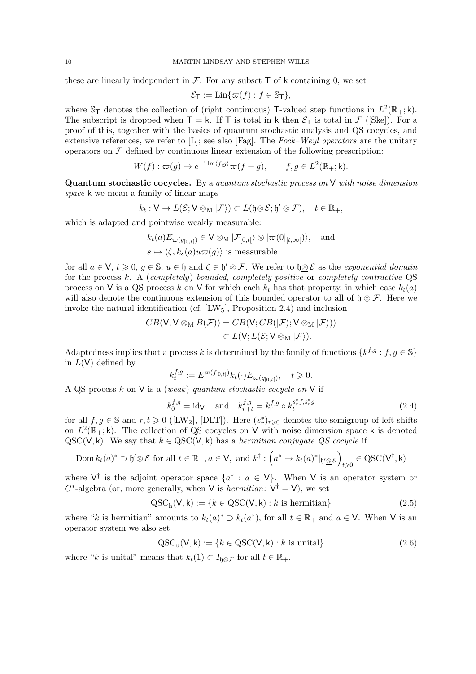these are linearly independent in  $\mathcal F$ . For any subset  $\mathsf T$  of k containing 0, we set

$$
\mathcal{E}_{\mathsf{T}} := \text{Lin}\{\varpi(f) : f \in \mathbb{S}_{\mathsf{T}}\},\
$$

where  $\mathbb{S}_{\mathsf{T}}$  denotes the collection of (right continuous) T-valued step functions in  $L^2(\mathbb{R}_+;\mathsf{k})$ . The subscript is dropped when  $T = k$ . If T is total in k then  $\mathcal{E}_T$  is total in F ([Ske]). For a proof of this, together with the basics of quantum stochastic analysis and QS cocycles, and extensive references, we refer to [L]; see also [Fag]. The Fock–Weyl operators are the unitary operators on  $\mathcal F$  defined by continuous linear extension of the following prescription:

$$
W(f) : \varpi(g) \mapsto e^{-i \operatorname{Im} \langle f, g \rangle} \varpi(f+g), \qquad f, g \in L^2(\mathbb{R}_+; \mathsf{k}).
$$

**Quantum stochastic cocycles.** By a quantum stochastic process on  $V$  with noise dimension space k we mean a family of linear maps

$$
k_t: V \to L(\mathcal{E}; V \otimes_M |\mathcal{F}) \subset L(\mathfrak{h} \underline{\otimes} \mathcal{E}; \mathfrak{h}' \otimes \mathcal{F}), \quad t \in \mathbb{R}_+,
$$

which is adapted and pointwise weakly measurable:

$$
k_t(a)E_{\varpi(g_{[0,t[})}\in V\otimes_M|\mathcal{F}_{[0,t[}\rangle\otimes|\varpi(0|_{[t,\infty[})\rangle,\text{ and }\\s\mapsto\langle\zeta,k_s(a)u\varpi(g)\rangle\text{ is measurable}
$$

for all  $a \in V$ ,  $t \geq 0$ ,  $g \in \mathbb{S}$ ,  $u \in \mathfrak{h}$  and  $\zeta \in \mathfrak{h}' \otimes \mathcal{F}$ . We refer to  $\mathfrak{h} \otimes \mathcal{E}$  as the exponential domain for the process  $k$ . A (completely) bounded, completely positive or completely contractive QS process on V is a QS process k on V for which each  $k_t$  has that property, in which case  $k_t(a)$ will also denote the continuous extension of this bounded operator to all of  $\mathfrak{h} \otimes \mathcal{F}$ . Here we invoke the natural identification (cf.  $[LW_5]$ , Proposition 2.4) and inclusion

$$
CB(\mathsf{V};\mathsf{V}\otimes_{\mathrm{M}} B(\mathcal{F}))=CB(\mathsf{V};CB(|\mathcal{F}\rangle;\mathsf{V}\otimes_{\mathrm{M}}|\mathcal{F}\rangle))\\ \subset L(\mathsf{V};L(\mathcal{E};\mathsf{V}\otimes_{\mathrm{M}}|\mathcal{F}\rangle).
$$

Adaptedness implies that a process k is determined by the family of functions  $\{k^{f,g}: f, g \in \mathbb{S}\}\$ in  $L(V)$  defined by

$$
k_t^{f,g} := E^{\varpi(f_{[0,t[}))} k_t(\cdot) E_{\varpi(g_{[0,t[})}, \quad t \ge 0.
$$

A QS process  $k$  on V is a (weak) quantum stochastic cocycle on V if

$$
k_0^{f,g} = \text{id}_{\mathsf{V}} \quad \text{and} \quad k_{r+t}^{f,g} = k_r^{f,g} \circ k_t^{s_r^* f, s_r^* g}
$$
 (2.4)

for all  $f, g \in \mathbb{S}$  and  $r, t \geq 0$  ([LW<sub>2</sub>], [DLT]). Here  $(s_r^*)_{r \geq 0}$  denotes the semigroup of left shifts on  $L^2(\mathbb{R}_+;\mathsf{k})$ . The collection of QS cocycles on V with noise dimension space k is denoted  $QSC(V, k)$ . We say that  $k \in QSC(V, k)$  has a hermitian conjugate QS cocycle if

$$
\text{Dom } k_t(a)^* \supset \mathfrak{h}' \underline{\otimes} \mathcal{E} \text{ for all } t \in \mathbb{R}_+, a \in \mathsf{V}, \text{ and } k^{\dagger} : \left(a^* \mapsto k_t(a)^* \vert_{\mathfrak{h}' \underline{\otimes} \mathcal{E}}\right)_{t \geq 0} \in \text{QSC}(\mathsf{V}^{\dagger}, k)
$$

where  $V^{\dagger}$  is the adjoint operator space  $\{a^* : a \in V\}$ . When V is an operator system or  $C^*$ -algebra (or, more generally, when V is *hermitian*:  $V^{\dagger} = V$ ), we set

$$
QSCh(V, k) := \{k \in QSC(V, k) : k \text{ is hermitian}\}\
$$
 (2.5)

where "k is hermitian" amounts to  $k_t(a)^* \supset k_t(a^*)$ , for all  $t \in \mathbb{R}_+$  and  $a \in V$ . When V is an operator system we also set

$$
\mathrm{QSC}_{\mathrm{u}}(\mathsf{V}, \mathsf{k}) := \{ k \in \mathrm{QSC}(\mathsf{V}, \mathsf{k}) : k \text{ is unital} \}
$$
\n
$$
(2.6)
$$

where "k is unital" means that  $k_t(1) \subset I_{\mathfrak{h} \otimes \mathcal{F}}$  for all  $t \in \mathbb{R}_+$ .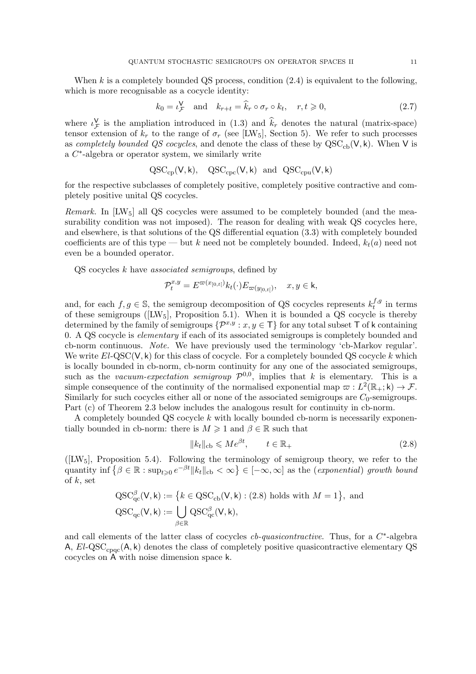When k is a completely bounded QS process, condition  $(2.4)$  is equivalent to the following, which is more recognisable as a cocycle identity:

$$
k_0 = \iota_{\mathcal{F}}^{\mathsf{V}} \quad \text{and} \quad k_{r+t} = \widehat{k}_r \circ \sigma_r \circ k_t, \quad r, t \geqslant 0,
$$
\n
$$
(2.7)
$$

where  $\iota_{\mathcal{F}}^{\mathbf{V}}$  is the ampliation introduced in (1.3) and  $\hat{k}_r$  denotes the natural (matrix-space) tensor extension of  $k_r$  to the range of  $\sigma_r$  (see [LW<sub>5</sub>], Section 5). We refer to such processes as completely bounded QS cocycles, and denote the class of these by  $QSC_{ch}(V, k)$ . When V is  $a C^*$ -algebra or operator system, we similarly write

$$
\mathrm{QSC}_{\mathrm{cp}}(V,k), \quad \mathrm{QSC}_{\mathrm{cpc}}(V,k) \ \mathrm{and} \ \ \mathrm{QSC}_{\mathrm{cpu}}(V,k)
$$

for the respective subclasses of completely positive, completely positive contractive and completely positive unital QS cocycles.

*Remark.* In  $[{\rm LW}_5]$  all QS cocycles were assumed to be completely bounded (and the measurability condition was not imposed). The reason for dealing with weak QS cocycles here, and elsewhere, is that solutions of the QS differential equation (3.3) with completely bounded coefficients are of this type — but k need not be completely bounded. Indeed,  $k_t(a)$  need not even be a bounded operator.

 $QS$  cocycles  $k$  have *associated semigroups*, defined by

$$
\mathcal{P}_t^{x,y} = E^{\varpi(x_{[0,t[})} k_t(\cdot) E_{\varpi(y_{[0,t[})}, \quad x, y \in \mathsf{k},
$$

and, for each  $f, g \in \mathbb{S}$ , the semigroup decomposition of QS cocycles represents  $k_t^{f,g}$  $t^{J,g}$  in terms of these semigroups ( $[{\rm LW}_5]$ , Proposition 5.1). When it is bounded a QS cocycle is thereby determined by the family of semigroups  $\{\mathcal{P}^{x,y}: x, y \in \mathsf{T}\}\$  for any total subset T of k containing 0. A QS cocycle is elementary if each of its associated semigroups is completely bounded and cb-norm continuous. Note. We have previously used the terminology 'cb-Markov regular'. We write  $El-QSC(V, k)$  for this class of cocycle. For a completely bounded QS cocycle k which is locally bounded in cb-norm, cb-norm continuity for any one of the associated semigroups, such as the vacuum-expectation semigroup  $\mathcal{P}^{0,0}$ , implies that k is elementary. This is a simple consequence of the continuity of the normalised exponential map  $\varpi : L^2(\mathbb{R}_+; \mathsf{k}) \to \mathcal{F}$ . Similarly for such cocycles either all or none of the associated semigroups are  $C_0$ -semigroups. Part (c) of Theorem 2.3 below includes the analogous result for continuity in cb-norm.

A completely bounded QS cocycle k with locally bounded cb-norm is necessarily exponentially bounded in cb-norm: there is  $M \geq 1$  and  $\beta \in \mathbb{R}$  such that

$$
||k_t||_{cb} \leqslant Me^{\beta t}, \qquad t \in \mathbb{R}_+ \tag{2.8}
$$

 $([LW_5]$ , Proposition 5.4). Following the terminology of semigroup theory, we refer to the quantity inf  $\{\beta \in \mathbb{R} : \sup_{t \geq 0} e^{-\beta t} ||k_t||_{cb} < \infty\} \in [-\infty, \infty]$  as the *(exponential) growth bound* of  $k$ , set

$$
QSC_{qc}^{\beta}(V,k) := \{k \in QSC_{cb}(V,k) : (2.8) \text{ holds with } M = 1\}, \text{ and}
$$
  

$$
QSC_{qc}(V,k) := \bigcup_{\beta \in \mathbb{R}} QSC_{qc}^{\beta}(V,k),
$$

and call elements of the latter class of cocycles  $cb$ -quasicontractive. Thus, for a  $C^*$ -algebra A,  $El-QSC<sub>cpc</sub>(A, k)$  denotes the class of completely positive quasicontractive elementary QS cocycles on A with noise dimension space k.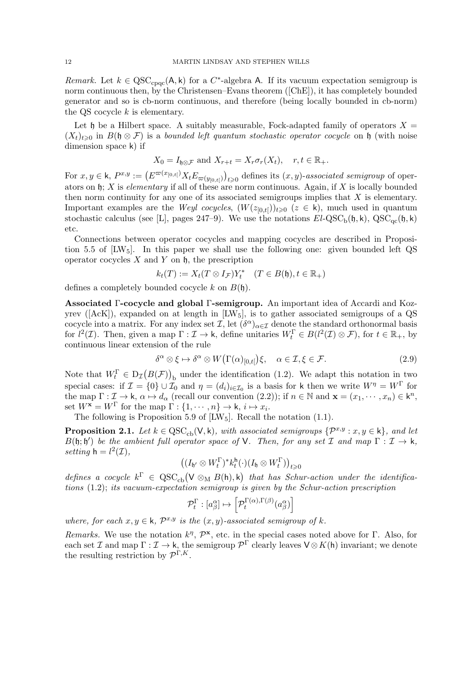Remark. Let  $k \in \mathrm{QSC}_{\mathrm{cpqc}}(\mathsf{A}, \mathsf{k})$  for a C<sup>\*</sup>-algebra A. If its vacuum expectation semigroup is norm continuous then, by the Christensen–Evans theorem ([ChE]), it has completely bounded generator and so is cb-norm continuous, and therefore (being locally bounded in cb-norm) the QS cocycle  $k$  is elementary.

Let h be a Hilbert space. A suitably measurable, Fock-adapted family of operators  $X =$  $(X_t)_{t>0}$  in  $B(\mathfrak{h} \otimes \mathcal{F})$  is a bounded left quantum stochastic operator cocycle on  $\mathfrak{h}$  (with noise dimension space k) if

$$
X_0 = I_{\mathfrak{h}\otimes\mathcal{F}}
$$
 and  $X_{r+t} = X_r \sigma_r(X_t)$ ,  $r, t \in \mathbb{R}_+$ .

For  $x, y \in \mathsf{k}$ ,  $P^{x,y} := \left( E^{\varpi(x_{[0,t[}))} X_t E_{\varpi(y_{[0,t[})} \right)_{t \geq 0}$  defines its  $(x, y)$ -associated semigroup of operators on  $\mathfrak{h}$ ; X is elementary if all of these are norm continuous. Again, if X is locally bounded then norm continuity for any one of its associated semigroups implies that  $X$  is elementary. Important examples are the *Weyl cocycles*,  $(W(z_{[0,t]}))_{t\geqslant0}$   $(z \in k)$ , much used in quantum stochastic calculus (see [L], pages 247–9). We use the notations  $El-QSC_b(\mathfrak{h}, k)$ ,  $QSC_{qc}(\mathfrak{h}, k)$ etc.

Connections between operator cocycles and mapping cocycles are described in Proposition 5.5 of  $[LW_5]$ . In this paper we shall use the following one: given bounded left QS operator cocycles  $X$  and  $Y$  on  $\mathfrak h$ , the prescription

$$
k_t(T) := X_t(T \otimes I_{\mathcal{F}})Y_t^* \quad (T \in B(\mathfrak{h}), t \in \mathbb{R}_+)
$$

defines a completely bounded cocycle k on  $B(h)$ .

Associated Γ-cocycle and global Γ-semigroup. An important idea of Accardi and Kozyrev ( $[ACK]$ ), expanded on at length in  $[LW_5]$ , is to gather associated semigroups of a QS cocycle into a matrix. For any index set  $\mathcal{I}$ , let  $(\delta^{\alpha})_{\alpha \in \mathcal{I}}$  denote the standard orthonormal basis for  $l^2(\mathcal{I})$ . Then, given a map  $\Gamma : \mathcal{I} \to \mathsf{k}$ , define unitaries  $W_t^{\Gamma} \in B(l^2(\mathcal{I}) \otimes \mathcal{F})$ , for  $t \in \mathbb{R}_+$ , by continuous linear extension of the rule

$$
\delta^{\alpha} \otimes \xi \mapsto \delta^{\alpha} \otimes W\big(\Gamma(\alpha)_{[0,t]}\big)\xi, \quad \alpha \in \mathcal{I}, \xi \in \mathcal{F}.
$$
 (2.9)

Note that  $W_t^{\Gamma} \in D_{\mathcal{I}}(B(\mathcal{F}))_b$  under the identification (1.2). We adapt this notation in two special cases: if  $\mathcal{I} = \{0\} \cup \mathcal{I}_0$  and  $\eta = (d_i)_{i \in \mathcal{I}_0}$  is a basis for k then we write  $W^{\eta} = W^{\Gamma}$  for the map  $\Gamma : \mathcal{I} \to \mathsf{k}, \, \alpha \mapsto d_{\alpha}$  (recall our convention (2.2)); if  $n \in \mathbb{N}$  and  $\mathbf{x} = (x_1, \dots, x_n) \in \mathsf{k}^n$ , set  $W^{\mathbf{x}} = W^{\Gamma}$  for the map  $\Gamma : \{1, \cdots, n\} \to \mathsf{k}, i \mapsto x_i$ .

The following is Proposition 5.9 of  $[LW_5]$ . Recall the notation (1.1).

**Proposition 2.1.** Let  $k \in \text{QSC}_{cb}(V, k)$ , with associated semigroups  $\{\mathcal{P}^{x,y}: x, y \in k\}$ , and let  $B(\mathfrak{h};\mathfrak{h}')$  be the ambient full operator space of V. Then, for any set  $\mathcal I$  and map  $\Gamma: \mathcal I \to \mathsf k$ , setting  $h = l^2(\mathcal{I}),$ 

$$
((I_{\mathfrak{h}'} \otimes W_t^{\Gamma})^* k_t^{\mathfrak{h}} (\cdot) (I_{\mathfrak{h}} \otimes W_t^{\Gamma}) )_{t \geq 0}
$$

defines a cocycle  $k^{\Gamma} \in \text{QSC}_{cb}(V \otimes_M B(h), k)$  that has Schur-action under the identifications (1.2); its vacuum-expectation semigroup is given by the Schur-action prescription

$$
\mathcal{P}_t^{\Gamma}: [a_{\beta}^{\alpha}] \mapsto \left[\mathcal{P}_t^{\Gamma(\alpha), \Gamma(\beta)}(a_{\beta}^{\alpha})\right]
$$

where, for each  $x, y \in \mathsf{k}$ ,  $\mathcal{P}^{x,y}$  is the  $(x, y)$ -associated semigroup of k.

Remarks. We use the notation  $k^{\eta}$ ,  $\mathcal{P}^{\mathbf{x}}$ , etc. in the special cases noted above for  $\Gamma$ . Also, for each set  $\mathcal I$  and map  $\Gamma: \mathcal I \to \mathsf k$ , the semigroup  $\mathcal P^{\Gamma}$  clearly leaves  $\mathsf V \otimes K(\mathsf h)$  invariant; we denote the resulting restriction by  $\mathcal{P}^{\Gamma,K}$ .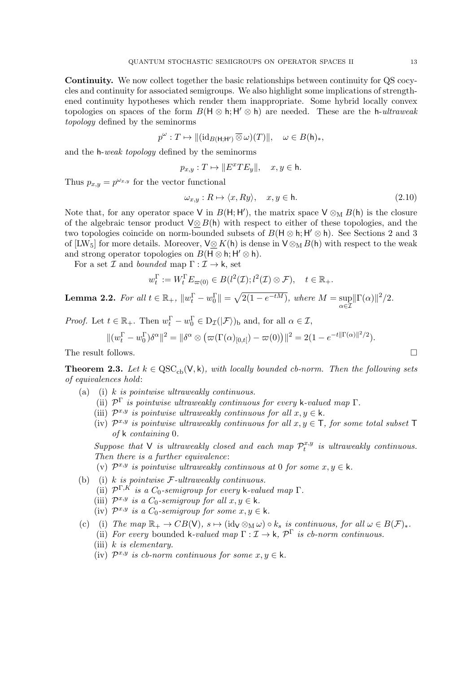Continuity. We now collect together the basic relationships between continuity for QS cocycles and continuity for associated semigroups. We also highlight some implications of strengthened continuity hypotheses which render them inappropriate. Some hybrid locally convex topologies on spaces of the form  $B(H \otimes h; H' \otimes h)$  are needed. These are the h-ultraweak topology defined by the seminorms

$$
p^{\omega}: T \mapsto ||(\mathrm{id}_{B(\mathsf{H};\mathsf{H'})} \overline{\otimes} \omega)(T)||, \quad \omega \in B(\mathsf{h})_*,
$$

and the h-weak topology defined by the seminorms

$$
p_{x,y}: T \mapsto ||E^x TE_y||, \quad x, y \in \mathsf{h}.
$$

Thus  $p_{x,y} = p^{\omega_{x,y}}$  for the vector functional

$$
\omega_{x,y} : R \mapsto \langle x, Ry \rangle, \quad x, y \in \mathsf{h}. \tag{2.10}
$$

Note that, for any operator space V in  $B(H; H')$ , the matrix space  $V \otimes_M B(h)$  is the closure of the algebraic tensor product  $\sqrt{\otimes B(\mathsf{h})}$  with respect to either of these topologies, and the two topologies coincide on norm-bounded subsets of  $B(H \otimes h; H' \otimes h)$ . See Sections 2 and 3 of [LW<sub>5</sub>] for more details. Moreover,  $\sqrt{V} \otimes K(\mathsf{h})$  is dense in  $\sqrt{V} \otimes_M B(\mathsf{h})$  with respect to the weak and strong operator topologies on  $B(H \otimes h; H' \otimes h)$ .

For a set  $\mathcal I$  and bounded map  $\Gamma : \mathcal I \to \mathsf k$ , set

$$
w_t^{\Gamma} := W_t^{\Gamma} E_{\varpi(0)} \in B(l^2(\mathcal{I}); l^2(\mathcal{I}) \otimes \mathcal{F}), \quad t \in \mathbb{R}_+.
$$

**Lemma 2.2.** For all  $t \in \mathbb{R}_+$ ,  $||w_t^{\Gamma} - w_0^{\Gamma}|| = \sqrt{2(1 - e^{-tM})}$ , where  $M = \sup$  $\alpha \in \mathcal{I}$  $\|\Gamma(\alpha)\|^2/2.$ 

*Proof.* Let  $t \in \mathbb{R}_+$ . Then  $w_t^{\Gamma} - w_0^{\Gamma} \in D_{\mathcal{I}}(|\mathcal{F}\rangle)$ <sub>b</sub> and, for all  $\alpha \in \mathcal{I}$ ,

$$
\|(w_t^{\Gamma} - w_0^{\Gamma})\delta^{\alpha}\|^2 = \|\delta^{\alpha} \otimes (\varpi(\Gamma(\alpha)_{[0,t[}) - \varpi(0)))\|^2 = 2(1 - e^{-t\|\Gamma(\alpha)\|^2/2}).
$$

The result follows.

**Theorem 2.3.** Let  $k \in \text{QSC}_{cb}(V, k)$ , with locally bounded cb-norm. Then the following sets of equivalences hold:

- (a) (i) k is pointwise ultraweakly continuous.
	- (ii)  $\mathcal{P}^{\Gamma}$  is pointwise ultraweakly continuous for every k-valued map  $\Gamma$ .
	- (iii)  $\mathcal{P}^{x,y}$  is pointwise ultraweakly continuous for all  $x, y \in \mathsf{k}$ .
	- (iv)  $\mathcal{P}^{x,y}$  is pointwise ultraweakly continuous for all  $x, y \in \mathsf{T}$ , for some total subset  $\mathsf{T}$ of k containing 0.

Suppose that V is ultraweakly closed and each map  $\mathcal{P}_t^{x,y}$  $\mathbf{u}_t^{x,y}$  is ultraweakly continuous. Then there is a further equivalence:

- (v)  $\mathcal{P}^{x,y}$  is pointwise ultraweakly continuous at 0 for some  $x, y \in \mathsf{k}$ .
- (b) (i) k is pointwise  $\mathcal{F}\text{-}ultraweakly continuous.$ 
	- (ii)  $\mathcal{P}^{\Gamma,K}$  is a  $C_0$ -semigroup for every k-valued map  $\Gamma$ .
	- (iii)  $\mathcal{P}^{x,y}$  is a  $C_0$ -semigroup for all  $x, y \in \mathsf{k}$ .
	- (iv)  $\mathcal{P}^{x,y}$  is a  $C_0$ -semigroup for some  $x, y \in \mathsf{k}$ .
- (c) (i) The map  $\mathbb{R}_+ \to CB(V)$ ,  $s \mapsto (id_V \otimes_M \omega) \circ k_s$  is continuous, for all  $\omega \in B(\mathcal{F})_*$ .
	- (ii) For every bounded k-valued map  $\Gamma : \mathcal{I} \to \mathsf{k}$ ,  $\mathcal{P}^{\Gamma}$  is cb-norm continuous.
	- (iii) k is elementary.
	- (iv)  $\mathcal{P}^{x,y}$  is cb-norm continuous for some  $x, y \in \mathsf{k}$ .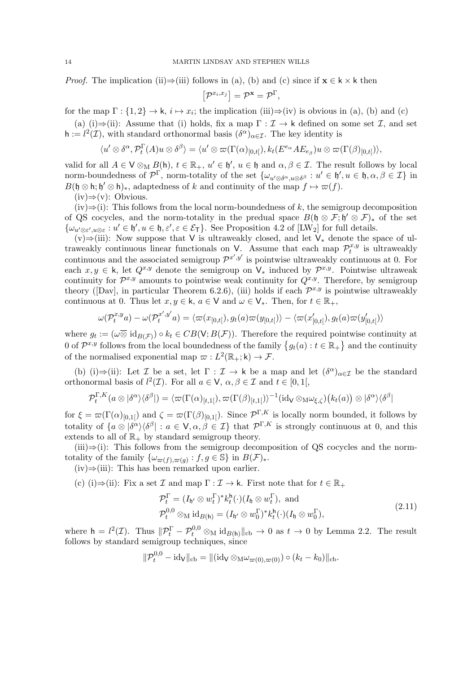*Proof.* The implication (ii)⇒(iii) follows in (a), (b) and (c) since if  $\mathbf{x} \in \mathsf{k} \times \mathsf{k}$  then

$$
[\mathcal{P}^{x_i,x_j}]=\mathcal{P}^{\mathbf{x}}=\mathcal{P}^{\Gamma},
$$

for the map  $\Gamma: \{1,2\} \to \mathsf{k}, i \mapsto x_i$ ; the implication (iii)⇒(iv) is obvious in (a), (b) and (c)

(a) (i)⇒(ii): Assume that (i) holds, fix a map  $\Gamma : \mathcal{I} \to \mathsf{k}$  defined on some set  $\mathcal{I}$ , and set  $h := l^2(\mathcal{I})$ , with standard orthonormal basis  $(\delta^{\alpha})_{\alpha \in \mathcal{I}}$ . The key identity is

$$
\langle u' \otimes \delta^{\alpha}, \mathcal{P}_t^{\Gamma}(A)u \otimes \delta^{\beta} \rangle = \langle u' \otimes \varpi(\Gamma(\alpha)_{[0,t[}), k_t(E^{e_{\alpha}}AE_{e_{\beta}})u \otimes \varpi(\Gamma(\beta)_{[0,t[}) \rangle,
$$

valid for all  $A \in V \otimes_M B(h)$ ,  $t \in \mathbb{R}_+$ ,  $u' \in \mathfrak{h}'$ ,  $u \in \mathfrak{h}$  and  $\alpha, \beta \in \mathcal{I}$ . The result follows by local norm-boundedness of  $\mathcal{P}^{\Gamma}$ , norm-totality of the set  $\{\omega_{u' \otimes \delta^{\alpha}, u \otimes \delta^{\beta}} : u' \in \mathfrak{h}', u \in \mathfrak{h}, \alpha, \beta \in \mathcal{I}\}\$ in  $B(\mathfrak{h} \otimes \mathfrak{h}; \mathfrak{h}' \otimes \mathfrak{h})_*$ , adaptedness of k and continuity of the map  $f \mapsto \varpi(f)$ .

 $(iv)$ ⇒ $(v)$ : Obvious.

 $(iv) \Rightarrow (i)$ : This follows from the local norm-boundedness of k, the semigroup decomposition of QS cocycles, and the norm-totality in the predual space  $B(\mathfrak{h} \otimes \mathcal{F}; \mathfrak{h}' \otimes \mathcal{F})_*$  of the set  $\{\omega_{u' \otimes \varepsilon', u \otimes \varepsilon} : u' \in \mathfrak{h}', u \in \mathfrak{h}, \varepsilon', \varepsilon \in \mathcal{E}_{\mathsf{T}}\}.$  See Proposition 4.2 of [LW<sub>2</sub>] for full details.

(v)⇒(iii): Now suppose that V is ultraweakly closed, and let V<sup>∗</sup> denote the space of ultraweakly continuous linear functionals on V. Assume that each map  $\mathcal{P}_t^{x,y}$  $t^{x,y}$  is ultraweakly continuous and the associated semigroup  $\mathcal{P}^{x',y'}$  is pointwise ultraweakly continuous at 0. For each  $x, y \in \mathsf{k}$ , let  $Q^{x,y}$  denote the semigroup on  $\mathsf{V}_*$  induced by  $\mathcal{P}^{x,y}$ . Pointwise ultraweak continuity for  $\mathcal{P}^{x,y}$  amounts to pointwise weak continuity for  $Q^{x,y}$ . Therefore, by semigroup theory ( $[Day]$ , in particular Theorem 6.2.6), (iii) holds if each  $\mathcal{P}^{x,y}$  is pointwise ultraweakly continuous at 0. Thus let  $x, y \in \mathsf{k}$ ,  $a \in \mathsf{V}$  and  $\omega \in \mathsf{V}_*$ . Then, for  $t \in \mathbb{R}_+$ ,

$$
\omega(\mathcal{P}_t^{x,y}a) - \omega(\mathcal{P}_t^{x',y'}a) = \langle \varpi(x_{[0,t[}), g_t(a)\varpi(y_{[0,t[})\rangle - \langle \varpi(x'_{[0,t[}), g_t(a)\varpi(y'_{[0,t[})\rangle
$$

where  $g_t := (\omega \overline{\otimes} \text{ id}_{B(\mathcal{F})}) \circ k_t \in CB(\mathsf{V}; B(\mathcal{F}))$ . Therefore the required pointwise continuity at 0 of  $\mathcal{P}^{x,y}$  follows from the local boundedness of the family  $\{g_t(a): t \in \mathbb{R}_+\}$  and the continuity of the normalised exponential map  $\varpi : L^2(\mathbb{R}_+; \mathsf{k}) \to \mathcal{F}$ .

(b) (i)⇒(ii): Let  $\mathcal I$  be a set, let  $\Gamma : \mathcal I \to \mathsf k$  be a map and let  $(\delta^\alpha)_{\alpha \in \mathcal I}$  be the standard orthonormal basis of  $l^2(\mathcal{I})$ . For all  $a \in V$ ,  $\alpha, \beta \in \mathcal{I}$  and  $t \in [0,1]$ ,

$$
\mathcal{P}_t^{\Gamma,K}(a\otimes |\delta^{\alpha}\rangle\langle\delta^{\beta}|)=\langle \varpi(\Gamma(\alpha)_{[t,1[}),\varpi(\Gamma(\beta)_{[t,1[})\rangle^{-1}(\mathrm{id}_{\mathsf{V}}\otimes_{\mathsf{M}}\omega_{\xi,\zeta})(k_t(a))\otimes |\delta^{\alpha}\rangle\langle\delta^{\beta}|
$$

for  $\xi = \varpi(\Gamma(\alpha)_{[0,1]})$  and  $\zeta = \varpi(\Gamma(\beta)_{[0,1]})$ . Since  $\mathcal{P}^{\Gamma,K}$  is locally norm bounded, it follows by totality of  $\{a\otimes|\delta^{\alpha}\rangle\langle\delta^{\beta}| : a\in V, \alpha, \beta\in\mathcal{I}\}\$  that  $\mathcal{P}^{\Gamma,K}$  is strongly continuous at 0, and this extends to all of  $\mathbb{R}_+$  by standard semigroup theory.

 $(iii) \Rightarrow (i)$ : This follows from the semigroup decomposition of QS cocycles and the normtotality of the family  $\{\omega_{\varpi(f),\varpi(g)} : f, g \in \mathbb{S}\}\$ in  $B(\mathcal{F})_*$ .

 $(iv) \Rightarrow (iii)$ : This has been remarked upon earlier.

(c) (i)⇒(ii): Fix a set  $\mathcal I$  and map  $\Gamma : \mathcal I \to \mathsf k$ . First note that for  $t \in \mathbb R_+$ 

$$
\mathcal{P}_t^{\Gamma} = (I_{\mathfrak{h}'} \otimes w_t^{\Gamma})^* k_t^{\mathfrak{h}}(\cdot)(I_{\mathfrak{h}} \otimes w_t^{\Gamma}), \text{ and}
$$
\n
$$
\mathcal{P}_t^{0,0} \otimes_{\mathcal{M}} \mathrm{id}_{B(\mathfrak{h})} = (I_{\mathfrak{h}'} \otimes w_0^{\Gamma})^* k_t^{\mathfrak{h}}(\cdot)(I_{\mathfrak{h}} \otimes w_0^{\Gamma}),
$$
\n(2.11)

where  $h = l^2(\mathcal{I})$ . Thus  $\|\mathcal{P}_t^{\Gamma} - \mathcal{P}_t^{0,0} \otimes_M id_{B(h)}\|_{cb} \to 0$  as  $t \to 0$  by Lemma 2.2. The result follows by standard semigroup techniques, since

$$
\|\mathcal{P}^{0,0}_t-\mathrm{id}_\mathsf{V}\|_{\mathrm{cb}}=\|(\mathrm{id}_\mathsf{V}\otimes_{\mathrm{M}}\omega_{\varpi(0),\varpi(0)})\circ (k_t-k_0)\|_{\mathrm{cb}}.
$$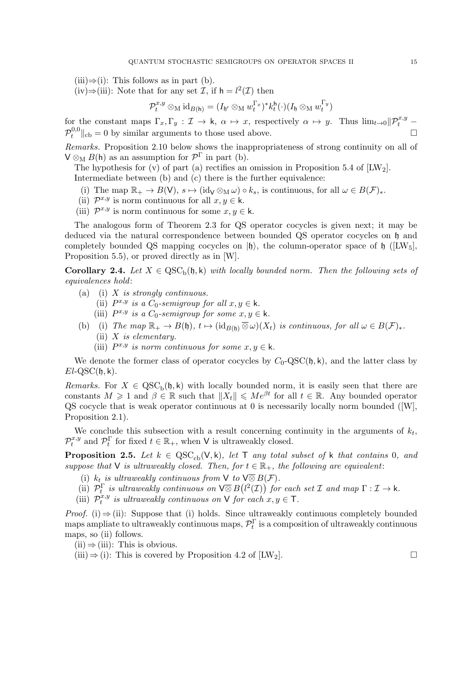$(iii) \Rightarrow (i)$ : This follows as in part (b).

(iv)⇒(iii): Note that for any set  $\mathcal{I}$ , if  $h = l^2(\mathcal{I})$  then

$$
\mathcal{P}_t^{x,y} \otimes_\mathrm{M} \mathrm{id}_{B(\mathsf{h})} = (I_{\mathfrak{h}'} \otimes_\mathrm{M} w_t^{\Gamma_x})^* k_t^\mathsf{h}(\cdot) (I_{\mathfrak{h}} \otimes_\mathrm{M} w_t^{\Gamma_y})
$$

for the constant maps  $\Gamma_x, \Gamma_y : \mathcal{I} \to \mathsf{k}, \ \alpha \mapsto x$ , respectively  $\alpha \mapsto y$ . Thus  $\lim_{t\to 0} ||\mathcal{P}_t^{x,y}$  $\mathcal{P}_t^{0,0}$  $t^{0,0}$ l<sub>cb</sub> = 0 by similar arguments to those used above.

Remarks. Proposition 2.10 below shows the inappropriateness of strong continuity on all of  $V \otimes_M B(h)$  as an assumption for  $\mathcal{P}^{\Gamma}$  in part (b).

The hypothesis for (v) of part (a) rectifies an omission in Proposition 5.4 of  $[{\rm LW}_2]$ . Intermediate between (b) and (c) there is the further equivalence:

- (i) The map  $\mathbb{R}_+ \to B(V)$ ,  $s \mapsto (\text{id}_V \otimes_M \omega) \circ k_s$ , is continuous, for all  $\omega \in B(\mathcal{F})_*$ .
- (ii)  $\mathcal{P}^{x,y}$  is norm continuous for all  $x, y \in \mathsf{k}$ .
- (iii)  $\mathcal{P}^{x,y}$  is norm continuous for some  $x, y \in \mathsf{k}$ .

The analogous form of Theorem 2.3 for QS operator cocycles is given next; it may be deduced via the natural correspondence between bounded QS operator cocycles on h and completely bounded QS mapping cocycles on  $|\phi\rangle$ , the column-operator space of  $\phi$  ([LW<sub>5</sub>], Proposition 5.5), or proved directly as in [W].

**Corollary 2.4.** Let  $X \in \text{QSC}_b(\mathfrak{h}, \mathsf{k})$  with locally bounded norm. Then the following sets of equivalences hold:

- (a) (i)  $X$  is strongly continuous.
	- (ii)  $P^{x,y}$  is a  $C_0$ -semigroup for all  $x, y \in \mathsf{k}$ .
	- (iii)  $P^{x,y}$  is a  $C_0$ -semigroup for some  $x, y \in \mathsf{k}$ .
- (b) (i) The map  $\mathbb{R}_+ \to B(\mathfrak{h})$ ,  $t \mapsto (\mathrm{id}_{B(\mathfrak{h})} \overline{\otimes} \omega)(X_t)$  is continuous, for all  $\omega \in B(\mathcal{F})_*$ . (ii)  $X$  is elementary.
	- (iii)  $P^{x,y}$  is norm continuous for some  $x, y \in \mathsf{k}$ .

We denote the former class of operator cocycles by  $C_0$ -QSC( $\mathfrak{h}, \mathsf{k}$ ), and the latter class by  $El-QSC(\mathfrak{h}, \mathsf{k}).$ 

Remarks. For  $X \in \text{QSC}_b(\mathfrak{h}, k)$  with locally bounded norm, it is easily seen that there are constants  $M \geq 1$  and  $\beta \in \mathbb{R}$  such that  $||X_t|| \leq Me^{\beta t}$  for all  $t \in \mathbb{R}$ . Any bounded operator QS cocycle that is weak operator continuous at 0 is necessarily locally norm bounded ([W], Proposition 2.1).

We conclude this subsection with a result concerning continuity in the arguments of  $k_t$ ,  $\mathcal{P}_t^{x,y}$  $t_t^{x,y}$  and  $\mathcal{P}_t^{\Gamma}$  for fixed  $t \in \mathbb{R}_+$ , when V is ultraweakly closed.

**Proposition 2.5.** Let  $k \in \text{QSC}_{cb}(V, k)$ , let T any total subset of k that contains 0, and suppose that V is ultraweakly closed. Then, for  $t \in \mathbb{R}_+$ , the following are equivalent:

- (i)  $k_t$  is ultraweakly continuous from  $\vee$  to  $\vee \overline{\otimes} B(\mathcal{F})$ .
- (ii)  $\mathcal{P}_t^{\Gamma}$  is ultraweakly continuous on  $\sqrt{\otimes} B(l^2(\mathcal{I}))$  for each set  $\mathcal I$  and map  $\Gamma : \mathcal{I} \to \mathsf{k}$ .
- $(iii)$   $\mathcal{P}_t^{x,y}$  $t^{x,y}$  is ultraweakly continuous on  $\vee$  for each  $x, y \in \mathsf{T}$ .

*Proof.* (i)  $\Rightarrow$  (ii): Suppose that (i) holds. Since ultraweakly continuous completely bounded maps ampliate to ultraweakly continuous maps,  $\mathcal{P}_t^{\Gamma}$  is a composition of ultraweakly continuous maps, so (ii) follows.

 $(ii) \Rightarrow (iii)$ : This is obvious.

(iii)  $\Rightarrow$  (i): This is covered by Proposition 4.2 of [LW<sub>2</sub>].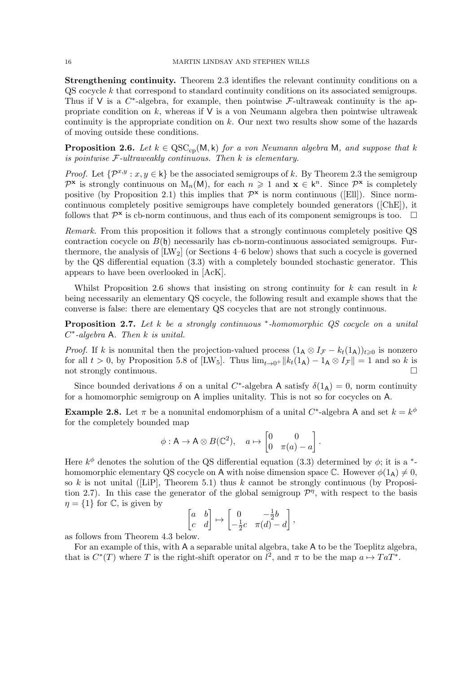Strengthening continuity. Theorem 2.3 identifies the relevant continuity conditions on a QS cocycle k that correspond to standard continuity conditions on its associated semigroups. Thus if V is a  $C^*$ -algebra, for example, then pointwise  $\mathcal{F}\text{-ultraweak continuity}$  is the appropriate condition on  $k$ , whereas if  $V$  is a von Neumann algebra then pointwise ultraweak continuity is the appropriate condition on k. Our next two results show some of the hazards of moving outside these conditions.

**Proposition 2.6.** Let  $k \in \mathrm{QSC}_{\text{co}}(M, k)$  for a von Neumann algebra M, and suppose that k is pointwise  $F$ -ultraweakly continuous. Then  $k$  is elementary.

*Proof.* Let  $\{\mathcal{P}^{x,y}: x,y \in \mathsf{k}\}\$  be the associated semigroups of k. By Theorem 2.3 the semigroup  $\mathcal{P}^{\mathbf{x}}$  is strongly continuous on  $M_n(M)$ , for each  $n \geq 1$  and  $\mathbf{x} \in k^n$ . Since  $\mathcal{P}^{\mathbf{x}}$  is completely positive (by Proposition 2.1) this implies that  $\mathcal{P}^{\mathbf{x}}$  is norm continuous ([Ell]). Since normcontinuous completely positive semigroups have completely bounded generators ([ChE]), it follows that  $\mathcal{P}^{\mathbf{x}}$  is cb-norm continuous, and thus each of its component semigroups is too.  $\Box$ 

Remark. From this proposition it follows that a strongly continuous completely positive QS contraction cocycle on  $B(\mathfrak{h})$  necessarily has cb-norm-continuous associated semigroups. Furthermore, the analysis of  $[{\rm LW}_2]$  (or Sections 4–6 below) shows that such a cocycle is governed by the QS differential equation (3.3) with a completely bounded stochastic generator. This appears to have been overlooked in [AcK].

Whilst Proposition 2.6 shows that insisting on strong continuity for  $k$  can result in  $k$ being necessarily an elementary QS cocycle, the following result and example shows that the converse is false: there are elementary QS cocycles that are not strongly continuous.

**Proposition 2.7.** Let  $k$  be a strongly continuous  $*$ -homomorphic QS cocycle on a unital  $C^*$ -algebra A. Then k is unital.

*Proof.* If k is nonunital then the projection-valued process  $(1_A \otimes I_{\mathcal{F}} - k_t(1_A))_{t \geq 0}$  is nonzero for all  $t > 0$ , by Proposition 5.8 of [LW<sub>5</sub>]. Thus  $\lim_{t\to 0^+} ||k_t(1_A) - 1_A \otimes I_{\mathcal{F}}|| = 1$  and so k is not strongly continuous.

Since bounded derivations  $\delta$  on a unital C<sup>\*</sup>-algebra A satisfy  $\delta(1_A) = 0$ , norm continuity for a homomorphic semigroup on A implies unitality. This is not so for cocycles on A.

**Example 2.8.** Let  $\pi$  be a nonunital endomorphism of a unital C<sup>\*</sup>-algebra A and set  $k = k^{\phi}$ for the completely bounded map

$$
\phi: \mathsf{A} \to \mathsf{A} \otimes B(\mathbb{C}^2), \quad a \mapsto \begin{bmatrix} 0 & 0 \\ 0 & \pi(a) - a \end{bmatrix}.
$$

Here  $k^{\phi}$  denotes the solution of the QS differential equation (3.3) determined by  $\phi$ ; it is a <sup>\*</sup>homomorphic elementary QS cocycle on A with noise dimension space  $\mathbb{C}$ . However  $\phi(1_A) \neq 0$ , so k is not unital ([LiP], Theorem 5.1) thus k cannot be strongly continuous (by Proposition 2.7). In this case the generator of the global semigroup  $\mathcal{P}^{\eta}$ , with respect to the basis  $\eta = \{1\}$  for  $\mathbb{C}$ , is given by

$$
\begin{bmatrix} a & b \\ c & d \end{bmatrix} \mapsto \begin{bmatrix} 0 & -\frac{1}{2}b \\ -\frac{1}{2}c & \pi(d) - d \end{bmatrix},
$$

as follows from Theorem 4.3 below.

For an example of this, with A a separable unital algebra, take A to be the Toeplitz algebra, that is  $C^*(T)$  where T is the right-shift operator on  $l^2$ , and  $\pi$  to be the map  $a \mapsto TaT^*$ .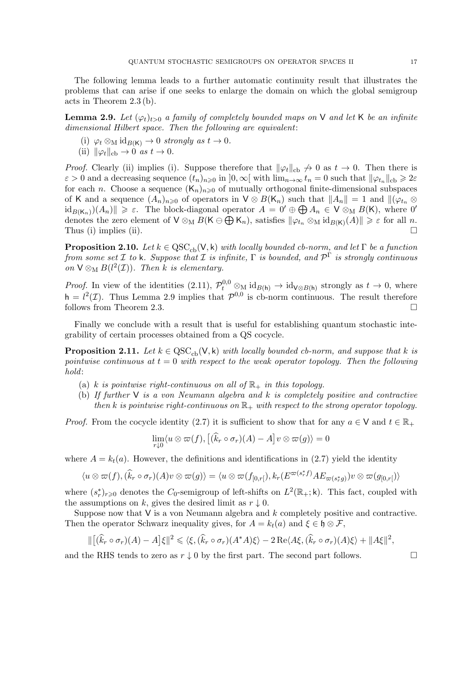**Lemma 2.9.** Let  $(\varphi_t)_{t>0}$  a family of completely bounded maps on V and let K be an infinite dimensional Hilbert space. Then the following are equivalent:

- (i)  $\varphi_t \otimes_M id_{B(K)} \to 0$  strongly as  $t \to 0$ .
- (ii)  $\|\varphi_t\|_{\text{cb}} \to 0 \text{ as } t \to 0.$

acts in Theorem 2.3 (b).

*Proof.* Clearly (ii) implies (i). Suppose therefore that  $\|\varphi_t\|_{cb} \nightharpoonup 0$  as  $t \to 0$ . Then there is  $\varepsilon > 0$  and a decreasing sequence  $(t_n)_{n\geqslant 0}$  in  $]0, \infty[$  with  $\lim_{n\to\infty} t_n = 0$  such that  $\|\varphi_{t_n}\|_{cb} \geqslant 2\varepsilon$ for each n. Choose a sequence  $(K_n)_{n\geqslant 0}$  of mutually orthogonal finite-dimensional subspaces of K and a sequence  $(A_n)_{n\geq 0}$  of operators in  $\mathsf{V} \otimes B(\mathsf{K}_n)$  such that  $||A_n|| = 1$  and  $||(\varphi_{t_n} \otimes$  $\text{id}_{B(K_n)}(A_n)$   $\geq \varepsilon$ . The block-diagonal operator  $A = 0' \oplus A_n \in V \otimes_M B(K)$ , where 0' denotes the zero element of  $V \otimes_M B(K \ominus \bigoplus K_n)$ , satisfies  $\|\varphi_{t_n}\otimes_M id_{B(K)}(A)\| \geq \varepsilon$  for all n. Thus (i) implies (ii).  $\Box$ 

**Proposition 2.10.** Let  $k \in \text{QSC}_{cb}(V, k)$  with locally bounded cb-norm, and let  $\Gamma$  be a function from some set  $\mathcal I$  to k. Suppose that  $\mathcal I$  is infinite,  $\Gamma$  is bounded, and  $\mathcal P^\Gamma$  is strongly continuous on  $V \otimes_M B(l^2(\mathcal{I}))$ . Then k is elementary.

*Proof.* In view of the identities (2.11),  $\mathcal{P}_t^{0,0} \otimes_M id_{B(h)} \to id_{V \otimes B(h)}$  strongly as  $t \to 0$ , where  $h = l^2(\mathcal{I})$ . Thus Lemma 2.9 implies that  $\mathcal{P}^{0,0}$  is cb-norm continuous. The result therefore follows from Theorem 2.3.

Finally we conclude with a result that is useful for establishing quantum stochastic integrability of certain processes obtained from a QS cocycle.

**Proposition 2.11.** Let  $k \in \text{QSC}_{cb}(V, k)$  with locally bounded cb-norm, and suppose that k is pointwise continuous at  $t = 0$  with respect to the weak operator topology. Then the following hold:

- (a) k is pointwise right-continuous on all of  $\mathbb{R}_+$  in this topology.
- (b) If further V is a von Neumann algebra and k is completely positive and contractive then k is pointwise right-continuous on  $\mathbb{R}_+$  with respect to the strong operator topology.

*Proof.* From the cocycle identity (2.7) it is sufficient to show that for any  $a \in V$  and  $t \in \mathbb{R}_+$ 

$$
\lim_{r\downarrow 0} \langle u\otimes \varpi(f), [(\hat{k}_r\circ \sigma_r)(A)-A] v\otimes \varpi(g)\rangle = 0
$$

where  $A = k_t(a)$ . However, the definitions and identifications in (2.7) yield the identity

$$
\langle u \otimes \varpi(f), (\widehat{k}_r \circ \sigma_r)(A)v \otimes \varpi(g) \rangle = \langle u \otimes \varpi(f_{[0,r[}), k_r(E^{\varpi(s_r^*f)}AE_{\varpi(s_r^*g)})v \otimes \varpi(g_{[0,r[}) \rangle
$$

where  $(s_r^*)_{r\geqslant0}$  denotes the  $C_0$ -semigroup of left-shifts on  $L^2(\mathbb{R}_+;\mathsf{k})$ . This fact, coupled with the assumptions on k, gives the desired limit as  $r \downarrow 0$ .

Suppose now that  $V$  is a von Neumann algebra and  $k$  completely positive and contractive. Then the operator Schwarz inequality gives, for  $A = k_t(a)$  and  $\xi \in \mathfrak{h} \otimes \mathcal{F}$ ,

$$
\| [(\widehat{k}_r \circ \sigma_r)(A) - A] \xi \|^2 \leq \langle \xi, (\widehat{k}_r \circ \sigma_r)(A^*A) \xi \rangle - 2 \operatorname{Re} \langle A \xi, (\widehat{k}_r \circ \sigma_r)(A) \xi \rangle + \|A \xi \|^2,
$$

and the RHS tends to zero as  $r \downarrow 0$  by the first part. The second part follows.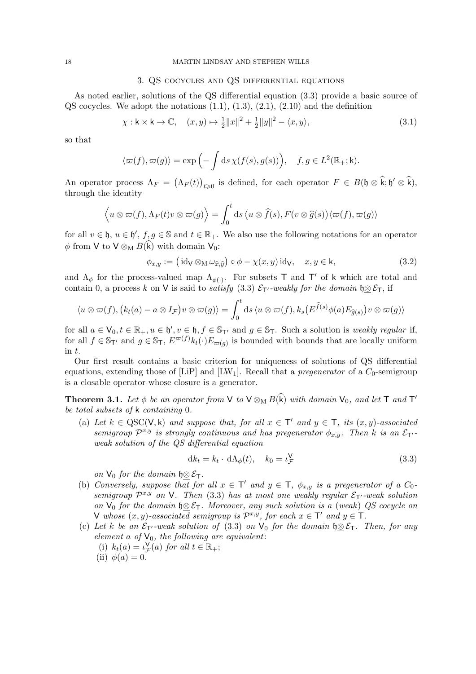### 3. QS cocycles and QS differential equations

As noted earlier, solutions of the QS differential equation (3.3) provide a basic source of  $\text{QS}$  cocycles. We adopt the notations  $(1.1), (1.3), (2.1), (2.10)$  and the definition

$$
\chi: \mathsf{k} \times \mathsf{k} \to \mathbb{C}, \quad (x, y) \mapsto \frac{1}{2} ||x||^2 + \frac{1}{2} ||y||^2 - \langle x, y \rangle,
$$
\n
$$
(3.1)
$$

so that

$$
\langle \varpi(f), \varpi(g) \rangle = \exp\left(-\int ds \,\chi(f(s), g(s))\right), \quad f, g \in L^2(\mathbb{R}_+; \mathsf{k}).
$$

An operator process  $\Lambda_F = (\Lambda_F(t))_{t \geq 0}$  is defined, for each operator  $F \in B(\mathfrak{h} \otimes \hat{\mathfrak{k}}; \mathfrak{h}' \otimes \hat{\mathfrak{k}})$ , through the identity

$$
\langle u \otimes \varpi(f), \Lambda_F(t)v \otimes \varpi(g) \rangle = \int_0^t ds \langle u \otimes \widehat{f}(s), F(v \otimes \widehat{g}(s) \rangle \langle \varpi(f), \varpi(g) \rangle
$$

for all  $v \in \mathfrak{h}$ ,  $u \in \mathfrak{h}'$ ,  $f, g \in \mathbb{S}$  and  $t \in \mathbb{R}_+$ . We also use the following notations for an operator  $\phi$  from V to V  $\otimes_M B(\hat{k})$  with domain V<sub>0</sub>:

$$
\phi_{x,y} := \left(\text{id}_{\mathsf{V}} \otimes_{\mathsf{M}} \omega_{\widehat{x},\widehat{y}}\right) \circ \phi - \chi(x,y) \text{id}_{\mathsf{V}}, \quad x, y \in \mathsf{k},\tag{3.2}
$$

and  $\Lambda_{\phi}$  for the process-valued map  $\Lambda_{\phi(\cdot)}$ . For subsets T and T' of k which are total and contain 0, a process k on V is said to satisfy (3.3)  $\mathcal{E}_{T'}$ -weakly for the domain  $\mathfrak{h} \otimes \mathcal{E}_T$ , if

$$
\langle u \otimes \varpi(f), (k_t(a) - a \otimes I_{\mathcal{F}}) v \otimes \varpi(g) \rangle = \int_0^t ds \, \langle u \otimes \varpi(f), k_s\big(E^{\widehat{f}(s)}\phi(a)E_{\widehat{g}(s)}\big)v \otimes \varpi(g) \rangle
$$

for all  $a \in V_0, t \in \mathbb{R}_+, u \in \mathfrak{h}'$ ,  $v \in \mathfrak{h}$ ,  $f \in \mathbb{S}_{\mathsf{T}'}$  and  $g \in \mathbb{S}_{\mathsf{T}}$ . Such a solution is *weakly regular* if, for all  $f \in \mathbb{S}_{\mathsf{T}'}$  and  $g \in \mathbb{S}_{\mathsf{T}}$ ,  $E^{\varpi(f)}k_t(\cdot)E_{\varpi(g)}$  is bounded with bounds that are locally uniform in t.

Our first result contains a basic criterion for uniqueness of solutions of QS differential equations, extending those of [LiP] and [LW<sub>1</sub>]. Recall that a *pregenerator* of a  $C_0$ -semigroup is a closable operator whose closure is a generator.

**Theorem 3.1.** Let  $\phi$  be an operator from  $\vee$  to  $\vee \otimes_M B(\hat{k})$  with domain  $\vee_0$ , and let  $\top$  and  $\top'$ be total subsets of k containing 0.

(a) Let  $k \in \text{QSC}(V, k)$  and suppose that, for all  $x \in \mathsf{T}'$  and  $y \in \mathsf{T}$ , its  $(x, y)$ -associated semigroup  $\mathcal{P}^{x,y}$  is strongly continuous and has pregenerator  $\phi_{x,y}$ . Then k is an  $\mathcal{E}_{\mathsf{T}'}$ . weak solution of the QS differential equation

$$
dk_t = k_t \cdot d\Lambda_{\phi}(t), \quad k_0 = \iota_{\mathcal{F}}^{\mathsf{V}} \tag{3.3}
$$

on  $V_0$  for the domain  $\mathfrak{h} \otimes \mathcal{E}_T$ .

- (b) Conversely, suppose that for all  $x \in \mathsf{T}'$  and  $y \in \mathsf{T}$ ,  $\phi_{x,y}$  is a pregenerator of a  $C_0$ semigroup  $\mathcal{P}^{x,y}$  on V. Then (3.3) has at most one weakly regular  $\mathcal{E}_{\mathsf{T}'}$ -weak solution on  $\vee_0$  for the domain  $\mathfrak{h} \otimes \mathcal{E}_T$ . Moreover, any such solution is a (weak) QS cocycle on V whose  $(x, y)$ -associated semigroup is  $\mathcal{P}^{x,y}$ , for each  $x \in \mathsf{T}'$  and  $y \in \mathsf{T}$ .
- (c) Let k be an  $\mathcal{E}_{\mathsf{T}'}$ -weak solution of (3.3) on  $\mathsf{V}_0$  for the domain  $\mathfrak{h} \otimes \mathcal{E}_{\mathsf{T}}$ . Then, for any element a of  $V_0$ , the following are equivalent:
	- (i)  $k_t(a) = \iota_{\mathcal{F}}^{\mathsf{V}}(a)$  for all  $t \in \mathbb{R}_+$ ;

<sup>(</sup>ii)  $\phi(a) = 0$ .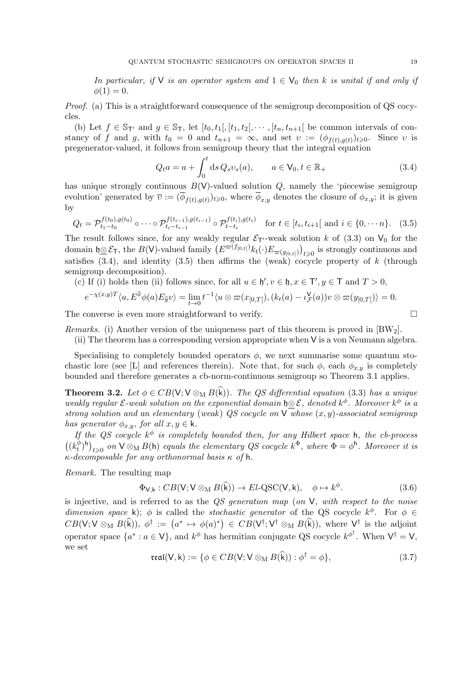In particular, if  $V$  is an operator system and  $1 \in V_0$  then k is unital if and only if  $\phi(1) = 0.$ 

Proof. (a) This is a straightforward consequence of the semigroup decomposition of QS cocycles.

(b) Let  $f \in \mathbb{S}_{\mathsf{T}'}$  and  $g \in \mathbb{S}_{\mathsf{T}}$ , let  $[t_0, t_1[, [t_1, t_2], \cdots, [t_n, t_{n+1}]$  be common intervals of constancy of f and g, with  $t_0 = 0$  and  $t_{n+1} = \infty$ , and set  $v := (\phi_{f(t),g(t)})_{t \geq 0}$ . Since v is pregenerator-valued, it follows from semigroup theory that the integral equation

$$
Q_t a = a + \int_0^t \mathrm{d}s \, Q_s v_s(a), \qquad a \in \mathsf{V}_0, t \in \mathbb{R}_+ \tag{3.4}
$$

has unique strongly continuous  $B(V)$ -valued solution  $Q$ , namely the 'piecewise semigroup evolution' generated by  $\overline{v} := (\phi_{f(t),g(t)})_{t \geqslant 0}$ , where  $\phi_{x,y}$  denotes the closure of  $\phi_{x,y}$ ; it is given by

$$
Q_t = \mathcal{P}_{t_1 - t_0}^{f(t_0), g(t_0)} \circ \cdots \circ \mathcal{P}_{t_i - t_{i-1}}^{f(t_{i-1}), g(t_{i-1})} \circ \mathcal{P}_{t - t_i}^{f(t_i), g(t_i)} \quad \text{for } t \in [t_i, t_{i+1}] \text{ and } i \in \{0, \cdots n\}. \tag{3.5}
$$

The result follows since, for any weakly regular  $\mathcal{E}_{\mathsf{T}'}$ -weak solution k of (3.3) on  $\mathsf{V}_0$  for the domain  $\mathfrak{h} \otimes \mathcal{E}_{\mathsf{T}}$ , the  $B(\mathsf{V})$ -valued family  $(E^{\varpi(f_{[0,t[})}k_t(\cdot)E_{\varpi(g_{[0,t[})})_{t\geqslant0})$  is strongly continuous and satisfies  $(3.4)$ , and identity  $(3.5)$  then affirms the (weak) cocycle property of k (through semigroup decomposition).

(c) If (i) holds then (ii) follows since, for all  $u \in \mathfrak{h}'$ ,  $v \in \mathfrak{h}$ ,  $x \in \mathsf{T}'$ ,  $y \in \mathsf{T}$  and  $T > 0$ ,

$$
e^{-\chi(x,y)T}\langle u, E^{\widehat{x}}\phi(a)E_{\widehat{y}}v\rangle = \lim_{t\to 0} t^{-1}\langle u\otimes \varpi(x_{[0,T[})\rangle, (k_t(a)-\iota_{\mathcal{F}}^{\mathsf{V}}(a))v\otimes \varpi(y_{[0,T[})\rangle = 0.
$$

The converse is even more straightforward to verify.

*Remarks.* (i) Another version of the uniqueness part of this theorem is proved in  $BW_2$ .

(ii) The theorem has a corresponding version appropriate when V is a von Neumann algebra.

Specialising to completely bounded operators  $\phi$ , we next summarise some quantum stochastic lore (see [L] and references therein). Note that, for such  $\phi$ , each  $\phi_{x,y}$  is completely bounded and therefore generates a cb-norm-continuous semigroup so Theorem 3.1 applies.

**Theorem 3.2.** Let  $\phi \in CB(V; V \otimes_M B(\widehat{k}))$ . The QS differential equation (3.3) has a unique weakly regular  $\mathcal E$ -weak solution on the exponential domain  $\mathfrak h \otimes \mathcal E$ , denoted  $k^\phi$ . Moreover  $k^\phi$  is a strong solution and an elementary (weak) QS cocycle on  $\vee$  whose  $(x, y)$ -associated semigroup has generator  $\phi_{x,y}$ , for all  $x, y \in \mathsf{k}$ .

If the QS cocycle  $k^{\phi}$  is completely bounded then, for any Hilbert space h, the cb-process  $\left(\left(k_t^{\phi}\right)\right)$  $\binom{\phi}{t}$ <sup>h</sup>)<sub>t >0</sub> on  $\vee \otimes_M B$ (h) equals the elementary QS cocycle  $k^{\Phi}$ , where  $\Phi = \phi^{\text{h}}$ . Moreover it is  $\kappa$ -decomposable for any orthonormal basis  $\kappa$  of h.

Remark. The resulting map

$$
\Phi_{\mathsf{V},\mathsf{k}}: CB(\mathsf{V}; \mathsf{V} \otimes_{\mathsf{M}} B(\widehat{\mathsf{k}})) \to El\text{-}QSC(\mathsf{V},\mathsf{k}), \quad \phi \mapsto k^{\phi}.\tag{3.6}
$$

is injective, and is referred to as the  $QS$  generation map (on  $V$ , with respect to the noise dimension space k);  $\phi$  is called the *stochastic generator* of the QS cocycle  $k^{\phi}$ . For  $\phi \in$  $CB(\mathsf{V};\mathsf{V}\otimes_{\mathrm{M}} B(\widehat{\mathsf{k}})), \phi^{\dagger} := (a^* \mapsto \phi(a)^*) \in CB(\mathsf{V}^{\dagger};\mathsf{V}^{\dagger} \otimes_{\mathrm{M}} B(\widehat{\mathsf{k}})), \text{ where } \mathsf{V}^{\dagger} \text{ is the adjoint}$ operator space  $\{a^*: a \in V\}$ , and  $k^{\phi}$  has hermitian conjugate QS cocycle  $k^{\phi^{\dagger}}$ . When  $V^{\dagger} = V$ , we set

$$
real(V, k) := \{ \phi \in CB(V; V \otimes_M B(\widehat{k})) : \phi^{\dagger} = \phi \},
$$
\n(3.7)

$$
\Box
$$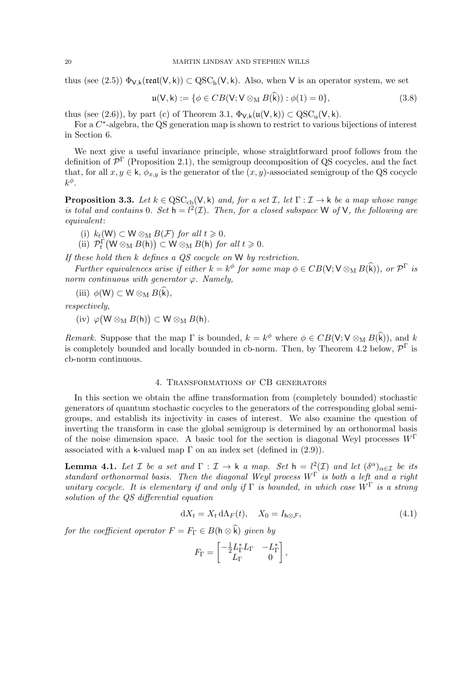thus (see (2.5))  $\Phi_{V,k}(\text{real}(V,k)) \subset \text{QSC}_h(V,k)$ . Also, when V is an operator system, we set

$$
\mathfrak{u}(\mathsf{V},\mathsf{k}) := \{ \phi \in CB(\mathsf{V}; \mathsf{V} \otimes_{\mathsf{M}} B(\mathsf{k})) : \phi(1) = 0 \},\tag{3.8}
$$

thus (see (2.6)), by part (c) of Theorem 3.1,  $\Phi_{V,k}(\mathfrak{u}(V,k)) \subset \mathrm{QSC}_{u}(V,k)$ .

For a  $C^*$ -algebra, the QS generation map is shown to restrict to various bijections of interest in Section 6.

We next give a useful invariance principle, whose straightforward proof follows from the definition of  $\mathcal{P}^{\Gamma}$  (Proposition 2.1), the semigroup decomposition of QS cocycles, and the fact that, for all  $x, y \in \mathsf{k}$ ,  $\phi_{x,y}$  is the generator of the  $(x, y)$ -associated semigroup of the QS cocycle  $k^{\phi}$ .

**Proposition 3.3.** Let  $k \in \text{QSC}_{cb}(V, k)$  and, for a set  $\mathcal{I}$ , let  $\Gamma : \mathcal{I} \to k$  be a map whose range is total and contains 0. Set  $h = l^2(\mathcal{I})$ . Then, for a closed subspace W of V, the following are equivalent:

(i)  $k_t(W) \subset W \otimes_M B(\mathcal{F})$  for all  $t \geq 0$ .

(ii)  $\mathcal{P}_t^{\Gamma}(\mathsf{W} \otimes_{\mathsf{M}} B(\mathsf{h})) \subset \mathsf{W} \otimes_{\mathsf{M}} B(\mathsf{h})$  for all  $t \geqslant 0$ .

If these hold then k defines a QS cocycle on W by restriction.

Further equivalences arise if either  $k = k^{\phi}$  for some map  $\phi \in CB(V; V \otimes_M B(\widehat{k}))$ , or  $\mathcal{P}^{\Gamma}$  is norm continuous with generator  $\varphi$ . Namely,

(iii)  $\phi(\mathsf{W}) \subset \mathsf{W} \otimes_{\mathsf{M}} B(\widehat{\mathsf{k}}),$ 

respectively,

 $(iv) \varphi(W \otimes_M B(h)) \subset W \otimes_M B(h).$ 

Remark. Suppose that the map  $\Gamma$  is bounded,  $k = k^{\phi}$  where  $\phi \in CB(V; V \otimes_{M} B(\hat{k}))$ , and k is completely bounded and locally bounded in cb-norm. Then, by Theorem 4.2 below,  $\mathcal{P}^{\Gamma}$  is cb-norm continuous.

# 4. Transformations of CB generators

In this section we obtain the affine transformation from (completely bounded) stochastic generators of quantum stochastic cocycles to the generators of the corresponding global semigroups, and establish its injectivity in cases of interest. We also examine the question of inverting the transform in case the global semigroup is determined by an orthonormal basis of the noise dimension space. A basic tool for the section is diagonal Weyl processes  $W^{\Gamma}$ associated with a k-valued map  $\Gamma$  on an index set (defined in  $(2.9)$ ).

**Lemma 4.1.** Let  $\mathcal I$  be a set and  $\Gamma : \mathcal I \to \mathsf k$  a map. Set  $\mathsf h = l^2(\mathcal I)$  and let  $(\delta^\alpha)_{\alpha \in \mathcal I}$  be its standard orthonormal basis. Then the diagonal Weyl process  $W^{\Gamma}$  is both a left and a right unitary cocycle. It is elementary if and only if  $\Gamma$  is bounded, in which case  $W^{\Gamma}$  is a strong solution of the QS differential equation

$$
dX_t = X_t d\Lambda_F(t), \quad X_0 = I_{h \otimes \mathcal{F}}, \tag{4.1}
$$

for the coefficient operator  $F = F_{\Gamma} \in B(\mathsf{h} \otimes \widehat{\mathsf{k}})$  given by

$$
F_{\Gamma} = \begin{bmatrix} -\frac{1}{2}L_{\Gamma}^* L_{\Gamma} & -L_{\Gamma}^* \\ L_{\Gamma} & 0 \end{bmatrix},
$$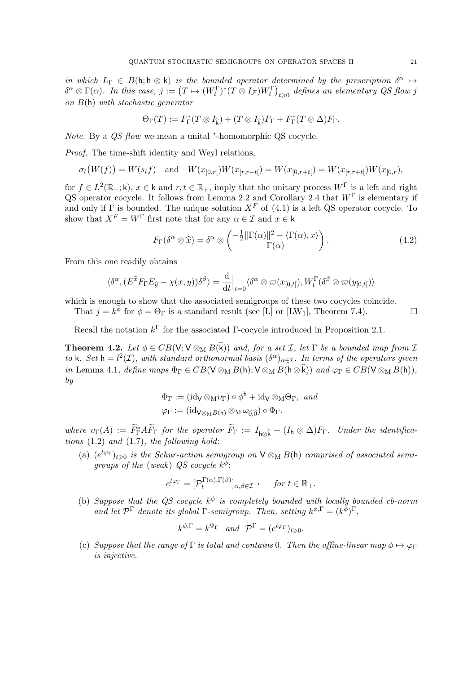in which  $L_{\Gamma} \in B(\mathsf{h}; \mathsf{h} \otimes \mathsf{k})$  is the bounded operator determined by the prescription  $\delta^{\alpha} \mapsto$  $\delta^{\alpha} \otimes \Gamma(\alpha)$ . In this case,  $j := (T \mapsto (W_t^{\Gamma})^*(T \otimes I_{\mathcal{F}})W_t^{\Gamma})_{t \geqslant 0}$  defines an elementary QS flow j on  $B(h)$  with stochastic generator

$$
\Theta_{\Gamma}(T) := F_{\Gamma}^*(T \otimes I_{\widehat{k}}) + (T \otimes I_{\widehat{k}})F_{\Gamma} + F_{\Gamma}^*(T \otimes \Delta)F_{\Gamma}.
$$

Note. By a QS flow we mean a unital \*-homomorphic QS cocycle.

Proof. The time-shift identity and Weyl relations,

$$
\sigma_t\big(W(f)\big) = W(s_t f) \quad \text{and} \quad W(x_{[0,r]}) W(x_{[r,r+t]}) = W(x_{[0,r+t]}) = W(x_{[r,r+t]}) W(x_{[0,r}),
$$

for  $f \in L^2(\mathbb{R}_+; \mathsf{k})$ ,  $x \in \mathsf{k}$  and  $r, t \in \mathbb{R}_+$ , imply that the unitary process  $W^{\Gamma}$  is a left and right QS operator cocycle. It follows from Lemma 2.2 and Corollary 2.4 that  $W^{\Gamma}$  is elementary if and only if  $\Gamma$  is bounded. The unique solution  $X^F$  of (4.1) is a left QS operator cocycle. To show that  $X^F = W^{\Gamma}$  first note that for any  $\alpha \in \mathcal{I}$  and  $x \in \mathsf{k}$ 

$$
F_{\Gamma}(\delta^{\alpha} \otimes \widehat{x}) = \delta^{\alpha} \otimes \begin{pmatrix} -\frac{1}{2} ||\Gamma(\alpha)||^2 - \langle \Gamma(\alpha), x \rangle \\ \Gamma(\alpha) \end{pmatrix}.
$$
 (4.2)

From this one readily obtains

$$
\langle \delta^{\alpha}, (E^{\widehat{x}} F_{\Gamma} E_{\widehat{y}} - \chi(x, y)) \delta^{\beta} \rangle = \frac{\mathrm{d}}{\mathrm{d} t} \Big|_{t=0} \langle \delta^{\alpha} \otimes \varpi(x_{[0, t[}), W_{t}^{\Gamma} (\delta^{\beta} \otimes \varpi(y_{[0, t[}))) \rangle) \rangle
$$

which is enough to show that the associated semigroups of these two cocycles coincide.

That  $j = k^{\overline{\phi}}$  for  $\phi = \Theta_{\Gamma}$  is a standard result (see [L] or [LW<sub>1</sub>], Theorem 7.4).

Recall the notation  $k^{\Gamma}$  for the associated  $\Gamma$ -cocycle introduced in Proposition 2.1.

**Theorem 4.2.** Let  $\phi \in CB(V; V \otimes_M B(\hat{k}))$  and, for a set  $\mathcal{I}$ , let  $\Gamma$  be a bounded map from  $\mathcal{I}$ to k. Set  $h = l^2(\mathcal{I})$ , with standard orthonormal basis  $(\delta^{\alpha})_{\alpha \in \mathcal{I}}$ . In terms of the operators given in Lemma 4.1, define maps  $\Phi_{\Gamma} \in CB(\mathsf{V} \otimes_{\mathsf{M}} B(\mathsf{h}); \mathsf{V} \otimes_{\mathsf{M}} B(\mathsf{h} \otimes \hat{\mathsf{k}}))$  and  $\varphi_{\Gamma} \in CB(\mathsf{V} \otimes_{\mathsf{M}} B(\mathsf{h})),$ by

$$
\Phi_{\Gamma} := (\mathrm{id}_{\mathsf{V}} \otimes_{\mathsf{M}} v_{\Gamma}) \circ \phi^{\mathsf{h}} + \mathrm{id}_{\mathsf{V}} \otimes_{\mathsf{M}} \Theta_{\Gamma}, \text{ and}
$$

$$
\varphi_{\Gamma} := (\mathrm{id}_{\mathsf{V} \otimes_{\mathsf{M}} B(\mathsf{h})} \otimes_{\mathsf{M}} \omega_{\widehat{0},\widehat{0}}) \circ \Phi_{\Gamma}.
$$

where  $v_{\Gamma}(A) := \widetilde{F}_{\Gamma}^* A \widetilde{F}_{\Gamma}$  for the operator  $\widetilde{F}_{\Gamma} := I_{\mathsf{h} \otimes \widehat{k}} + (I_{\mathsf{h}} \otimes \Delta) F_{\Gamma}$ . Under the identifications  $(1.2)$  and  $(1.7)$ , the following hold:

(a)  $(e^{t\varphi_T})_{t\geqslant0}$  is the Schur-action semigroup on  $\mathsf{V}\otimes_{\mathsf{M}} B(\mathsf{h})$  comprised of associated semigroups of the (weak) QS cocycle  $k^{\phi}$ :

$$
e^{t\varphi_{\Gamma}} = [\mathcal{P}_t^{\Gamma(\alpha),\Gamma(\beta)}]_{\alpha,\beta \in \mathcal{I}} \cdot \quad \text{for } t \in \mathbb{R}_+.
$$

(b) Suppose that the QS cocycle  $k^{\phi}$  is completely bounded with locally bounded cb-norm and let  $\mathcal{P}^{\Gamma}$  denote its global  $\Gamma$ -semigroup. Then, setting  $k^{\phi,\Gamma} = (k^{\phi})^{\Gamma}$ ,

$$
k^{\phi,\Gamma} = k^{\Phi_{\Gamma}}
$$
 and  $\mathcal{P}^{\Gamma} = (e^{t\varphi_{\Gamma}})_{t \geq 0}$ .

(c) Suppose that the range of Γ is total and contains 0. Then the affine-linear map  $\phi \mapsto \varphi_{\Gamma}$ is injective.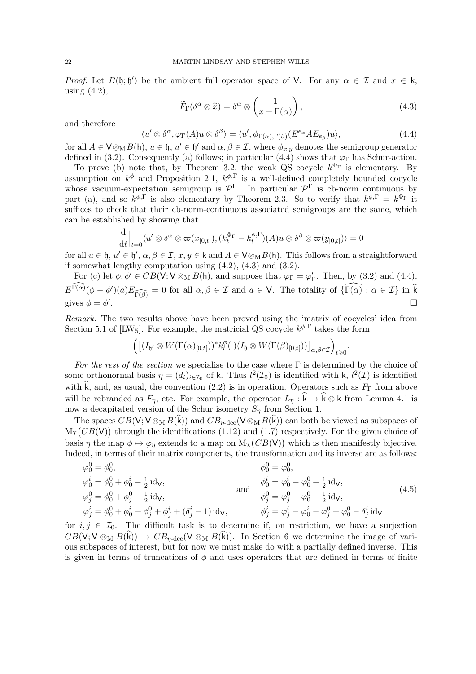Proof. Let  $B(\mathfrak{h}; \mathfrak{h}')$  be the ambient full operator space of V. For any  $\alpha \in \mathcal{I}$  and  $x \in \mathfrak{k}$ , using  $(4.2)$ ,

$$
\widetilde{F}_{\Gamma}(\delta^{\alpha} \otimes \widehat{x}) = \delta^{\alpha} \otimes \begin{pmatrix} 1 \\ x + \Gamma(\alpha) \end{pmatrix}, \tag{4.3}
$$

.

and therefore

$$
\langle u' \otimes \delta^{\alpha}, \varphi_{\Gamma}(A)u \otimes \delta^{\beta} \rangle = \langle u', \phi_{\Gamma(\alpha), \Gamma(\beta)}(E^{e_{\alpha}}AE_{e_{\beta}})u \rangle, \tag{4.4}
$$

for all  $A \in V \otimes_M B(\mathsf{h}), u \in \mathfrak{h}, u' \in \mathfrak{h}'$  and  $\alpha, \beta \in \mathcal{I}$ , where  $\phi_{x,y}$  denotes the semigroup generator defined in (3.2). Consequently (a) follows; in particular (4.4) shows that  $\varphi_{\Gamma}$  has Schur-action.

To prove (b) note that, by Theorem 3.2, the weak QS cocycle  $k^{\Phi_{\Gamma}}$  is elementary. By assumption on  $k^{\phi}$  and Proposition 2.1,  $k^{\phi,\Gamma}$  is a well-defined completely bounded cocycle whose vacuum-expectation semigroup is  $\mathcal{P}^{\Gamma}$ . In particular  $\mathcal{P}^{\Gamma}$  is cb-norm continuous by part (a), and so  $k^{\phi,\Gamma}$  is also elementary by Theorem 2.3. So to verify that  $k^{\phi,\Gamma} = k^{\Phi_{\Gamma}}$  it suffices to check that their cb-norm-continuous associated semigroups are the same, which can be established by showing that

$$
\frac{\mathrm{d}}{\mathrm{d}t}\Big|_{t=0}\langle u' \otimes \delta^{\alpha} \otimes \varpi(x_{[0,t[}), (k_t^{\Phi_{\Gamma}} - k_t^{\phi,\Gamma})(A)u \otimes \delta^{\beta} \otimes \varpi(y_{[0,t[}) \rangle = 0
$$

for all  $u \in \mathfrak{h}, u' \in \mathfrak{h}'$ ,  $\alpha, \beta \in \mathcal{I}, x, y \in \mathsf{k}$  and  $A \in \mathsf{V} \otimes_M B(\mathsf{h})$ . This follows from a straightforward if somewhat lengthy computation using (4.2), (4.3) and (3.2).

For (c) let  $\phi, \phi' \in CB(\mathsf{V}; \mathsf{V} \otimes_{\mathsf{M}} B(\mathsf{h}))$ , and suppose that  $\varphi_{\Gamma} = \varphi_{\Gamma}'$ . Then, by (3.2) and (4.4),  $E^{\widehat{\Gamma(\alpha)}}(\phi - \phi')(a)E_{\widehat{\Gamma(\beta)}} = 0$  for all  $\alpha, \beta \in \mathcal{I}$  and  $a \in \mathsf{V}$ . The totality of  $\{\widehat{\Gamma(\alpha)} : \alpha \in \mathcal{I}\}\$ in k gives  $\phi = \phi'$ .

Remark. The two results above have been proved using the 'matrix of cocycles' idea from Section 5.1 of [LW<sub>5</sub>]. For example, the matricial QS cocycle  $k^{\phi, \Gamma}$  takes the form

$$
\left( \left[ (I_{\mathfrak{h}'} \otimes W(\Gamma(\alpha)_{[0,t[}))^* k_t^{\phi}(\cdot) (I_{\mathfrak{h}} \otimes W(\Gamma(\beta)_{[0,t[})) \right]_{\alpha,\beta \in \mathcal{I}} \right)_{t \geq 0}
$$

For the rest of the section we specialise to the case where  $\Gamma$  is determined by the choice of some orthonormal basis  $\eta = (d_i)_{i \in I_0}$  of k. Thus  $l^2(I_0)$  is identified with k,  $l^2(I)$  is identified with  $\hat{k}$ , and, as usual, the convention (2.2) is in operation. Operators such as  $F_{\Gamma}$  from above will be rebranded as  $F_\eta$ , etc. For example, the operator  $L_\eta : \hat{k} \to \hat{k} \otimes k$  from Lemma 4.1 is now a decapitated version of the Schur isometry  $S_{\overline{n}}$  from Section 1.

The spaces  $CB(V; V \otimes_M B(\vec{k}))$  and  $CB_{\overline{\eta} \text{-dec}}(V \otimes_M B(\vec{k}))$  can both be viewed as subspaces of  $M_{\mathcal{I}}(CB(V))$  through the identifications (1.12) and (1.7) respectively. For the given choice of basis  $\eta$  the map  $\phi \mapsto \varphi_{\eta}$  extends to a map on  $M_{\mathcal{I}}(CB(V))$  which is then manifestly bijective. Indeed, in terms of their matrix components, the transformation and its inverse are as follows:

$$
\varphi_0^0 = \phi_0^0, \n\varphi_0^i = \phi_0^0 + \phi_0^i - \frac{1}{2} \operatorname{id}_V, \n\varphi_j^0 = \phi_0^0 + \phi_j^0 - \frac{1}{2} \operatorname{id}_V, \n\varphi_j^i = \phi_0^0 + \phi_0^i + \phi_j^0 + \phi_j^i + (\delta_j^i - 1) \operatorname{id}_V, \n\vdots \n\varphi_j^i = \phi_0^i - \phi_0^0 + \frac{1}{2} \operatorname{id}_V, \n\phi_j^i = \phi_j^i - \phi_0^i + \frac{1}{2} \operatorname{id}_V, \n\phi_j^i = \phi_j^i - \phi_0^i - \phi_j^0 + \phi_0^0 - \delta_j^i \operatorname{id}_V
$$
\n(4.5)

for  $i, j \in \mathcal{I}_0$ . The difficult task is to determine if, on restriction, we have a surjection  $CB(V; V \otimes_M B(k)) \to CB_{\overline{\eta}-\text{dec}}(V \otimes_M B(k)).$  In Section 6 we determine the image of various subspaces of interest, but for now we must make do with a partially defined inverse. This is given in terms of truncations of  $\phi$  and uses operators that are defined in terms of finite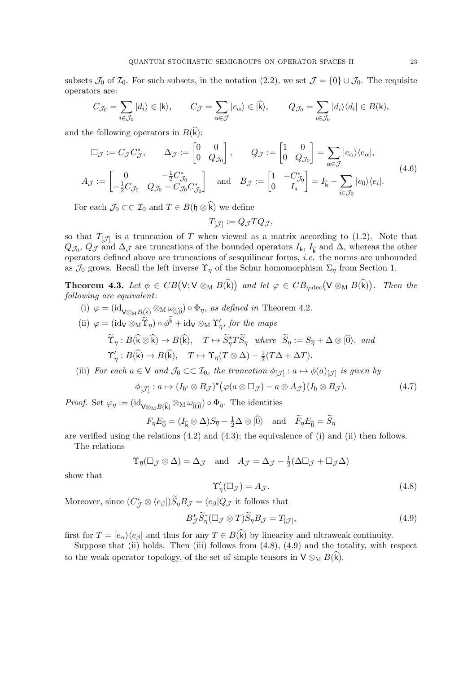subsets  $\mathcal{J}_0$  of  $\mathcal{I}_0$ . For such subsets, in the notation  $(2.2)$ , we set  $\mathcal{J} = \{0\} \cup \mathcal{J}_0$ . The requisite operators are:

$$
C_{\mathcal{J}_0} = \sum_{i \in \mathcal{J}_0} |d_i\rangle \in |k\rangle, \qquad C_{\mathcal{J}} = \sum_{\alpha \in \mathcal{J}} |e_{\alpha}\rangle \in |\widehat{k}\rangle, \qquad Q_{\mathcal{J}_0} = \sum_{i \in \mathcal{J}_0} |d_i\rangle \langle d_i| \in B(k),
$$

and the following operators in  $B(\widehat{k})$ :

$$
\Box_{\mathcal{J}} := C_{\mathcal{J}} C_{\mathcal{J}}^*, \qquad \Delta_{\mathcal{J}} := \begin{bmatrix} 0 & 0 \\ 0 & Q_{\mathcal{J}_0} \end{bmatrix}, \qquad Q_{\mathcal{J}} := \begin{bmatrix} 1 & 0 \\ 0 & Q_{\mathcal{J}_0} \end{bmatrix} = \sum_{\alpha \in \mathcal{J}} |e_{\alpha}\rangle \langle e_{\alpha}|,
$$
\n
$$
A_{\mathcal{J}} := \begin{bmatrix} 0 & -\frac{1}{2} C_{\mathcal{J}_0}^* \\ -\frac{1}{2} C_{\mathcal{J}_0} & Q_{\mathcal{J}_0} - C_{\mathcal{J}_0} C_{\mathcal{J}_0}^* \end{bmatrix} \quad \text{and} \quad B_{\mathcal{J}} := \begin{bmatrix} 1 & -C_{\mathcal{J}_0}^* \\ 0 & I_k \end{bmatrix} = I_{\widehat{k}} - \sum_{i \in \mathcal{J}_0} |e_0\rangle \langle e_i|.
$$
\n
$$
(4.6)
$$

For each  $\mathcal{J}_0 \subset \mathcal{I}_0$  and  $T \in B(\mathfrak{h} \otimes \hat{k})$  we define

$$
T_{\left[ \mathcal{J}\right] }:=Q_{\mathcal{J}}TQ_{\mathcal{J}},
$$

so that  $T_{\mathcal{J}}$  is a truncation of T when viewed as a matrix according to (1.2). Note that  $Q_{\mathcal{J}_0}, Q_{\mathcal{J}}$  and  $\Delta_{\mathcal{J}}$  are truncations of the bounded operators  $I_k$ ,  $I_k$  and  $\Delta$ , whereas the other operators defined above are truncations of sesquilinear forms, i.e. the norms are unbounded as  $\mathcal{J}_0$  grows. Recall the left inverse  $\Upsilon_{\overline{\eta}}$  of the Schur homomorphism  $\Sigma_{\overline{\eta}}$  from Section 1.

**Theorem 4.3.** Let  $\phi \in CB(\mathsf{V}; \mathsf{V} \otimes_{\mathsf{M}} B(\mathsf{k}))$  and let  $\varphi \in CB_{\overline{\eta}\text{-dec}}(\mathsf{V} \otimes_{\mathsf{M}} B(\mathsf{k}))$ . Then the following are equivalent:

- (i)  $\varphi = (\mathrm{id}_{\mathsf{V} \otimes_M B(\widehat{\mathsf{K}})} \otimes_M \omega_{\widehat{0},\widehat{0}}) \circ \Phi_{\eta}$ , as defined in Theorem 4.2.
- (ii)  $\varphi = (\mathrm{id}_V \otimes_M \widetilde{\Upsilon}_{\eta}) \circ \phi^k + \mathrm{id}_V \otimes_M \Upsilon'_{\eta}$ , for the maps  $\widetilde{\Upsilon}_{\eta}:B(\widehat{\mathsf{k}}\otimes \widehat{\mathsf{k}})\to B(\widehat{\mathsf{k}}),\quad T\mapsto \widetilde{S}_{\eta}^{*}T\widetilde{S}_{\eta}\quad where\quad \widetilde{S}_{\eta}:=S_{\overline{\eta}}+\Delta\otimes|\widehat{0}\rangle,\quad and$

$$
\Upsilon'_{\eta}: B(\widehat{k}) \to B(\widehat{k}), \quad T \mapsto \Upsilon_{\overline{\eta}}(T \otimes \Delta) - \frac{1}{2}(T\Delta + \Delta T).
$$

(iii) For each  $a \in V$  and  $\mathcal{J}_0 \subset \subset \mathcal{I}_0$ , the truncation  $\phi_{[\mathcal{J}]} : a \mapsto \phi(a)_{[\mathcal{J}]}$  is given by

$$
\phi_{\lbrack\mathcal{J}\rbrack}:a\mapsto (I_{\mathfrak{h}'}\otimes B_{\mathcal{J}})^{*}\big(\varphi(a\otimes \square_{\mathcal{J}})-a\otimes A_{\mathcal{J}}\big)(I_{\mathfrak{h}}\otimes B_{\mathcal{J}}).
$$
\n(4.7)

*Proof.* Set  $\varphi_{\eta} := (\mathrm{id}_{\mathsf{V} \otimes_{\mathrm{M}} B(\widehat{k})} \otimes_{\mathrm{M}} \omega_{\widehat{0},\widehat{0}}) \circ \Phi_{\eta}$ . The identities

$$
F_{\eta}E_{\widehat{0}} = (I_{\widehat{k}} \otimes \Delta)S_{\overline{\eta}} - \frac{1}{2}\Delta \otimes |\widehat{0}\rangle
$$
 and  $\widetilde{F}_{\eta}E_{\widehat{0}} = \widetilde{S}_{\eta}$ 

are verified using the relations  $(4.2)$  and  $(4.3)$ ; the equivalence of (i) and (ii) then follows. The relations

$$
\Upsilon_{\overline{\eta}}(\square_{\mathcal{J}} \otimes \Delta) = \Delta_{\mathcal{J}}
$$
 and  $A_{\mathcal{J}} = \Delta_{\mathcal{J}} - \frac{1}{2}(\Delta\square_{\mathcal{J}} + \square_{\mathcal{J}}\Delta)$ 

show that

$$
\Upsilon_{\eta}'(\square_{\mathcal{J}}) = A_{\mathcal{J}}.\tag{4.8}
$$

Moreover, since  $(C_{\mathcal{J}}^* \otimes \langle e_{\beta} |) \widetilde{S}_{\eta} B_{\mathcal{J}} = \langle e_{\beta} | Q_{\mathcal{J}} \rangle$  it follows that

$$
B_{\mathcal{J}}^*\widetilde{S}_{\eta}^*(\Box_{\mathcal{J}}\otimes T)\widetilde{S}_{\eta}B_{\mathcal{J}}=T_{[\mathcal{J}]},\tag{4.9}
$$

first for  $T = |e_{\alpha}\rangle\langle e_{\beta}|$  and thus for any  $T \in B(\widehat{k})$  by linearity and ultraweak continuity.

Suppose that (ii) holds. Then (iii) follows from  $(4.8)$ ,  $(4.9)$  and the totality, with respect to the weak operator topology, of the set of simple tensors in  $V \otimes_M B(\widehat{k})$ .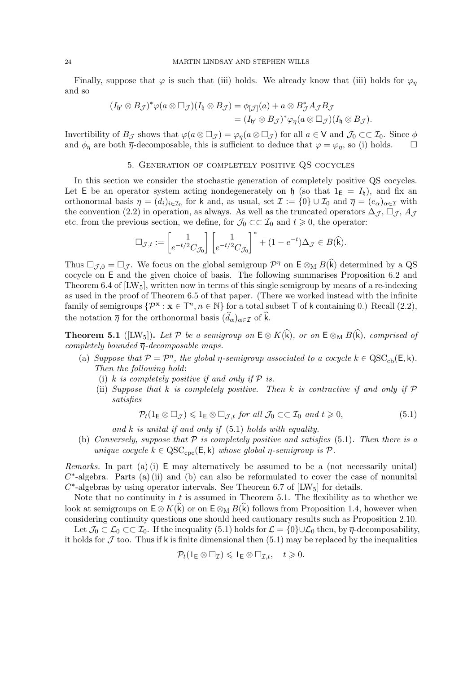Finally, suppose that  $\varphi$  is such that (iii) holds. We already know that (iii) holds for  $\varphi_{\eta}$ and so

$$
(I_{\mathfrak{h}'}\otimes B_{\mathcal{J}})^*\varphi(a\otimes \Box_{\mathcal{J}})(I_{\mathfrak{h}}\otimes B_{\mathcal{J}})=\phi_{[\mathcal{J}]}(a)+a\otimes B_{\mathcal{J}}^*A_{\mathcal{J}}B_{\mathcal{J}}=(I_{\mathfrak{h}'}\otimes B_{\mathcal{J}})^*\varphi_{\eta}(a\otimes \Box_{\mathcal{J}})(I_{\mathfrak{h}}\otimes B_{\mathcal{J}}).
$$

Invertibility of  $B_{\mathcal{J}}$  shows that  $\varphi(a\otimes \Box_{\mathcal{J}})=\varphi_{\eta}(a\otimes \Box_{\mathcal{J}})$  for all  $a\in V$  and  $\mathcal{J}_0\subset\subset\mathcal{I}_0$ . Since  $\phi$ and  $\phi_{\eta}$  are both  $\bar{\eta}$ -decomposable, this is sufficient to deduce that  $\varphi = \varphi_{\eta}$ , so (i) holds.  $\square$ 

#### 5. Generation of completely positive QS cocycles

In this section we consider the stochastic generation of completely positive QS cocycles. Let E be an operator system acting nondegenerately on  $\mathfrak{h}$  (so that  $1_{\mathsf{E}} = I_{\mathfrak{h}}$ ), and fix an orthonormal basis  $\eta = (d_i)_{i \in \mathcal{I}_0}$  for k and, as usual, set  $\mathcal{I} := \{0\} \cup \mathcal{I}_0$  and  $\overline{\eta} = (e_\alpha)_{\alpha \in \mathcal{I}}$  with the convention (2.2) in operation, as always. As well as the truncated operators  $\Delta_{\mathcal{J}}, \Box_{\mathcal{J}}, A_{\mathcal{J}}$ etc. from the previous section, we define, for  $\mathcal{J}_0 \subset\subset \mathcal{I}_0$  and  $t \geq 0$ , the operator:

$$
\square_{\mathcal{J},t}:=\begin{bmatrix}1\\ e^{-t/2}C_{\mathcal{J}_0}\end{bmatrix}\begin{bmatrix}1\\ e^{-t/2}C_{\mathcal{J}_0}\end{bmatrix}^*+(1-e^{-t})\Delta_{\mathcal{J}}\in B(\widehat{\mathbf{k}}).
$$

Thus  $\Box_{\mathcal{J},0} = \Box_{\mathcal{J}}$ . We focus on the global semigroup  $\mathcal{P}^{\eta}$  on  $\mathsf{E} \otimes_M B(\hat{k})$  determined by a QS cocycle on E and the given choice of basis. The following summarises Proposition 6.2 and Theorem 6.4 of  $[{\rm LW}_5]$ , written now in terms of this single semigroup by means of a re-indexing as used in the proof of Theorem 6.5 of that paper. (There we worked instead with the infinite family of semigroups  $\{\mathcal{P}^{\mathbf{x}} : \mathbf{x} \in \mathbb{T}^n, n \in \mathbb{N}\}$  for a total subset T of k containing 0.) Recall (2.2), the notation  $\bar{\eta}$  for the orthonormal basis  $(\widehat{d}_{\alpha})_{\alpha \in \mathcal{I}}$  of  $\widehat{k}$ .

**Theorem 5.1** ([LW<sub>5</sub>]). Let P be a semigroup on  $E \otimes K(\hat{k})$ , or on  $E \otimes_M B(\hat{k})$ , comprised of completely bounded  $\overline{\eta}$ -decomposable maps.

- (a) Suppose that  $P = \mathcal{P}^{\eta}$ , the global  $\eta$ -semigroup associated to a cocycle  $k \in \mathrm{QSC}_{cb}(\mathsf{E}, \mathsf{k})$ . Then the following hold:
	- (i) k is completely positive if and only if  $P$  is.
	- (ii) Suppose that k is completely positive. Then k is contractive if and only if  $P$ satisfies

$$
\mathcal{P}_t(1_{\mathsf{E}} \otimes \Box_{\mathcal{J}}) \leqslant 1_{\mathsf{E}} \otimes \Box_{\mathcal{J},t} \text{ for all } \mathcal{J}_0 \subset \subset \mathcal{I}_0 \text{ and } t \geqslant 0,
$$
\n
$$
(5.1)
$$

and  $k$  is unital if and only if  $(5.1)$  holds with equality.

(b) Conversely, suppose that  $P$  is completely positive and satisfies (5.1). Then there is a unique cocycle  $k \in \mathrm{QSC}_{\mathrm{cpc}}(E, k)$  whose global  $\eta$ -semigroup is  $\mathcal{P}$ .

*Remarks.* In part (a) (i)  $E$  may alternatively be assumed to be a (not necessarily unital)  $C^*$ -algebra. Parts (a) (ii) and (b) can also be reformulated to cover the case of nonunital  $C^*$ -algebras by using operator intervals. See Theorem 6.7 of [LW<sub>5</sub>] for details.

Note that no continuity in  $t$  is assumed in Theorem 5.1. The flexibility as to whether we look at semigroups on  $E \otimes K(\hat{k})$  or on  $E \otimes_M B(\hat{k})$  follows from Proposition 1.4, however when considering continuity questions one should heed cautionary results such as Proposition 2.10.

Let  $\mathcal{J}_0 \subset \mathcal{L}_0 \subset \mathcal{I}_0$ . If the inequality (5.1) holds for  $\mathcal{L} = \{0\} \cup \mathcal{L}_0$  then, by  $\overline{\eta}$ -decomposability, it holds for  $\mathcal J$  too. Thus if k is finite dimensional then  $(5.1)$  may be replaced by the inequalities

$$
\mathcal{P}_t(1_{\mathsf{E}} \otimes \Box_{\mathcal{I}}) \leqslant 1_{\mathsf{E}} \otimes \Box_{\mathcal{I},t}, \quad t \geqslant 0.
$$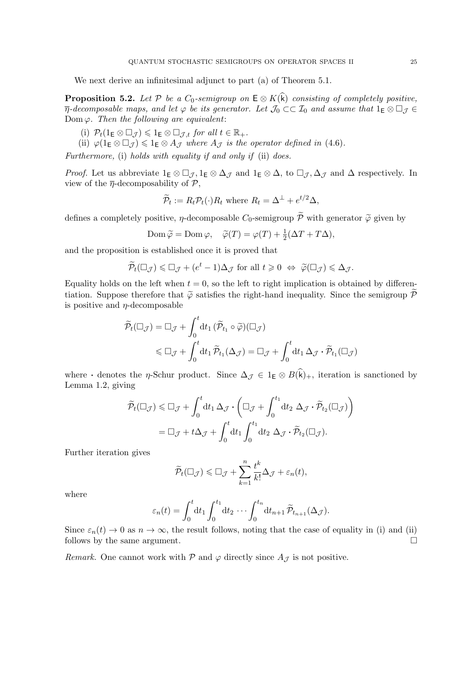We next derive an infinitesimal adjunct to part (a) of Theorem 5.1.

**Proposition 5.2.** Let P be a  $C_0$ -semigroup on  $E \otimes K(\hat{k})$  consisting of completely positive,  $\overline{\eta}$ -decomposable maps, and let  $\varphi$  be its generator. Let  $\mathcal{J}_0 \subset\subset \mathcal{I}_0$  and assume that  $1_E \otimes \Box_{\mathcal{J}} \in$ Dom  $\varphi$ . Then the following are equivalent:

- (i)  $\mathcal{P}_t(1_E \otimes \Box_{\mathcal{J}}) \leqslant 1_E \otimes \Box_{\mathcal{J},t}$  for all  $t \in \mathbb{R}_+$ .
- (ii)  $\varphi(1_E \otimes \Box_{\mathcal{J}}) \leq \mathbb{1}_E \otimes A_{\mathcal{J}}$  where  $A_{\mathcal{J}}$  is the operator defined in (4.6).

Furthermore, (i) holds with equality if and only if (ii) does.

*Proof.* Let us abbreviate  $1_E \otimes \Box_{\mathcal{J}}$ ,  $1_E \otimes \Delta_{\mathcal{J}}$  and  $1_E \otimes \Delta$ , to  $\Box_{\mathcal{J}}$ ,  $\Delta_{\mathcal{J}}$  and  $\Delta$  respectively. In view of the  $\bar{\eta}$ -decomposability of  $\mathcal{P}$ ,

$$
\widetilde{\mathcal{P}}_t := R_t \mathcal{P}_t(\cdot) R_t \text{ where } R_t = \Delta^{\perp} + e^{t/2} \Delta,
$$

defines a completely positive,  $\eta$ -decomposable  $C_0$ -semigroup  $\widetilde{\mathcal{P}}$  with generator  $\widetilde{\varphi}$  given by

$$
\text{Dom}\,\widetilde{\varphi} = \text{Dom}\,\varphi, \quad \widetilde{\varphi}(T) = \varphi(T) + \frac{1}{2}(\Delta T + T\Delta),
$$

and the proposition is established once it is proved that

$$
\widetilde{\mathcal{P}}_t(\square_{\mathcal{J}}) \leq \square_{\mathcal{J}} + (e^t - 1)\Delta_{\mathcal{J}} \text{ for all } t \geq 0 \ \Leftrightarrow \ \widetilde{\varphi}(\square_{\mathcal{J}}) \leq \Delta_{\mathcal{J}}.
$$

Equality holds on the left when  $t = 0$ , so the left to right implication is obtained by differentiation. Suppose therefore that  $\tilde{\varphi}$  satisfies the right-hand inequality. Since the semigroup  $\tilde{\mathcal{P}}$ is positive and  $\eta$ -decomposable

$$
\widetilde{\mathcal{P}}_t(\Box_{\mathcal{J}}) = \Box_{\mathcal{J}} + \int_0^t dt_1 \, (\widetilde{\mathcal{P}}_{t_1} \circ \widetilde{\varphi})(\Box_{\mathcal{J}})
$$
\n
$$
\leq \Box_{\mathcal{J}} + \int_0^t dt_1 \, \widetilde{\mathcal{P}}_{t_1}(\Delta_{\mathcal{J}}) = \Box_{\mathcal{J}} + \int_0^t dt_1 \, \Delta_{\mathcal{J}} \cdot \widetilde{\mathcal{P}}_{t_1}(\Box_{\mathcal{J}})
$$

where  $\cdot$  denotes the  $\eta$ -Schur product. Since  $\Delta_{\mathcal{J}} \in 1_E \otimes B(\hat{k})_+$ , iteration is sanctioned by Lemma 1.2, giving

$$
\widetilde{\mathcal{P}}_t(\Box_{\mathcal{J}}) \leq \Box_{\mathcal{J}} + \int_0^t dt_1 \,\Delta_{\mathcal{J}} \cdot \left( \Box_{\mathcal{J}} + \int_0^{t_1} dt_2 \,\Delta_{\mathcal{J}} \cdot \widetilde{\mathcal{P}}_{t_2}(\Box_{\mathcal{J}}) \right)
$$

$$
= \Box_{\mathcal{J}} + t \Delta_{\mathcal{J}} + \int_0^t dt_1 \int_0^{t_1} dt_2 \,\Delta_{\mathcal{J}} \cdot \widetilde{\mathcal{P}}_{t_2}(\Box_{\mathcal{J}}).
$$

Further iteration gives

$$
\widetilde{\mathcal{P}}_t(\square_{\mathcal{J}}) \leq \square_{\mathcal{J}} + \sum_{k=1}^n \frac{t^k}{k!} \Delta_{\mathcal{J}} + \varepsilon_n(t),
$$

where

$$
\varepsilon_n(t) = \int_0^t dt_1 \int_0^{t_1} dt_2 \cdots \int_0^{t_n} dt_{n+1} \widetilde{\mathcal{P}}_{t_{n+1}}(\Delta_{\mathcal{J}}).
$$

Since  $\varepsilon_n(t) \to 0$  as  $n \to \infty$ , the result follows, noting that the case of equality in (i) and (ii) follows by the same argument.  $\hfill \square$ 

Remark. One cannot work with  $P$  and  $\varphi$  directly since  $A_{\mathcal{J}}$  is not positive.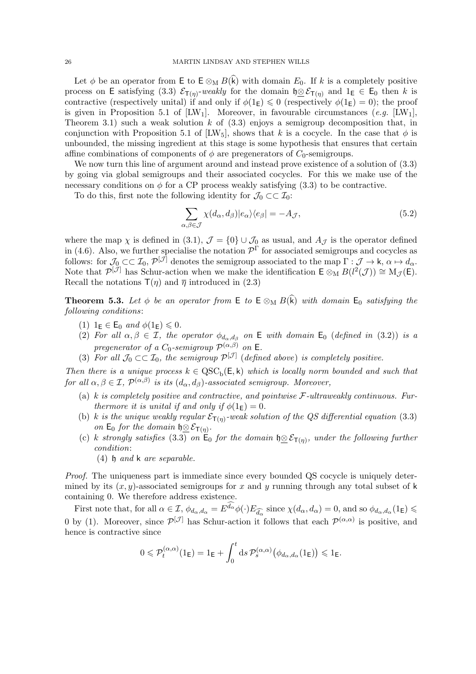Let  $\phi$  be an operator from E to E  $\otimes_M B(k)$  with domain  $E_0$ . If k is a completely positive process on E satisfying (3.3)  $\mathcal{E}_{T(\eta)}$ -weakly for the domain  $\mathfrak{h}\otimes \mathcal{E}_{T(\eta)}$  and  $1_{\mathsf{E}}\in \mathsf{E}_0$  then k is contractive (respectively unital) if and only if  $\phi(1_{\mathsf{E}}) \leq 0$  (respectively  $\phi(1_{\mathsf{E}}) = 0$ ); the proof is given in Proposition 5.1 of  $[{\rm LW}_1]$ . Moreover, in favourable circumstances (e.g.  $[{\rm LW}_1]$ , Theorem 3.1) such a weak solution k of  $(3.3)$  enjoys a semigroup decomposition that, in conjunction with Proposition 5.1 of  $\text{[LW}_5$ , shows that k is a cocycle. In the case that  $\phi$  is unbounded, the missing ingredient at this stage is some hypothesis that ensures that certain affine combinations of components of  $\phi$  are pregenerators of  $C_0$ -semigroups.

We now turn this line of argument around and instead prove existence of a solution of (3.3) by going via global semigroups and their associated cocycles. For this we make use of the necessary conditions on  $\phi$  for a CP process weakly satisfying (3.3) to be contractive.

To do this, first note the following identity for  $\mathcal{J}_0 \subset \subset \mathcal{I}_0$ :

$$
\sum_{\alpha,\beta\in\mathcal{J}} \chi(d_{\alpha}, d_{\beta}) |e_{\alpha}\rangle\langle e_{\beta}| = -A_{\mathcal{J}},\tag{5.2}
$$

where the map  $\chi$  is defined in (3.1),  $\mathcal{J} = \{0\} \cup \mathcal{J}_0$  as usual, and  $A_{\mathcal{J}}$  is the operator defined in (4.6). Also, we further specialise the notation  $\mathcal{P}^{\Gamma}$  for associated semigroups and cocycles as follows: for  $\mathcal{J}_0 \subset\subset \mathcal{I}_0$ ,  $\mathcal{P}^{[\mathcal{J}]}$  denotes the semigroup associated to the map  $\Gamma: \mathcal{J} \to \mathsf{k}$ ,  $\alpha \mapsto d_\alpha$ . Note that  $\mathcal{P}^{[\tilde{\mathcal{J}}]}$  has Schur-action when we make the identification  $\mathsf{E} \otimes_M B(l^2(\mathcal{J})) \cong M_{\mathcal{J}}(\mathsf{E}).$ Recall the notations  $\mathsf{T}(\eta)$  and  $\overline{\eta}$  introduced in (2.3)

**Theorem 5.3.** Let  $\phi$  be an operator from E to E  $\otimes_M B(\hat{k})$  with domain E<sub>0</sub> satisfying the following conditions:

- (1)  $1_E \in \mathsf{E}_0$  and  $\phi(1_E) \leq 0$ .
- (2) For all  $\alpha, \beta \in \mathcal{I}$ , the operator  $\phi_{d_{\alpha}, d_{\beta}}$  on E with domain  $\mathsf{E}_0$  (defined in (3.2)) is a pregenerator of a  $C_0$ -semigroup  $\mathcal{P}^{(\alpha,\beta)}$  on **E**.
- (3) For all  $\mathcal{J}_0 \subset \subset \mathcal{I}_0$ , the semigroup  $\mathcal{P}^{[\mathcal{J}]}$  (defined above) is completely positive.

Then there is a unique process  $k \in \text{QSC}_b(\mathsf{E}, \mathsf{k})$  which is locally norm bounded and such that for all  $\alpha, \beta \in \mathcal{I}$ ,  $\mathcal{P}^{(\alpha,\beta)}$  is its  $(d_{\alpha}, d_{\beta})$ -associated semigroup. Moreover,

- (a) k is completely positive and contractive, and pointwise  $\mathcal{F}\text{-}ultraweaky$  continuous. Furthermore it is unital if and only if  $\phi(1_{\mathsf{E}}) = 0$ .
- (b) k is the unique weakly regular  $\mathcal{E}_{\mathsf{T}(\eta)}$ -weak solution of the QS differential equation (3.3) on  $E_0$  for the domain  $\mathfrak{h} \underline{\otimes} \mathcal{E}_{\mathsf{T}(\eta)}$ .
- (c) k strongly satisfies (3.3) on  $E_0$  for the domain  $\mathfrak{h} \underline{\otimes} \mathcal{E}_{\mathsf{T}(\eta)}$ , under the following further condition:
	- (4) h and k are separable.

Proof. The uniqueness part is immediate since every bounded QS cocycle is uniquely determined by its  $(x, y)$ -associated semigroups for x and y running through any total subset of k containing 0. We therefore address existence.

First note that, for all  $\alpha \in \mathcal{I}$ ,  $\phi_{d_{\alpha}, d_{\alpha}} = E^{d_{\alpha}} \phi(\cdot) E_{\widehat{d_{\alpha}}}$  since  $\chi(d_{\alpha}, d_{\alpha}) = 0$ , and so  $\phi_{d_{\alpha}, d_{\alpha}}(1_{\mathsf{E}}) \leq$ 0 by (1). Moreover, since  $\mathcal{P}^{[\mathcal{J}]}$  has Schur-action it follows that each  $\mathcal{P}^{(\alpha,\alpha)}$  is positive, and hence is contractive since

$$
0\leqslant \mathcal{P}^{(\alpha,\alpha)}_t(1_{\mathsf E})=1_{\mathsf E}+\int_0^t\mathrm{d} s\,\mathcal{P}^{(\alpha,\alpha)}_s\big(\phi_{d_{\alpha},d_{\alpha}}(1_{\mathsf E})\big)\leqslant 1_{\mathsf E}.
$$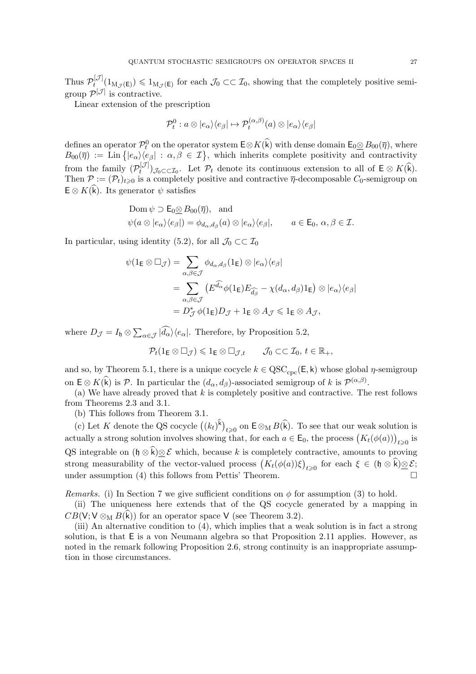Thus  $\mathcal{P}^{[\mathcal{J}]}_t$  $t^{[J]}(1_{M_{\mathcal{J}}(E)}) \leq 1_{M_{\mathcal{J}}(E)}$  for each  $\mathcal{J}_0 \subset\subset \mathcal{I}_0$ , showing that the completely positive semigroup  $\mathcal{P}^{[\mathcal{J}]}$  is contractive.

Linear extension of the prescription

$$
\mathcal{P}_t^0: a \otimes |e_\alpha{\rangle}\langle e_\beta| \mapsto \mathcal{P}_t^{(\alpha,\beta)}(a) \otimes |e_\alpha{\rangle}\langle e_\beta|
$$

defines an operator  $\mathcal{P}_t^0$  on the operator system  $\mathsf{E} \otimes K(\hat{\mathsf{k}})$  with dense domain  $\mathsf{E}_0 \otimes B_{00}(\overline{\eta})$ , where  $B_{00}(\overline{\eta}) := \text{Lin}\left\{ |e_{\alpha}\rangle\langle e_{\beta}| : \alpha, \beta \in \mathcal{I} \right\}$ , which inherits complete positivity and contractivity from the family  $(\mathcal{P}_t^{[\mathcal{J}]})$  $(t^{[J]})_{\mathcal{J}_0 \subset \subset \mathcal{I}_0}$ . Let  $\mathcal{P}_t$  denote its continuous extension to all of  $E \otimes K(k)$ . Then  $\mathcal{P} := (\mathcal{P}_t)_{t \geq 0}$  is a completely positive and contractive  $\bar{\eta}$ -decomposable  $C_0$ -semigroup on  $E \otimes K(\widehat{k})$ . Its generator  $\psi$  satisfies

$$
\text{Dom}\,\psi \supset \mathsf{E}_0 \underline{\otimes} B_{00}(\overline{\eta}), \text{ and}
$$
\n
$$
\psi(a \otimes |e_\alpha\rangle\langle e_\beta|) = \phi_{d_\alpha,d_\beta}(a) \otimes |e_\alpha\rangle\langle e_\beta|, \qquad a \in \mathsf{E}_0, \alpha, \beta \in \mathcal{I}.
$$

In particular, using identity (5.2), for all  $\mathcal{J}_0 \subset \subset \mathcal{I}_0$ 

$$
\psi(1_{\mathsf{E}} \otimes \Box_{\mathcal{J}}) = \sum_{\alpha,\beta \in \mathcal{J}} \phi_{d_{\alpha},d_{\beta}}(1_{\mathsf{E}}) \otimes |e_{\alpha}\rangle\langle e_{\beta}|
$$
  
= 
$$
\sum_{\alpha,\beta \in \mathcal{J}} \left( E^{\widehat{d_{\alpha}}}\phi(1_{\mathsf{E}})E_{\widehat{d_{\beta}}} - \chi(d_{\alpha},d_{\beta})1_{\mathsf{E}} \right) \otimes |e_{\alpha}\rangle\langle e_{\beta}|
$$
  
= 
$$
D_{\mathcal{J}}^{*}\phi(1_{\mathsf{E}})D_{\mathcal{J}} + 1_{\mathsf{E}} \otimes A_{\mathcal{J}} \leq 1_{\mathsf{E}} \otimes A_{\mathcal{J}},
$$

where  $D_{\mathcal{J}} = I_{\mathfrak{h}} \otimes \sum_{\alpha \in \mathcal{J}} |d_{\alpha}\rangle \langle e_{\alpha}|$ . Therefore, by Proposition 5.2,

$$
\mathcal{P}_t(1_{\mathsf{E}} \otimes \Box_{\mathcal{J}}) \leqslant 1_{\mathsf{E}} \otimes \Box_{\mathcal{J},t} \qquad \mathcal{J}_0 \subset\subset \mathcal{I}_0, t \in \mathbb{R}_+,
$$

and so, by Theorem 5.1, there is a unique cocycle  $k \in \mathrm{QSC}_{\mathrm{cpc}}(\mathsf{E}, \mathsf{k})$  whose global  $\eta$ -semigroup on  $E \otimes K(\vec{k})$  is  $\mathcal{P}$ . In particular the  $(d_{\alpha}, d_{\beta})$ -associated semigroup of k is  $\mathcal{P}^{(\alpha,\beta)}$ .

(a) We have already proved that  $k$  is completely positive and contractive. The rest follows from Theorems 2.3 and 3.1.

(b) This follows from Theorem 3.1.

(c) Let K denote the QS cocycle  $((k_t)^k)_{t\geqslant0}$  on  $\mathsf{E}\otimes_{\mathrm{M}} B(\widehat{k})$ . To see that our weak solution is actually a strong solution involves showing that, for each  $a \in \mathsf{E}_0$ , the process  $\big(K_t(\phi(a))\big)_{t\geqslant 0}$  is QS integrable on  $(\mathfrak{h} \otimes \hat{\mathfrak{k}}) \otimes \mathcal{E}$  which, because k is completely contractive, amounts to proving strong measurability of the vector-valued process  $(K_t(\phi(a))\xi)_{t\geqslant 0}$  for each  $\xi \in (\mathfrak{h} \otimes \mathfrak{k}) \underline{\otimes} \mathcal{E}$ ; under assumption (4) this follows from Pettis' Theorem.

Remarks. (i) In Section 7 we give sufficient conditions on  $\phi$  for assumption (3) to hold.

(ii) The uniqueness here extends that of the QS cocycle generated by a mapping in  $CB(V; V \otimes_M B(\hat{k}))$  for an operator space V (see Theorem 3.2).

(iii) An alternative condition to (4), which implies that a weak solution is in fact a strong solution, is that E is a von Neumann algebra so that Proposition 2.11 applies. However, as noted in the remark following Proposition 2.6, strong continuity is an inappropriate assumption in those circumstances.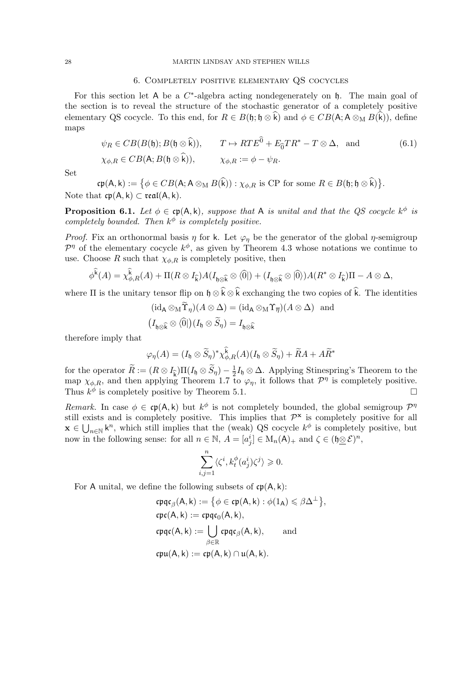### 6. Completely positive elementary QS cocycles

For this section let A be a  $C^*$ -algebra acting nondegenerately on  $\mathfrak h$ . The main goal of the section is to reveal the structure of the stochastic generator of a completely positive elementary QS cocycle. To this end, for  $R \in B(\mathfrak{h}; \mathfrak{h} \otimes \widehat{k})$  and  $\phi \in CB(\mathsf{A}; \mathsf{A} \otimes_{\mathsf{M}} B(\widehat{k}))$ , define maps

$$
\psi_R \in CB(B(\mathfrak{h}); B(\mathfrak{h} \otimes \widehat{\mathfrak{k}})), \qquad T \mapsto RTE^{\widehat{0}} + E_{\widehat{0}}TR^* - T \otimes \Delta, \text{ and } (\mathfrak{6.1})
$$
  

$$
\chi_{\phi,R} \in CB(\mathsf{A}; B(\mathfrak{h} \otimes \widehat{\mathfrak{k}})), \qquad \chi_{\phi,R} := \phi - \psi_R.
$$

Set

 $\mathfrak{cp}(A, k) := \big\{\phi \in CB(A; A \otimes_M B(k)) : \chi_{\phi, R} \text{ is CP for some } R \in B(\mathfrak{h}; \mathfrak{h} \otimes k)\big\}.$ Note that  $cp(A, k) \subset real(A, k)$ .

**Proposition 6.1.** Let  $\phi \in \text{cp}(A, k)$ , suppose that A is unital and that the QS cocycle  $k^{\phi}$  is completely bounded. Then  $k^{\phi}$  is completely positive.

*Proof.* Fix an orthonormal basis  $\eta$  for k. Let  $\varphi_{\eta}$  be the generator of the global  $\eta$ -semigroup  $\mathcal{P}^{\eta}$  of the elementary cocycle  $k^{\phi}$ , as given by Theorem 4.3 whose notations we continue to use. Choose R such that  $\chi_{\phi,R}$  is completely positive, then

$$
\phi^{\widehat{k}}(A) = \chi^{\widehat{k}}_{\phi,R}(A) + \Pi(R \otimes I_{\widehat{k}})A(I_{\mathfrak{h}\otimes \widehat{k}} \otimes \langle \widehat{0}|) + (I_{\mathfrak{h}\otimes \widehat{k}} \otimes \langle \widehat{0}\rangle)A(R^* \otimes I_{\widehat{k}})\Pi - A \otimes \Delta,
$$

where  $\Pi$  is the unitary tensor flip on  $\mathfrak{h} \otimes \widehat{\mathfrak{k}} \otimes \widehat{\mathfrak{k}}$  exchanging the two copies of  $\widehat{\mathfrak{k}}$ . The identities

$$
(\mathrm{id}_{A} \otimes_{M} \Upsilon_{\eta})(A \otimes \Delta) = (\mathrm{id}_{A} \otimes_{M} \Upsilon_{\overline{\eta}})(A \otimes \Delta) \text{ and}
$$

$$
(I_{\mathfrak{h} \otimes \widehat{k}} \otimes \langle \widehat{0} |)(I_{\mathfrak{h}} \otimes \widetilde{S}_{\eta}) = I_{\mathfrak{h} \otimes \widehat{k}}
$$

therefore imply that

$$
\varphi_{\eta}(A) = (I_{\mathfrak{h}} \otimes \widetilde{S}_{\eta})^* \chi_{\phi,R}^{\widehat{k}}(A) (I_{\mathfrak{h}} \otimes \widetilde{S}_{\eta}) + \widetilde{R}A + A\widetilde{R}^*
$$

for the operator  $\widetilde{R} := (R \otimes I_{\widehat{k}})\Pi(I_{\mathfrak{h}} \otimes \widetilde{S}_{\eta}) - \frac{1}{2}$  $\frac{1}{2}I_{\mathfrak{h}}\otimes\Delta$ . Applying Stinespring's Theorem to the map  $\chi_{\phi,R}$ , and then applying Theorem 1.7 to  $\varphi_{\eta}$ , it follows that  $\mathcal{P}^{\eta}$  is completely positive. Thus  $k^{\phi}$  is completely positive by Theorem 5.1.

Remark. In case  $\phi \in \mathfrak{cp}(A, k)$  but  $k^{\phi}$  is not completely bounded, the global semigroup  $\mathcal{P}^{\eta}$ still exists and is completely positive. This implies that  $\mathcal{P}^{\mathbf{x}}$  is completely positive for all  $\mathbf{x} \in \bigcup_{n \in \mathbb{N}} k^n$ , which still implies that the (weak) QS cocycle  $k^{\phi}$  is completely positive, but now in the following sense: for all  $n \in \mathbb{N}$ ,  $A = [a_j^i] \in M_n(\mathsf{A})_+$  and  $\zeta \in (\mathfrak{h} \underline{\otimes} \mathcal{E})^n$ ,

$$
\sum_{i,j=1}^n \langle \zeta^i, k_t^{\phi}(a_j^i)\zeta^j \rangle \geq 0.
$$

For A unital, we define the following subsets of  $\mathfrak{cp}(A, k)$ :

$$
cpqc\beta(A, k) := \{ \phi \in cp(A, k) : \phi(1_A) \leq \beta \Delta^{\perp} \},
$$
  
\n
$$
cpc(A, k) := cpqc_0(A, k),
$$
  
\n
$$
cpqc(A, k) := \bigcup_{\beta \in \mathbb{R}} cpqc_{\beta}(A, k),
$$
 and  
\n
$$
cpu(A, k) := cp(A, k) \cap u(A, k).
$$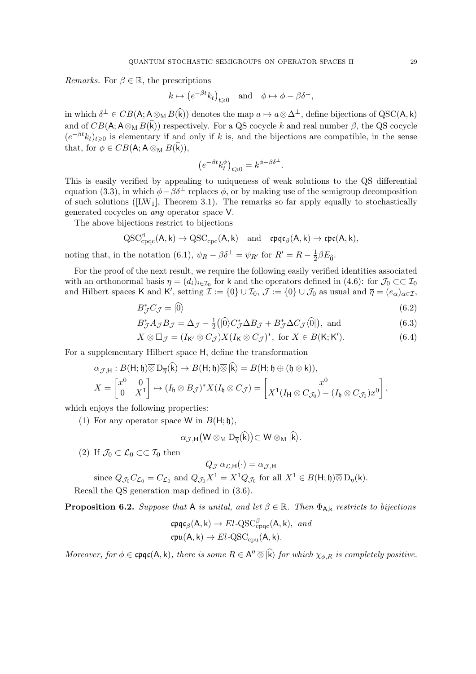*Remarks.* For  $\beta \in \mathbb{R}$ , the prescriptions

$$
k \mapsto (e^{-\beta t} k_t)_{t \geq 0}
$$
 and  $\phi \mapsto \phi - \beta \delta^{\perp}$ ,

in which  $\delta^{\perp} \in CB(\mathsf{A}; \mathsf{A} \otimes_{\mathsf{M}} B(\mathsf{k}))$  denotes the map  $a \mapsto a \otimes \Delta^{\perp}$ , define bijections of QSC( $\mathsf{A}, \mathsf{k}$ ) and of  $CB(A; A \otimes_M B(\widehat{k}))$  respectively. For a QS cocycle k and real number  $\beta$ , the QS cocycle  $(e^{-\beta t}k_t)_{t\geqslant0}$  is elementary if and only if k is, and the bijections are compatible, in the sense that, for  $\phi \in CB(\mathsf{A}; \mathsf{A} \otimes_{\mathsf{M}} B(\mathsf{k})),$ 

$$
\left(e^{-\beta t}k_t^{\phi}\right)_{t\geq 0} = k^{\phi-\beta\delta^{\perp}}.
$$

This is easily verified by appealing to uniqueness of weak solutions to the QS differential equation (3.3), in which  $\phi - \beta \delta^{\perp}$  replaces  $\phi$ , or by making use of the semigroup decomposition of such solutions ( $[LW_1]$ , Theorem 3.1). The remarks so far apply equally to stochastically generated cocycles on any operator space V.

The above bijections restrict to bijections

$$
\mathrm{QSC}^\beta_{\mathrm{cpqc}}(A,k) \rightarrow \mathrm{QSC}_{\mathrm{cpc}}(A,k) \quad \mathrm{and} \quad \mathfrak{cpqc}_\beta(A,k) \rightarrow \mathfrak{cpc}(A,k),
$$

noting that, in the notation (6.1),  $\psi_R - \beta \delta^{\perp} = \psi_{R'}$  for  $R' = R - \frac{1}{2}$  $rac{1}{2}\beta E_0$ .

For the proof of the next result, we require the following easily verified identities associated with an orthonormal basis  $\eta = (d_i)_{i \in I_0}$  for k and the operators defined in (4.6): for  $\mathcal{J}_0 \subset\subset \mathcal{I}_0$ and Hilbert spaces K and K', setting  $\mathcal{I} := \{0\} \cup \mathcal{I}_0$ ,  $\mathcal{J} := \{0\} \cup \mathcal{J}_0$  as usual and  $\overline{\eta} = (e_{\alpha})_{\alpha \in \mathcal{I}}$ ,

$$
B_{\mathcal{J}}^* C_{\mathcal{J}} = | \widehat{0} \rangle \tag{6.2}
$$

$$
B_{\mathcal{J}}^* A_{\mathcal{J}} B_{\mathcal{J}} = \Delta_{\mathcal{J}} - \frac{1}{2} \left( \left| \hat{0} \right| C_{\mathcal{J}}^* \Delta B_{\mathcal{J}} + B_{\mathcal{J}}^* \Delta C_{\mathcal{J}} \left( \hat{0} \right) \right), \text{ and} \tag{6.3}
$$

$$
X \otimes \Box_{\mathcal{J}} = (I_{\mathsf{K}'} \otimes C_{\mathcal{J}}) X (I_{\mathsf{K}} \otimes C_{\mathcal{J}})^*, \text{ for } X \in B(\mathsf{K}; \mathsf{K}'). \tag{6.4}
$$

For a supplementary Hilbert space H, define the transformation

$$
\alpha_{\mathcal{J},\mathsf{H}}: B(\mathsf{H};\mathfrak{h})\overline{\otimes} D_{\overline{\eta}}(\widehat{k}) \to B(\mathsf{H};\mathfrak{h})\overline{\otimes} |\widehat{k}\rangle = B(\mathsf{H};\mathfrak{h}\oplus(\mathfrak{h}\otimes\mathsf{k})),
$$
  

$$
X = \begin{bmatrix} x^0 & 0 \\ 0 & X^1 \end{bmatrix} \mapsto (I_{\mathfrak{h}}\otimes B_{\mathcal{J}})^* X (I_{\mathfrak{h}}\otimes C_{\mathcal{J}}) = \begin{bmatrix} x^0 \\ X^1 (I_{\mathsf{H}}\otimes C_{\mathcal{J}_0}) - (I_{\mathfrak{h}}\otimes C_{\mathcal{J}_0}) x^0 \end{bmatrix},
$$

which enjoys the following properties:

(1) For any operator space W in  $B(H; \mathfrak{h}),$ 

$$
\alpha_{\mathcal{J},H}(W\otimes_M D_{\overline{\eta}}(\widehat{k}))\subset W\otimes_M |\widehat{k}\rangle.
$$

(2) If  $\mathcal{J}_0 \subset \mathcal{L}_0 \subset \subset \mathcal{I}_0$  then

$$
Q_{\mathcal{J}} \alpha_{\mathcal{L},H}(\cdot) = \alpha_{\mathcal{J},H}
$$

since  $Q_{\mathcal{J}_0}C_{\mathcal{L}_0} = C_{\mathcal{L}_0}$  and  $Q_{\mathcal{J}_0}X^1 = X^1Q_{\mathcal{J}_0}$  for all  $X^1 \in B(\mathsf{H}; \mathfrak{h})\overline{\otimes} D_{\eta}(\mathsf{k})$ . Recall the QS generation map defined in (3.6).

**Proposition 6.2.** Suppose that A is unital, and let  $\beta \in \mathbb{R}$ . Then  $\Phi_{A,k}$  restricts to bijections

$$
\begin{aligned}\n\mathfrak{cpqc}_\beta(\mathsf{A}, \mathsf{k}) &\rightarrow El\text{-}\mathrm{QSC}^\beta_{\mathrm{cpqc}}(\mathsf{A}, \mathsf{k}), \text{ and} \\
\mathfrak{cpu}(\mathsf{A}, \mathsf{k}) &\rightarrow El\text{-}\mathrm{QSC}_{\mathrm{cpu}}(\mathsf{A}, \mathsf{k}).\n\end{aligned}
$$

Moreover, for  $\phi \in \text{cpqc}(A, k)$ , there is some  $R \in A'' \overline{\otimes} |k\rangle$  for which  $\chi_{\phi, R}$  is completely positive.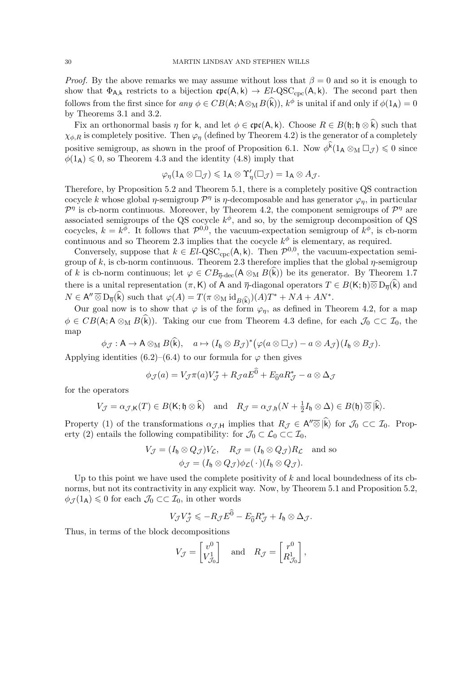*Proof.* By the above remarks we may assume without loss that  $\beta = 0$  and so it is enough to show that  $\Phi_{A,k}$  restricts to a bijection  $\text{cpc}(A,k) \to El-QSC_{\text{cyc}}(A,k)$ . The second part then follows from the first since for any  $\phi \in CB(\mathsf{A}; \mathsf{A} \otimes_{\mathsf{M}} B(\hat{\mathsf{k}})), k^{\phi}$  is unital if and only if  $\phi(1_{\mathsf{A}}) = 0$ by Theorems 3.1 and 3.2.

Fix an orthonormal basis  $\eta$  for k, and let  $\phi \in \text{cpc}(A, k)$ . Choose  $R \in B(\mathfrak{h}; \mathfrak{h} \otimes \hat{k})$  such that  $\chi_{\phi,R}$  is completely positive. Then  $\varphi_n$  (defined by Theorem 4.2) is the generator of a completely positive semigroup, as shown in the proof of Proposition 6.1. Now  $\phi^{\vec{k}}(1_A \otimes_M \Box_{\mathcal{J}}) \leq 0$  since  $\phi(1_A) \leq 0$ , so Theorem 4.3 and the identity (4.8) imply that

$$
\varphi_{\eta}(1_{\mathsf{A}}\otimes\square_{\mathcal{J}})\leqslant 1_{\mathsf{A}}\otimes\Upsilon'_{\eta}(\square_{\mathcal{J}})=1_{\mathsf{A}}\otimes A_{\mathcal{J}}.
$$

Therefore, by Proposition 5.2 and Theorem 5.1, there is a completely positive QS contraction cocycle k whose global  $\eta$ -semigroup  $\mathcal{P}^{\eta}$  is  $\eta$ -decomposable and has generator  $\varphi_{\eta}$ , in particular  $\mathcal{P}^{\eta}$  is cb-norm continuous. Moreover, by Theorem 4.2, the component semigroups of  $\mathcal{P}^{\eta}$  are associated semigroups of the QS cocycle  $k^{\phi}$ , and so, by the semigroup decomposition of QS cocycles,  $k = k^{\phi}$ . It follows that  $\mathcal{P}^{0,0}$ , the vacuum-expectation semigroup of  $k^{\phi}$ , is cb-norm continuous and so Theorem 2.3 implies that the cocycle  $k^{\phi}$  is elementary, as required.

Conversely, suppose that  $k \in El-QSC_{\rm cyc}(A, k)$ . Then  $\mathcal{P}^{0,0}$ , the vacuum-expectation semigroup of k, is cb-norm continuous. Theorem 2.3 therefore implies that the global  $\eta$ -semigroup of k is cb-norm continuous; let  $\varphi \in CB_{\overline{\eta} \text{-dec}}(\mathsf{A} \otimes_M B(\vec{k}))$  be its generator. By Theorem 1.7 there is a unital representation  $(\pi, K)$  of A and  $\overline{\eta}$ -diagonal operators  $T \in B(K; \mathfrak{h})\overline{\otimes} D_{\overline{\eta}}(\hat{k})$  and  $N \in A'' \overline{\otimes} D_{\overline{\eta}}(\widehat{k})$  such that  $\varphi(A) = T(\pi \otimes_M id_{B(\widehat{k})})(A)T^* + NA + AN^*$ .

Our goal now is to show that  $\varphi$  is of the form  $\varphi_n$ , as defined in Theorem 4.2, for a map  $\phi \in CB(\mathsf{A}; \mathsf{A} \otimes_{\mathsf{M}} B(\hat{\mathsf{k}})).$  Taking our cue from Theorem 4.3 define, for each  $\mathcal{J}_0 \subset\subset \mathcal{I}_0$ , the map

$$
\phi_{\mathcal{J}}: A \to A \otimes_M B(\widehat{k}), \quad a \mapsto (I_{\mathfrak{h}} \otimes B_{\mathcal{J}})^*(\varphi(a \otimes \Box_{\mathcal{J}}) - a \otimes A_{\mathcal{J}})(I_{\mathfrak{h}} \otimes B_{\mathcal{J}}).
$$

Applying identities (6.2)–(6.4) to our formula for  $\varphi$  then gives

$$
\phi_{\mathcal{J}}(a) = V_{\mathcal{J}}\pi(a)V_{\mathcal{J}}^* + R_{\mathcal{J}}aE^0 + E_{\widehat{0}}aR_{\mathcal{J}}^* - a \otimes \Delta_{\mathcal{J}}
$$

for the operators

$$
V_{\mathcal{J}} = \alpha_{\mathcal{J},\mathsf{K}}(T) \in B(\mathsf{K};\mathfrak{h}\otimes \widehat{\mathsf{k}}) \quad \text{and} \quad R_{\mathcal{J}} = \alpha_{\mathcal{J},\mathfrak{h}}(N + \frac{1}{2}I_{\mathfrak{h}}\otimes \Delta) \in B(\mathfrak{h})\otimes \widehat{|\mathsf{k}|}.
$$

Property (1) of the transformations  $\alpha_{\mathcal{J},H}$  implies that  $R_{\mathcal{J}} \in A'' \overline{\otimes} |\hat{k}\rangle$  for  $\mathcal{J}_0 \subset\subset \mathcal{I}_0$ . Property (2) entails the following compatibility: for  $\mathcal{J}_0 \subset \mathcal{L}_0 \subset \mathcal{I}_0$ ,

$$
V_{\mathcal{J}} = (I_{\mathfrak{h}} \otimes Q_{\mathcal{J}}) V_{\mathcal{L}}, \quad R_{\mathcal{J}} = (I_{\mathfrak{h}} \otimes Q_{\mathcal{J}}) R_{\mathcal{L}} \quad \text{and so}
$$

$$
\phi_{\mathcal{J}} = (I_{\mathfrak{h}} \otimes Q_{\mathcal{J}}) \phi_{\mathcal{L}}(\cdot) (I_{\mathfrak{h}} \otimes Q_{\mathcal{J}}).
$$

Up to this point we have used the complete positivity of  $k$  and local boundedness of its cbnorms, but not its contractivity in any explicit way. Now, by Theorem 5.1 and Proposition 5.2,  $\phi_{\mathcal{J}}(1_A) \leq 0$  for each  $\mathcal{J}_0 \subset \subset \mathcal{I}_0$ , in other words

$$
V_{\mathcal{J}}V_{\mathcal{J}}^* \leqslant -R_{\mathcal{J}}E^{\widehat{0}} - E_{\widehat{0}}R_{\mathcal{J}}^* + I_{\mathfrak{h}} \otimes \Delta_{\mathcal{J}}.
$$

Thus, in terms of the block decompositions

$$
V_{\mathcal{J}} = \begin{bmatrix} v^0 \\ V_{\mathcal{J}_0}^1 \end{bmatrix} \quad \text{and} \quad R_{\mathcal{J}} = \begin{bmatrix} r^0 \\ R_{\mathcal{J}_0}^1 \end{bmatrix},
$$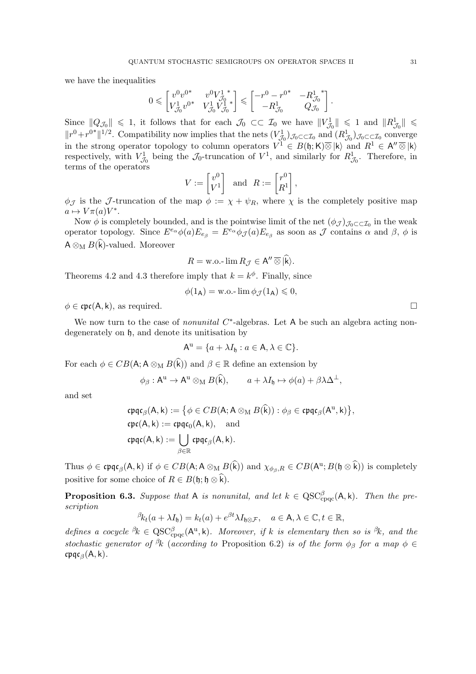we have the inequalities

$$
0 \leqslant \begin{bmatrix} v^0 v^{0^*} & v^0 V_{\mathcal{J}_0}^{1^{-*}} \\ V_{\mathcal{J}_0}^1 v^{0^*} & V_{\mathcal{J}_0}^1 V_{\mathcal{J}_0}^{1^{-*}} \end{bmatrix} \leqslant \begin{bmatrix} -r^0 - r^{0^*} & -R_{\mathcal{J}_0}^{1^{-*}} \\ -R_{\mathcal{J}_0}^1 & Q_{\mathcal{J}_0} \end{bmatrix}.
$$

Since  $||Q_{\mathcal{J}_0}|| \leq 1$ , it follows that for each  $\mathcal{J}_0 \subset\subset \mathcal{I}_0$  we have  $||V_{\mathcal{J}_0}^1|| \leq 1$  and  $||R_{\mathcal{J}_0}^1|| \leq$  $||r^0 + r^{0*}||^{1/2}$ . Compatibility now implies that the nets  $(V_{\mathcal{J}_0}^1)_{\mathcal{J}_0 \subset \subset \mathcal{I}_0}$  and  $(R_{\mathcal{J}_0}^1)_{\mathcal{J}_0 \subset \subset \mathcal{I}_0}$  converge in the strong operator topology to column operators  $V^{\hat{1}} \in B(\mathfrak{h};\mathsf{K})\overline{\otimes}|\mathsf{k}\rangle$  and  $R^{\hat{1}} \in \mathsf{A}''\overline{\otimes}|\mathsf{k}\rangle$ respectively, with  $V_{\mathcal{J}_0}^1$  being the  $\mathcal{J}_0$ -truncation of  $V^1$ , and similarly for  $R_{\mathcal{J}_0}^1$ . Therefore, in terms of the operators

$$
V := \begin{bmatrix} v^0 \\ V^1 \end{bmatrix} \text{ and } R := \begin{bmatrix} r^0 \\ R^1 \end{bmatrix},
$$

 $\phi_{\mathcal{J}}$  is the J-truncation of the map  $\phi := \chi + \psi_R$ , where  $\chi$  is the completely positive map  $a \mapsto V \pi(a) V^*$ .

Now  $\phi$  is completely bounded, and is the pointwise limit of the net  $(\phi_{\mathcal{J}})_{\mathcal{J}_0 \subset \subset \mathcal{I}_0}$  in the weak operator topology. Since  $E^{e_\alpha}\phi(a)E_{e_\beta} = E^{e_\alpha}\phi(\mathcal{J}(a)E_{e_\beta}$  as soon as  $\mathcal J$  contains  $\alpha$  and  $\beta$ ,  $\phi$  is  $\mathsf{A}\otimes_{\mathrm{M}} B(\widehat{\mathsf{k}})$  -valued. Moreover

$$
R = \text{w.o.-}\lim R_{\mathcal{J}} \in \mathsf{A}'' \,\overline{\otimes}\, |\widehat{\mathsf{k}}\rangle.
$$

Theorems 4.2 and 4.3 therefore imply that  $k = k^{\phi}$ . Finally, since

$$
\phi(1_{\mathsf{A}}) = \text{w.o.-}\lim \phi_{\mathcal{J}}(1_{\mathsf{A}}) \leqslant 0,
$$

 $\phi \in \text{cpc}(A, k)$ , as required.

We now turn to the case of *nonunital*  $C^*$ -algebras. Let A be such an algebra acting nondegenerately on h, and denote its unitisation by

$$
A^{\mathrm{u}} = \{a + \lambda I_{\mathfrak{h}} : a \in A, \lambda \in \mathbb{C}\}.
$$

For each  $\phi \in CB(\mathsf{A}; \mathsf{A} \otimes_{\mathsf{M}} B(\widehat{k}))$  and  $\beta \in \mathbb{R}$  define an extension by

$$
\phi_{\beta}: A^{\mathrm{u}} \to A^{\mathrm{u}} \otimes_{\mathrm{M}} B(\widehat{k}), \qquad a + \lambda I_{\mathfrak{h}} \mapsto \phi(a) + \beta \lambda \Delta^{\perp},
$$

and set

$$
\begin{aligned}\n\mathfrak{cpqc}_\beta(A, k) &:= \big\{ \phi \in CB(A; A \otimes_M B(\widehat{k})) : \phi_\beta \in \mathfrak{cpqc}_\beta(A^u, k) \big\}, \\
\mathfrak{cpc}(A, k) &:= \mathfrak{cpqc}_0(A, k), \quad \text{and} \\
\mathfrak{cpqc}(A, k) &:= \bigcup_{\beta \in \mathbb{R}} \mathfrak{cpqc}_\beta(A, k).\n\end{aligned}
$$

Thus  $\phi \in \mathfrak{cpqc}_\beta(A, k)$  if  $\phi \in CB(A; A \otimes_M B(k))$  and  $\chi_{\phi_\beta, R} \in CB(A^u; B(\mathfrak{h} \otimes k))$  is completely positive for some choice of  $R \in B(\mathfrak{h}; \mathfrak{h} \otimes \widehat{k}).$ 

**Proposition 6.3.** Suppose that A is nonunital, and let  $k \in \text{QSC}^{\beta}_{\text{cpc}}(A, k)$ . Then the prescription

$$
\beta_{k_t}(a+\lambda I_{\mathfrak{h}})=k_t(a)+e^{\beta t}\lambda I_{\mathfrak{h}\otimes\mathcal{F}},\quad a\in\mathsf{A},\lambda\in\mathbb{C},t\in\mathbb{R},
$$

defines a cocycle  ${}^{\beta}k \in \text{QSC}^{\beta}_{\text{cpqc}}(\mathsf{A}^{\text{u}}, k)$ . Moreover, if k is elementary then so is  ${}^{\beta}k$ , and the stochastic generator of <sup>β</sup>k (according to Proposition 6.2) is of the form  $\phi_\beta$  for a map  $\phi \in$  $\mathfrak{c}\mathfrak{p}\mathfrak{q}\mathfrak{c}_{\beta}(\mathsf{A},\mathsf{k}).$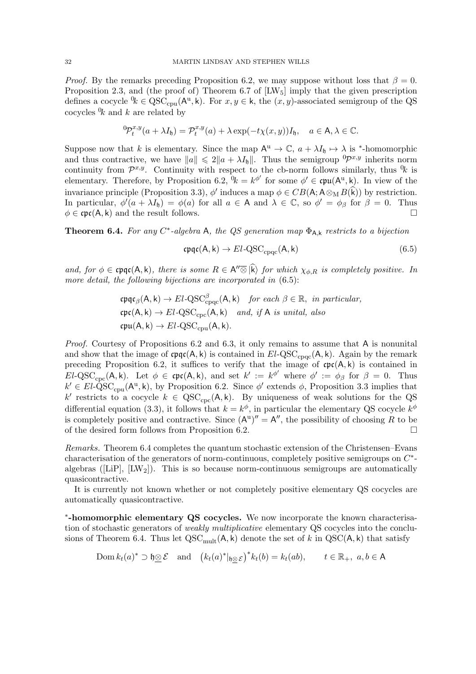*Proof.* By the remarks preceding Proposition 6.2, we may suppose without loss that  $\beta = 0$ . Proposition 2.3, and (the proof of) Theorem 6.7 of  $[{\rm LW}_5]$  imply that the given prescription defines a cocycle  $\mathcal{C}_k \in \mathrm{QSC}_{\mathrm{cpu}}(\mathsf{A}^u, k)$ . For  $x, y \in k$ , the  $(x, y)$ -associated semigroup of the QS cocycles  $\mathcal{U}_k$  and k are related by

$$
{}^{0}\!P_t^{x,y}(a+\lambda I_{\mathfrak{h}})=\mathcal{P}_t^{x,y}(a)+\lambda \exp(-t\chi(x,y))I_{\mathfrak{h}},\quad a\in A,\lambda\in\mathbb{C}.
$$

Suppose now that k is elementary. Since the map  $A^u \to \mathbb{C}$ ,  $a + \lambda I_{\mathfrak{h}} \mapsto \lambda$  is \*-homomorphic and thus contractive, we have  $||a|| \leq 2||a + \lambda I_h||$ . Thus the semigroup  ${}^0\mathcal{P}^{x,y}$  inherits norm continuity from  $\mathcal{P}^{x,y}$ . Continuity with respect to the cb-norm follows similarly, thus  $\mathcal{V}_k$  is elementary. Therefore, by Proposition 6.2,  $\mathcal{R} = k^{\phi'}$  for some  $\phi' \in \mathfrak{cpu}(\mathsf{A}^{\mathrm{u}}, k)$ . In view of the invariance principle (Proposition 3.3),  $\phi'$  induces a map  $\phi \in CB(A; A \otimes_M B(\hat{k}))$  by restriction. In particular,  $\phi'(a + \lambda I_0) = \phi(a)$  for all  $a \in A$  and  $\lambda \in \mathbb{C}$ , so  $\phi' = \phi_\beta$  for  $\beta = 0$ . Thus  $\phi \in \text{cpc}(A, k)$  and the result follows.

**Theorem 6.4.** For any C<sup>\*</sup>-algebra A, the QS generation map  $\Phi_{A,k}$  restricts to a bijection

$$
\mathfrak{cpqc}(A, k) \to El-QSC_{cpqc}(A, k) \tag{6.5}
$$

and, for  $\phi \in \text{cpqc}(A, k)$ , there is some  $R \in A'' \overline{\otimes} |k\rangle$  for which  $\chi_{\phi, R}$  is completely positive. In more detail, the following bijections are incorporated in  $(6.5)$ :

$$
\begin{aligned}\n\mathfrak{cpqc}_\beta(A, k) &\rightarrow El\text{-QSC}^\beta_{\text{cpqc}}(A, k) \quad \text{for each } \beta \in \mathbb{R}, \text{ in particular,} \\
\mathfrak{cpc}(A, k) &\rightarrow El\text{-QSC}_{\text{cpc}}(A, k) \quad \text{and, if } A \text{ is unital, also} \\
\mathfrak{cpu}(A, k) &\rightarrow El\text{-QSC}_{\text{cpu}}(A, k).\n\end{aligned}
$$

Proof. Courtesy of Propositions 6.2 and 6.3, it only remains to assume that A is nonunital and show that the image of  $\text{cpqc}(A, k)$  is contained in  $El-QSC_{cnoc}(A, k)$ . Again by the remark preceding Proposition 6.2, it suffices to verify that the image of  $\text{cpc}(A, k)$  is contained in  $EL\text{-QSC}_{\text{cpc}}(A, k)$ . Let  $\phi \in \text{cpc}(A, k)$ , and set  $k' := k^{\phi'}$  where  $\phi' := \phi_{\beta}$  for  $\beta = 0$ . Thus  $k' \in El \text{-}\hat{Q}SC_{cpu}(\mathsf{A}^u, k)$ , by Proposition 6.2. Since  $\phi'$  extends  $\phi$ , Proposition 3.3 implies that k' restricts to a cocycle  $k \in \mathrm{QSC}_{\mathrm{cpc}}(A, k)$ . By uniqueness of weak solutions for the QS differential equation (3.3), it follows that  $k = k^{\phi}$ , in particular the elementary QS cocycle  $k^{\phi}$ is completely positive and contractive. Since  $(A^u)'' = A''$ , the possibility of choosing R to be of the desired form follows from Proposition 6.2.

Remarks. Theorem 6.4 completes the quantum stochastic extension of the Christensen–Evans characterisation of the generators of norm-continuous, completely positive semigroups on  $C^*$ algebras ( $[LiP]$ ,  $[LW_2]$ ). This is so because norm-continuous semigroups are automatically quasicontractive.

It is currently not known whether or not completely positive elementary QS cocycles are automatically quasicontractive.

\*-homomorphic elementary QS cocycles. We now incorporate the known characterisation of stochastic generators of weakly multiplicative elementary QS cocycles into the conclusions of Theorem 6.4. Thus let  $QSC_{mult}(A, k)$  denote the set of k in  $QSC(A, k)$  that satisfy

$$
\text{Dom } k_t(a)^* \supset \mathfrak{h} \underline{\otimes} \mathcal{E} \quad \text{and} \quad \left( k_t(a)^*|_{\mathfrak{h} \otimes \mathcal{E}} \right)^* k_t(b) = k_t(ab), \qquad t \in \mathbb{R}_+, \ a, b \in \mathsf{A}
$$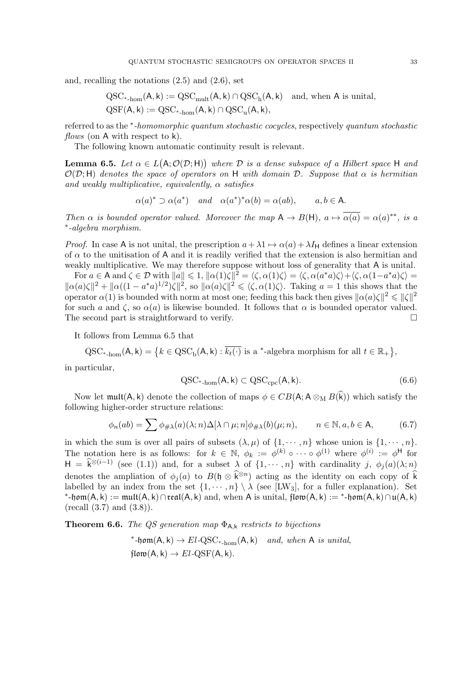and, recalling the notations (2.5) and (2.6), set

$$
\begin{aligned} \mathrm{QSC}_{\ast\text{-}\mathrm{hom}}(A,k):&=\mathrm{QSC}_{\mathrm{mult}}(A,k)\cap \mathrm{QSC}_{\mathrm{h}}(A,k)\quad \text{and, when $A$ is unital},\\ \mathrm{QSF}(A,k):&=\mathrm{QSC}_{\ast\text{-}\mathrm{hom}}(A,k)\cap \mathrm{QSC}_{\mathrm{u}}(A,k), \end{aligned}
$$

referred to as the <sup>\*</sup>-homomorphic quantum stochastic cocycles, respectively quantum stochastic flows (on A with respect to k).

The following known automatic continuity result is relevant.

**Lemma 6.5.** Let  $\alpha \in L(A; \mathcal{O}(\mathcal{D}; H))$  where  $\mathcal{D}$  is a dense subspace of a Hilbert space H and  $\mathcal{O}(\mathcal{D};\mathsf{H})$  denotes the space of operators on H with domain D. Suppose that  $\alpha$  is hermitian and weakly multiplicative, equivalently,  $\alpha$  satisfies

$$
\alpha(a)^* \supset \alpha(a^*)
$$
 and  $\alpha(a^*)^* \alpha(b) = \alpha(ab)$ ,  $a, b \in A$ .

Then  $\alpha$  is bounded operator valued. Moreover the map  $A \to B(H)$ ,  $a \mapsto \overline{\alpha(a)} = \alpha(a)^{**}$ , is a ∗ -algebra morphism.

*Proof.* In case A is not unital, the prescription  $a + \lambda 1 \mapsto \alpha(a) + \lambda I_H$  defines a linear extension of  $\alpha$  to the unitisation of A and it is readily verified that the extension is also hermitian and weakly multiplicative. We may therefore suppose without loss of generality that A is unital.

For  $a \in A$  and  $\zeta \in \mathcal{D}$  with  $||a|| \leq 1$ ,  $||\alpha(1)\zeta||^2 = \langle \zeta, \alpha(1)\zeta \rangle = \langle \zeta, \alpha(a^*a)\zeta \rangle + \langle \zeta, \alpha(1-a^*a)\zeta \rangle =$  $\|\alpha(a)\zeta\|^2 + \|\alpha((1 - a^*a)^{1/2})\zeta\|^2$ , so  $\|\alpha(a)\zeta\|^2 \leq \langle \zeta, \alpha(1)\zeta \rangle$ . Taking  $a = 1$  this shows that the operator  $\alpha(1)$  is bounded with norm at most one; feeding this back then gives  $\|\alpha(a)\zeta\|^2 \leq \|\zeta\|^2$ for such a and  $\zeta$ , so  $\alpha(a)$  is likewise bounded. It follows that  $\alpha$  is bounded operator valued. The second part is straightforward to verify.  $\Box$ 

It follows from Lemma 6.5 that

 $QSC_{*, \text{hom}}(A, k) = \{k \in QSC_b(A, k) : \overline{k_t(\cdot)} \text{ is a *-algebra morphism for all } t \in \mathbb{R}_+\},$ 

in particular,

$$
\mathrm{QSC}_{\ast\text{-hom}}(\mathsf{A}, \mathsf{k}) \subset \mathrm{QSC}_{\mathrm{cpc}}(\mathsf{A}, \mathsf{k}).\tag{6.6}
$$

Now let  $\text{mult}(A, k)$  denote the collection of maps  $\phi \in CB(A; A \otimes_M B(\hat{k}))$  which satisfy the following higher-order structure relations:

$$
\phi_n(ab) = \sum \phi_{\# \lambda}(a)(\lambda; n) \Delta[\lambda \cap \mu; n] \phi_{\# \lambda}(b)(\mu; n), \qquad n \in \mathbb{N}, a, b \in \mathsf{A}, \tag{6.7}
$$

in which the sum is over all pairs of subsets  $(\lambda, \mu)$  of  $\{1, \dots, n\}$  whose union is  $\{1, \dots, n\}$ . The notation here is as follows: for  $k \in \mathbb{N}$ ,  $\phi_k := \phi^{(k)} \circ \cdots \circ \phi^{(1)}$  where  $\phi^{(i)} := \phi^{\mathsf{H}}$  for  $H = \hat{k}^{\otimes (i-1)}$  (see (1.1)) and, for a subset  $\lambda$  of  $\{1, \dots, n\}$  with cardinality j,  $\phi_j(a)(\lambda; n)$ denotes the ampliation of  $\phi_j(a)$  to  $B(\mathfrak{h} \otimes \widehat{k}^{\otimes n})$  acting as the identity on each copy of  $\widehat{k}$ labelled by an index from the set  $\{1, \dots, n\} \setminus \lambda$  (see [LW<sub>3</sub>], for a fuller explanation). Set \*-hom(A, k) := mult(A, k)∩real(A, k) and, when A is unital,  $\mathfrak{flow}(A, k) :=$  \*-hom(A, k)∩u(A, k)  $(\text{recall } (3.7) \text{ and } (3.8)).$ 

**Theorem 6.6.** The QS generation map  $\Phi_{A,k}$  restricts to bijections

\*-
$$
1
$$
 form(A, k)  $\rightarrow$  El-QSC<sub>\*-hom</sub>(A, k) and, when A is unital,  
  $1$  from(A, k)  $\rightarrow$  El-QSF(A, k).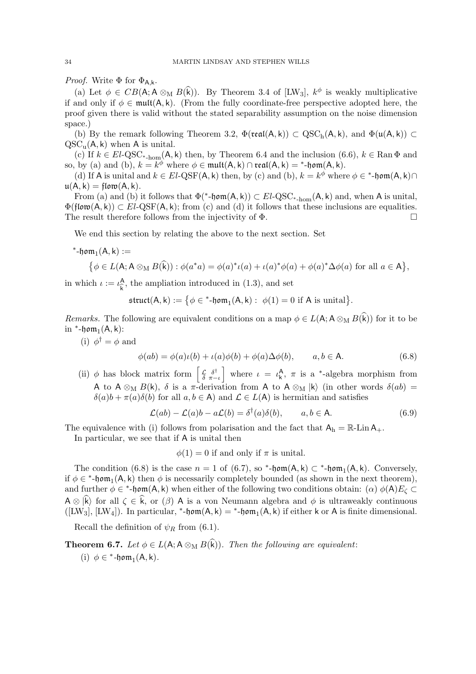*Proof.* Write  $\Phi$  for  $\Phi_{A,k}$ .

(a) Let  $\phi \in CB(\mathsf{A}; \mathsf{A} \otimes_M B(\mathsf{k}))$ . By Theorem 3.4 of [LW<sub>3</sub>],  $k^{\phi}$  is weakly multiplicative if and only if  $\phi \in \text{mult}(A, k)$ . (From the fully coordinate-free perspective adopted here, the proof given there is valid without the stated separability assumption on the noise dimension space.)

(b) By the remark following Theorem 3.2,  $\Phi(\text{real}(A, k)) \subset \text{QSC}_h(A, k)$ , and  $\Phi(\mu(A, k)) \subset$  $QSC_u(A, k)$  when A is unital.

(c) If  $k \in El\text{-QSC}_{\text{*-hom}}(\mathsf{A}, \mathsf{k})$  then, by Theorem 6.4 and the inclusion  $(6.6)$ ,  $k \in \text{Ran } \Phi$  and so, by (a) and (b),  $k = k^{\phi}$  where  $\phi \in \mathfrak{mult}(A, k) \cap \mathfrak{real}(A, k) = *$ -hom $(A, k)$ .

(d) If A is unital and  $k \in El-QSF(A, k)$  then, by (c) and (b),  $k = k^{\phi}$  where  $\phi \in {}^*$ -hom $(A, k) \cap$  $u(A, k) = \text{flow}(A, k).$ 

From (a) and (b) it follows that  $\Phi(*\text{-}\mathfrak{hom}(A,k)) \subset El\text{-}QSC_{*\text{-}\mathrm{hom}}(A,k)$  and, when A is unital,  $\Phi(\text{flow}(A, k)) \subset El-QSF(A, k);$  from (c) and (d) it follows that these inclusions are equalities. The result therefore follows from the injectivity of  $\Phi$ .

We end this section by relating the above to the next section. Set

\*-hom $_1$  $(A, k) :=$ 

$$
\left\{\phi\in L(\mathsf{A};\mathsf{A}\otimes_{\mathsf{M}} B(\widehat{\mathsf{k}})): \phi(a^*a)=\phi(a)^*\iota(a)+\iota(a)^*\phi(a)+\phi(a)^*\Delta\phi(a)\text{ for all }a\in\mathsf{A}\right\},\
$$

in which  $\iota := \iota_{\widehat{L}}^{\mathsf{A}}$  $\hat{k}$ , the ampliation introduced in (1.3), and set

$$
\mathfrak{struct}(A,k):=\big\{\phi\in{}^*\text{-}\mathfrak{hom}_1(A,k):\ \phi(1)=0\ \text{if}\ A\ \text{is\ unital}\big\}.
$$

Remarks. The following are equivalent conditions on a map  $\phi \in L(\mathsf{A}; \mathsf{A} \otimes_{\mathsf{M}} B(\widehat{k}))$  for it to be in  $*$ -hom<sub>1</sub>(A, k):

(i)  $\phi^{\dagger} = \phi$  and

$$
\phi(ab) = \phi(a)\iota(b) + \iota(a)\phi(b) + \phi(a)\Delta\phi(b), \qquad a, b \in \mathsf{A}.\tag{6.8}
$$

(ii)  $\phi$  has block matrix form  $\left[\begin{array}{cc} \mathcal{L} & \delta^{\dagger} \\ \delta & \pi \end{array}\right]$  $\left(\frac{\zeta}{\delta} \frac{\delta^{\dagger}}{\pi - \iota}\right)$  where  $\iota = \iota_{\mathsf{k}}^{\mathsf{A}}, \pi$  is a \*-algebra morphism from A to  $A \otimes_M B(k)$ ,  $\delta$  is a  $\pi$ -derivation from A to  $A \otimes_M |k\rangle$  (in other words  $\delta(ab) =$  $\delta(a)b + \pi(a)\delta(b)$  for all  $a, b \in A$ ) and  $\mathcal{L} \in L(A)$  is hermitian and satisfies

$$
\mathcal{L}(ab) - \mathcal{L}(a)b - a\mathcal{L}(b) = \delta^{\dagger}(a)\delta(b), \qquad a, b \in \mathsf{A}.\tag{6.9}
$$

The equivalence with (i) follows from polarisation and the fact that  $A_h = \mathbb{R}\text{-Lin }A_+$ .

In particular, we see that if A is unital then

$$
\phi(1) = 0
$$
 if and only if  $\pi$  is unital.

The condition (6.8) is the case  $n = 1$  of (6.7), so \*-hom(A,k)  $\subset$  \*-hom<sub>1</sub>(A,k). Conversely, if  $\phi \in {}^*$ -hom<sub>1</sub>(A, k) then  $\phi$  is necessarily completely bounded (as shown in the next theorem), and further  $\phi \in {}^*$ -hom(A, k) when either of the following two conditions obtain: ( $\alpha$ )  $\phi(A)E_\zeta \subset$  $A \otimes \hat{k}$  for all  $\zeta \in \hat{k}$ , or  $(\beta)$  A is a von Neumann algebra and  $\phi$  is ultraweakly continuous  $([LW_3], [LW_4])$ . In particular, \*-hom(A, k) = \*-hom<sub>1</sub>(A, k) if either k or A is finite dimensional.

Recall the definition of  $\psi_R$  from (6.1).

**Theorem 6.7.** Let 
$$
\phi \in L(A; A \otimes_M B(k))
$$
. Then the following are equivalent:  
(i)  $\phi \in {}^* \text{-}\mathfrak{hom}_1(A, k)$ .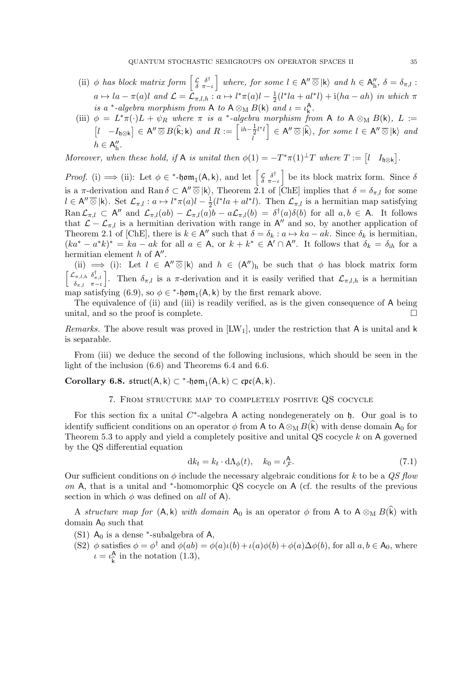- (ii)  $\phi$  has block matrix form  $\left[\begin{array}{cc} \mathcal{L} & \delta^{\dagger} \\ \delta & \pi \end{array}\right]$  $\mathcal{L}_{\delta}^{\delta} \mathcal{L}_{\pi-\iota}^{\delta^{\dagger}}\Big\}$  where, for some  $l \in \mathsf{A}'' \,\overline{\otimes}\, |\mathsf{k}\rangle$  and  $h \in \mathsf{A}''_\mathrm{h}$ ,  $\delta = \delta_{\pi,l}$ :  $a \mapsto la - \pi(a)l$  and  $\mathcal{L} = \mathcal{L}_{\pi,l,h} : a \mapsto l^*\pi(a)l - \frac{1}{2}$  $\frac{1}{2}(l^*la + a l^*l) + i(ha - ah)$  in which  $\pi$ is a \*-algebra morphism from A to  $A \otimes_M B(k)$  and  $\iota = \iota_k^A$ .
- (iii)  $\phi = L^* \pi(\cdot) L + \psi_R$  where  $\pi$  is a \*-algebra morphism from A to A  $\otimes_M B(k)$ , L :=  $\begin{bmatrix} l & -I_{\mathfrak{h}\otimes\mathsf{k}} \end{bmatrix} \in \mathsf{A}'' \overline{\otimes} B(\widehat{\mathsf{k}};\mathsf{k}) \text{ and } R := \begin{bmatrix} i\mathsf{h}-\frac{1}{2} \\ l \end{bmatrix}$  $rac{1}{2}l^{*}l$ l  $\Big] \in A'' \overline{\otimes} \ket{\widehat{k}}$ , for some  $l \in A'' \overline{\otimes} \ket{k}$  and  $h \in A''_h.$

Moreover, when these hold, if A is unital then  $\phi(1) = -T^*\pi(1)^{\perp}T$  where  $T := \begin{bmatrix} l & I_{\mathfrak{h}\otimes\mathbf{k}} \end{bmatrix}$ .

*Proof.* (i)  $\implies$  (ii): Let  $\phi \in {}^*$ -hom<sub>1</sub>(A,k), and let  $\left[\begin{smallmatrix} \mathcal{L} & \delta^{\dagger} \\ \delta & \pi \end{smallmatrix}\right]$  $\left[\mathcal{L}_{\delta} \frac{\delta^{\dagger}}{\pi - \iota}\right]$  be its block matrix form. Since  $\delta$ is a  $\pi$ -derivation and Ran  $\delta \subset A'' \otimes |k\rangle$ , Theorem 2.1 of [ChE] implies that  $\delta = \delta_{\pi,l}$  for some  $l \in \mathsf{A}'' \,\overline{\otimes}\, |\mathsf{k}\rangle$ . Set  $\mathcal{L}_{\pi,l} : a \mapsto l^*\pi(a)l - \frac{1}{2}$  $\frac{1}{2}(l^*la + al^*l)$ . Then  $\mathcal{L}_{\pi,l}$  is a hermitian map satisfying  $\text{Ran}\,\mathcal{L}_{\pi,l} \subset \mathsf{A}^{\prime\prime}$  and  $\mathcal{L}_{\pi,l}(ab) - \mathcal{L}_{\pi,l}(ab) - a\mathcal{L}_{\pi,l}(b) = \delta^{\dagger}(a)\delta(b)$  for all  $a,b \in \mathsf{A}$ . It follows that  $\mathcal{L} - \mathcal{L}_{\pi,l}$  is a hermitian derivation with range in A'' and so, by another application of Theorem 2.1 of [ChE], there is  $k \in A''$  such that  $\delta = \delta_k : a \mapsto ka - ak$ . Since  $\delta_k$  is hermitian,  $(ka^* - a^*k)^* = ka - ak$  for all  $a \in A$ , or  $k + k^* \in A' \cap A''$ . It follows that  $\delta_k = \delta_{ih}$  for a hermitian element  $h$  of  $A''$ .

(ii)  $\implies$  (i): Let  $l \in A'' \overline{\otimes} |k\rangle$  and  $h \in (A'')_h$  be such that  $\phi$  has block matrix form  $\left[ \begin{array}{cc} \mathcal{L}_{\pi,l,h} & \delta_{\pi,l}^{\dagger} \\ \delta_{\pi,l} & \pi - \iota \end{array} \right.$ . Then  $\delta_{\pi,l}$  is a  $\pi$ -derivation and it is easily verified that  $\mathcal{L}_{\pi,l,h}$  is a hermitian map satisfying (6.9), so  $\phi \in {}^*$ -hom<sub>1</sub>(A, k) by the first remark above.

The equivalence of (ii) and (iii) is readily verified, as is the given consequence of A being unital, and so the proof is complete.  $\Box$ 

*Remarks*. The above result was proved in  $[{\rm LW}_1]$ , under the restriction that A is unital and k is separable.

From (iii) we deduce the second of the following inclusions, which should be seen in the light of the inclusion (6.6) and Theorems 6.4 and 6.6.

 $Corollary 6.8.$   ${\rm struct}(A, k) \subset {}^{*}\textrm{-}\mathfrak{hom}_1(A, k) \subset {\rm cyc}(A, k).$ 

# 7. From structure map to completely positive QS cocycle

For this section fix a unital  $C^*$ -algebra A acting nondegenerately on  $\mathfrak h$ . Our goal is to identify sufficient conditions on an operator  $\phi$  from A to  $A \otimes_M B(k)$  with dense domain  $A_0$  for Theorem 5.3 to apply and yield a completely positive and unital QS cocycle k on A governed by the QS differential equation

$$
dk_t = k_t \cdot d\Lambda_{\phi}(t), \quad k_0 = \iota_{\mathcal{F}}^{\mathsf{A}}.\tag{7.1}
$$

Our sufficient conditions on  $\phi$  include the necessary algebraic conditions for k to be a QS flow on A, that is a unital and <sup>∗</sup>-homomorphic QS cocycle on A (cf. the results of the previous section in which  $\phi$  was defined on all of A).

A structure map for  $(A, k)$  with domain  $A_0$  is an operator  $\phi$  from A to  $A \otimes_M B(\hat{k})$  with domain  $A_0$  such that

- $(S1)$  A<sub>0</sub> is a dense \*-subalgebra of A,
- (S2)  $\phi$  satisfies  $\phi = \phi^{\dagger}$  and  $\phi(ab) = \phi(a)\iota(b) + \iota(a)\phi(b) + \phi(a)\Delta\phi(b)$ , for all  $a, b \in A_0$ , where  $\iota = \iota_{\widehat{\Omega}}^{\mathsf{A}}$  $\frac{A}{k}$  in the notation (1.3),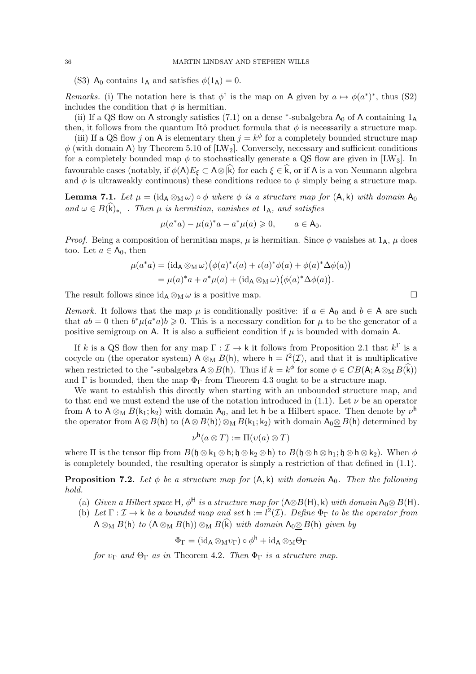(S3)  $A_0$  contains  $1_A$  and satisfies  $\phi(1_A) = 0$ .

Remarks. (i) The notation here is that  $\phi^{\dagger}$  is the map on A given by  $a \mapsto \phi(a^*)^*$ , thus (S2) includes the condition that  $\phi$  is hermitian.

(ii) If a QS flow on A strongly satisfies (7.1) on a dense  $*$ -subalgebra  $A_0$  of A containing  $1_A$ then, it follows from the quantum Itô product formula that  $\phi$  is necessarily a structure map.

(iii) If a QS flow j on A is elementary then  $j = k^{\phi}$  for a completely bounded structure map  $\phi$  (with domain A) by Theorem 5.10 of [LW<sub>2</sub>]. Conversely, necessary and sufficient conditions for a completely bounded map  $\phi$  to stochastically generate a QS flow are given in [LW<sub>3</sub>]. In favourable cases (notably, if  $\phi(A)E_{\xi} \subset A\otimes \hat{k}$ ) for each  $\xi \in \hat{k}$ , or if A is a von Neumann algebra and  $\phi$  is ultraweakly continuous) these conditions reduce to  $\phi$  simply being a structure map.

**Lemma 7.1.** Let  $\mu = (\mathrm{id}_A \otimes_M \omega) \circ \phi$  where  $\phi$  is a structure map for  $(A, k)$  with domain  $A_0$ and  $\omega \in B(\mathbf{k})_{*,+}$ . Then  $\mu$  is hermitian, vanishes at 1<sub>A</sub>, and satisfies

$$
\mu(a^*a) - \mu(a)^*a - a^*\mu(a) \ge 0, \qquad a \in A_0.
$$

*Proof.* Being a composition of hermitian maps,  $\mu$  is hermitian. Since  $\phi$  vanishes at  $1_A$ ,  $\mu$  does too. Let  $a \in A_0$ , then

$$
\mu(a^*a) = (\mathrm{id}_A \otimes_M \omega) \big( \phi(a)^* \iota(a) + \iota(a)^* \phi(a) + \phi(a)^* \Delta \phi(a) \big)
$$
  
= 
$$
\mu(a)^*a + a^* \mu(a) + (\mathrm{id}_A \otimes_M \omega) \big( \phi(a)^* \Delta \phi(a) \big).
$$

The result follows since  $id_A \otimes_M \omega$  is a positive map.  $\Box$ 

Remark. It follows that the map  $\mu$  is conditionally positive: if  $a \in A_0$  and  $b \in A$  are such that  $ab = 0$  then  $b^*\mu(a^*a)b \geq 0$ . This is a necessary condition for  $\mu$  to be the generator of a positive semigroup on A. It is also a sufficient condition if  $\mu$  is bounded with domain A.

If k is a QS flow then for any map  $\Gamma : \mathcal{I} \to \mathsf{k}$  it follows from Proposition 2.1 that  $k^{\Gamma}$  is a cocycle on (the operator system)  $A \otimes_M B(h)$ , where  $h = l^2(\mathcal{I})$ , and that it is multiplicative when restricted to the <sup>\*</sup>-subalgebra  $A \otimes B(h)$ . Thus if  $k = k^{\phi}$  for some  $\phi \in CB(A; A \otimes_M B(\hat{k}))$ and  $\Gamma$  is bounded, then the map  $\Phi_{\Gamma}$  from Theorem 4.3 ought to be a structure map.

We want to establish this directly when starting with an unbounded structure map, and to that end we must extend the use of the notation introduced in (1.1). Let  $\nu$  be an operator from A to  $A \otimes_M B(k_1; k_2)$  with domain  $A_0$ , and let h be a Hilbert space. Then denote by  $\nu^h$ the operator from  $A \otimes B(h)$  to  $(A \otimes B(h)) \otimes_M B(k_1; k_2)$  with domain  $A_0 \otimes B(h)$  determined by

$$
\nu^{\mathsf{h}}(a\otimes T) := \Pi(\nu(a)\otimes T)
$$

where  $\Pi$  is the tensor flip from  $B(\mathfrak{h} \otimes \mathfrak{k}_1 \otimes \mathfrak{h}; \mathfrak{h} \otimes \mathfrak{k}_2 \otimes \mathfrak{h})$  to  $B(\mathfrak{h} \otimes \mathfrak{h} \otimes \mathfrak{h} \otimes \mathfrak{h}; \mathfrak{h} \otimes \mathfrak{k}_2)$ . When  $\phi$ is completely bounded, the resulting operator is simply a restriction of that defined in (1.1).

**Proposition 7.2.** Let  $\phi$  be a structure map for  $(A, k)$  with domain  $A_0$ . Then the following hold.

- (a) Given a Hilbert space H,  $\phi^{\text{H}}$  is a structure map for  $(A \otimes B(H), k)$  with domain  $A_0 \otimes B(H)$ .
- (b) Let  $\Gamma : \mathcal{I} \to \mathsf{k}$  be a bounded map and set  $\mathsf{h} := l^2(\mathcal{I})$ . Define  $\Phi_{\Gamma}$  to be the operator from  $A \otimes_M B(h)$  to  $(A \otimes_M B(h)) \otimes_M B(\widehat{k})$  with domain  $A_0 \otimes B(h)$  given by

$$
\Phi_{\Gamma}=(\operatorname{id}_{\mathsf A}\otimes_{\mathsf M}v_{\Gamma})\circ\phi^{\mathsf h}+\operatorname{id}_{\mathsf A}\otimes_{\mathsf M}\Theta_{\Gamma}
$$

for  $v_{\Gamma}$  and  $\Theta_{\Gamma}$  as in Theorem 4.2. Then  $\Phi_{\Gamma}$  is a structure map.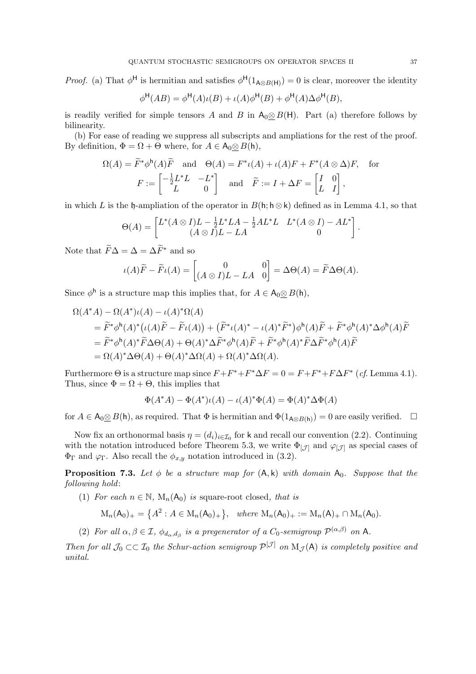*Proof.* (a) That  $\phi^H$  is hermitian and satisfies  $\phi^H(1_{A\otimes B(H)})=0$  is clear, moreover the identity

$$
\phi^{\mathsf{H}}(AB) = \phi^{\mathsf{H}}(A)\iota(B) + \iota(A)\phi^{\mathsf{H}}(B) + \phi^{\mathsf{H}}(A)\Delta\phi^{\mathsf{H}}(B),
$$

is readily verified for simple tensors A and B in  $A_0 \otimes B(H)$ . Part (a) therefore follows by bilinearity.

(b) For ease of reading we suppress all subscripts and ampliations for the rest of the proof. By definition,  $\Phi = \Omega + \Theta$  where, for  $A \in A_0 \otimes B(h)$ ,

$$
\Omega(A) = \widetilde{F}^* \phi^{\mathsf{h}}(A) \widetilde{F} \quad \text{and} \quad \Theta(A) = F^* \iota(A) + \iota(A) F + F^* (A \otimes \Delta) F, \quad \text{for}
$$

$$
F := \begin{bmatrix} -\frac{1}{2} L^* L & -L^* \\ L & 0 \end{bmatrix} \quad \text{and} \quad \widetilde{F} := I + \Delta F = \begin{bmatrix} I & 0 \\ L & I \end{bmatrix},
$$

in which L is the h-ampliation of the operator in  $B(h; h \otimes k)$  defined as in Lemma 4.1, so that

$$
\Theta(A) = \begin{bmatrix} L^*(A \otimes I)L - \frac{1}{2}L^*LA - \frac{1}{2}AL^*L & L^*(A \otimes I) - AL^* \\ (A \otimes I)L - LA & 0 \end{bmatrix}.
$$

Note that  $\widetilde{F}\Delta = \Delta = \Delta \widetilde{F}^*$  and so

$$
\iota(A)\widetilde{F} - \widetilde{F}\iota(A) = \begin{bmatrix} 0 & 0 \\ (A \otimes I)L - LA & 0 \end{bmatrix} = \Delta\Theta(A) = \widetilde{F}\Delta\Theta(A).
$$

Since  $\phi^{\mathsf{h}}$  is a structure map this implies that, for  $A \in \mathsf{A}_0 \underline{\otimes} B(\mathsf{h}),$ 

$$
\Omega(A^*A) - \Omega(A^*)\iota(A) - \iota(A)^*\Omega(A)
$$
  
=  $\tilde{F}^*\phi^h(A)^*(\iota(A)\tilde{F} - \tilde{F}\iota(A)) + (\tilde{F}^*\iota(A)^* - \iota(A)^*\tilde{F}^*)\phi^h(A)\tilde{F} + \tilde{F}^*\phi^h(A)^*\Delta\phi^h(A)\tilde{F}$   
=  $\tilde{F}^*\phi^h(A)^*\tilde{F}\Delta\Theta(A) + \Theta(A)^*\Delta\tilde{F}^*\phi^h(A)\tilde{F} + \tilde{F}^*\phi^h(A)^*\tilde{F}\Delta\tilde{F}^*\phi^h(A)\tilde{F}$   
=  $\Omega(A)^*\Delta\Theta(A) + \Theta(A)^*\Delta\Omega(A) + \Omega(A)^*\Delta\Omega(A)$ .

Furthermore  $\Theta$  is a structure map since  $F + F^* + F^* \Delta F = 0 = F + F^* + F \Delta F^*$  (cf. Lemma 4.1). Thus, since  $\Phi = \Omega + \Theta$ , this implies that

$$
\Phi(A^*A) - \Phi(A^*)\iota(A) - \iota(A)^*\Phi(A) = \Phi(A)^*\Delta\Phi(A)
$$

for  $A \in \mathsf{A}_0 \otimes B(\mathsf{h})$ , as required. That  $\Phi$  is hermitian and  $\Phi(1_{\mathsf{A} \otimes B(\mathsf{h})}) = 0$  are easily verified.  $\Box$ 

Now fix an orthonormal basis  $\eta = (d_i)_{i \in I_0}$  for k and recall our convention (2.2). Continuing with the notation introduced before Theorem 5.3, we write  $\Phi_{[\mathcal{J}]}$  and  $\varphi_{[\mathcal{J}]}$  as special cases of  $\Phi_{\Gamma}$  and  $\varphi_{\Gamma}$ . Also recall the  $\phi_{x,y}$  notation introduced in (3.2).

**Proposition 7.3.** Let  $\phi$  be a structure map for  $(A, k)$  with domain  $A_0$ . Suppose that the following hold:

(1) For each  $n \in \mathbb{N}$ ,  $M_n(A_0)$  is square-root closed, that is

$$
M_n(A_0)_+ = \left\{A^2 : A \in M_n(A_0)_+\right\}, \text{ where } M_n(A_0)_+ := M_n(A)_+ \cap M_n(A_0).
$$

(2) For all  $\alpha, \beta \in \mathcal{I}$ ,  $\phi_{d_{\alpha}, d_{\beta}}$  is a pregenerator of a  $C_0$ -semigroup  $\mathcal{P}^{(\alpha,\beta)}$  on A.

Then for all  $\mathcal{J}_0 \subset \subset \mathcal{I}_0$  the Schur-action semigroup  $\mathcal{P}^{[\mathcal{J}]}$  on  $M_{\mathcal{J}}(A)$  is completely positive and unital.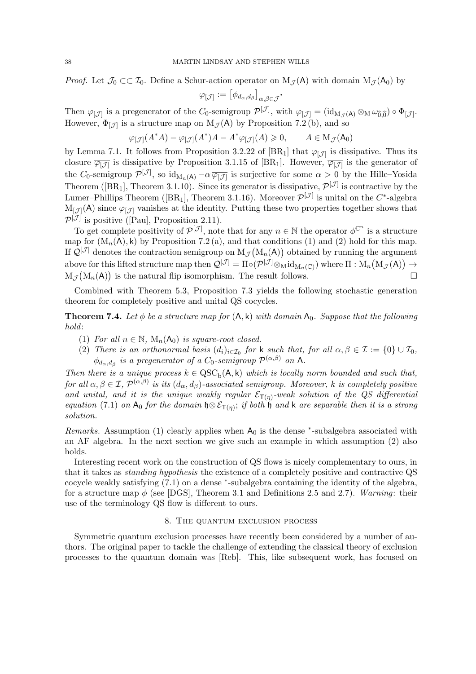*Proof.* Let  $\mathcal{J}_0 \subset \mathcal{I}_0$ . Define a Schur-action operator on  $M_{\mathcal{J}}(A)$  with domain  $M_{\mathcal{J}}(A_0)$  by

$$
\varphi_{[\mathcal{J}]}:=[\phi_{d_\alpha,d_\beta}]_{\alpha,\beta\in\mathcal{J}}\cdot
$$

Then  $\varphi_{[\mathcal{J}]}$  is a pregenerator of the  $C_0$ -semigroup  $\mathcal{P}^{[\mathcal{J}]}$ , with  $\varphi_{[\mathcal{J}]} = (\mathrm{id}_{M_{\mathcal{J}}(A)} \otimes_M \omega_{\widehat{0},\widehat{0}}) \circ \Phi_{[\mathcal{J}]}$ . However,  $\Phi_{[\mathcal{J}]}$  is a structure map on  $M_{\mathcal{J}}(A)$  by Proposition 7.2(b), and so

$$
\varphi_{[\mathcal{J}]}(A^*A) - \varphi_{[\mathcal{J}]}(A^*)A - A^*\varphi_{[\mathcal{J}]}(A) \ge 0, \qquad A \in \mathcal{M}_{\mathcal{J}}(\mathsf{A}_0)
$$

by Lemma 7.1. It follows from Proposition 3.2.22 of [BR<sub>1</sub>] that  $\varphi_{[\mathcal{J}]}$  is dissipative. Thus its closure  $\overline{\varphi_{[\mathcal{J}]}}$  is dissipative by Proposition 3.1.15 of [BR<sub>1</sub>]. However,  $\overline{\varphi_{[\mathcal{J}]}}$  is the generator of the C<sub>0</sub>-semigroup  $\mathcal{P}^{[\mathcal{J}]}$ , so  $\mathrm{id}_{M_n(\mathsf{A})} - \alpha \overline{\varphi_{[\mathcal{J}]}}$  is surjective for some  $\alpha > 0$  by the Hille–Yosida Theorem ([BR<sub>1</sub>], Theorem 3.1.10). Since its generator is dissipative,  $\mathcal{P}^{[\mathcal{J}]}$  is contractive by the Lumer–Phillips Theorem ([BR<sub>1</sub>], Theorem 3.1.16). Moreover  $\mathcal{P}^{[\mathcal{J}]}$  is unital on the  $C^*$ -algebra  $M_{\mathcal{J}}(A)$  since  $\varphi_{\mathcal{J}}$  vanishes at the identity. Putting these two properties together shows that  $\mathcal{P}^{[\mathcal{J}]}$  is positive ([Pau], Proposition 2.11).

To get complete positivity of  $\mathcal{P}^{[\mathcal{J}]}$ , note that for any  $n \in \mathbb{N}$  the operator  $\phi^{\mathbb{C}^n}$  is a structure map for  $(M_n(A), k)$  by Proposition 7.2 (a), and that conditions (1) and (2) hold for this map. If  $\mathcal{Q}^{[\mathcal{J}]}$  denotes the contraction semigroup on  $M_{\mathcal{J}}(M_n(A))$  obtained by running the argument above for this lifted structure map then  $\mathcal{Q}^{[\mathcal{J}]} = \Pi \circ (\mathcal{P}^{[\mathcal{J}]} \otimes_M \mathrm{id}_{M_n(\mathbb{C})})$  where  $\Pi : M_n\big(M_{\mathcal{J}}(A)\big) \to$  $M_{\mathcal{J}}(M_n(A))$  is the natural flip isomorphism. The result follows.

Combined with Theorem 5.3, Proposition 7.3 yields the following stochastic generation theorem for completely positive and unital QS cocycles.

**Theorem 7.4.** Let  $\phi$  be a structure map for  $(A, k)$  with domain  $A_0$ . Suppose that the following hold:

- (1) For all  $n \in \mathbb{N}$ ,  $M_n(A_0)$  is square-root closed.
- (2) There is an orthonormal basis  $(d_i)_{i \in I_0}$  for k such that, for all  $\alpha, \beta \in I := \{0\} \cup I_0$ ,  $\phi_{d_{\alpha}, d_{\beta}}$  is a pregenerator of a C<sub>0</sub>-semigroup  $\mathcal{P}^{(\alpha,\beta)}$  on A.

Then there is a unique process  $k \in \mathrm{QSC}_b(A, k)$  which is locally norm bounded and such that, for all  $\alpha,\beta\in\mathcal{I},$   $\mathcal{P}^{(\alpha,\beta)}$  is its  $(d_\alpha,d_\beta)$ -associated semigroup. Moreover, k is completely positive and unital, and it is the unique weakly regular  $\mathcal{E}_{\mathsf{T}(\eta)}$ -weak solution of the QS differential equation (7.1) on  $A_0$  for the domain  $\mathfrak{h} \otimes \mathcal{E}_{\mathsf{T}(\eta)}$ ; if both  $\mathfrak{h}$  and k are separable then it is a strong solution.

Remarks. Assumption (1) clearly applies when  $A_0$  is the dense  $*$ -subalgebra associated with an AF algebra. In the next section we give such an example in which assumption (2) also holds.

Interesting recent work on the construction of QS flows is nicely complementary to ours, in that it takes as standing hypothesis the existence of a completely positive and contractive QS cocycle weakly satisfying (7.1) on a dense <sup>∗</sup> -subalgebra containing the identity of the algebra, for a structure map  $\phi$  (see [DGS], Theorem 3.1 and Definitions 2.5 and 2.7). Warning: their use of the terminology QS flow is different to ours.

# 8. The quantum exclusion process

Symmetric quantum exclusion processes have recently been considered by a number of authors. The original paper to tackle the challenge of extending the classical theory of exclusion processes to the quantum domain was [Reb]. This, like subsequent work, has focused on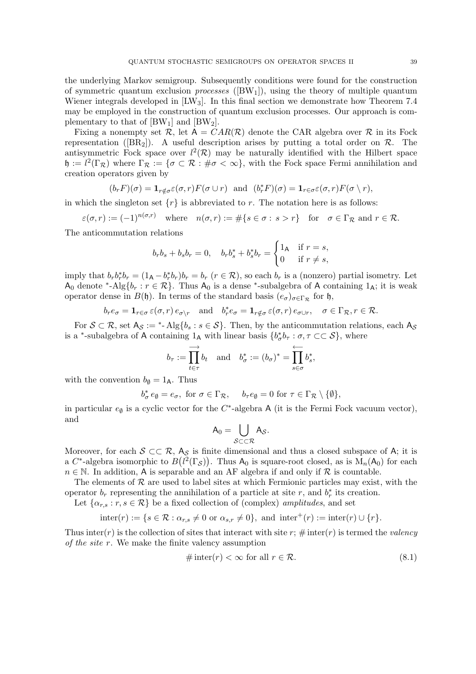the underlying Markov semigroup. Subsequently conditions were found for the construction of symmetric quantum exclusion *processes* ( $[BW_1]$ ), using the theory of multiple quantum Wiener integrals developed in  $[{\rm LW}_3]$ . In this final section we demonstrate how Theorem 7.4 may be employed in the construction of quantum exclusion processes. Our approach is complementary to that of  $[BW_1]$  and  $[BW_2]$ .

Fixing a nonempty set R, let  $A = CAR(R)$  denote the CAR algebra over R in its Fock representation ( $[BR_2]$ ). A useful description arises by putting a total order on  $\mathcal{R}$ . The antisymmetric Fock space over  $l^2(\mathcal{R})$  may be naturally identified with the Hilbert space  $\mathfrak{h} := l^2(\Gamma_{\mathcal{R}})$  where  $\Gamma_{\mathcal{R}} := {\sigma \subset \mathcal{R} : \# \sigma < \infty}$ , with the Fock space Fermi annihilation and creation operators given by

$$
(b_r F)(\sigma) = \mathbf{1}_{r \notin \sigma} \varepsilon(\sigma, r) F(\sigma \cup r)
$$
 and  $(b_r^* F)(\sigma) = \mathbf{1}_{r \in \sigma} \varepsilon(\sigma, r) F(\sigma \setminus r)$ ,

in which the singleton set  $\{r\}$  is abbreviated to r. The notation here is as follows:

$$
\varepsilon(\sigma, r) := (-1)^{n(\sigma, r)} \quad \text{where} \quad n(\sigma, r) := \#\{s \in \sigma : s > r\} \quad \text{for} \quad \sigma \in \Gamma_{\mathcal{R}} \text{ and } r \in \mathcal{R}.
$$

The anticommutation relations

$$
b_r b_s + b_s b_r = 0, \quad b_r b_s^* + b_s^* b_r = \begin{cases} 1_A & \text{if } r = s, \\ 0 & \text{if } r \neq s, \end{cases}
$$

imply that  $b_r b_r^* b_r = (1_A - b_r^* b_r) b_r = b_r$   $(r \in \mathcal{R})$ , so each  $b_r$  is a (nonzero) partial isometry. Let  $A_0$  denote \*-Alg $\{b_r : r \in \mathcal{R}\}$ . Thus  $A_0$  is a dense \*-subalgebra of A containing  $1_A$ ; it is weak operator dense in  $B(\mathfrak{h})$ . In terms of the standard basis  $(e_{\sigma})_{\sigma \in \Gamma_{\mathcal{R}}}$  for  $\mathfrak{h}$ ,

$$
b_r e_{\sigma} = \mathbf{1}_{r \in \sigma} \varepsilon(\sigma, r) e_{\sigma \setminus r}
$$
 and  $b_r^* e_{\sigma} = \mathbf{1}_{r \notin \sigma} \varepsilon(\sigma, r) e_{\sigma \cup r}$ ,  $\sigma \in \Gamma_{\mathcal{R}}, r \in \mathcal{R}$ .

For  $S \subset \mathcal{R}$ , set  $A_S :=$ \*-Alg $\{b_s : s \in S\}$ . Then, by the anticommutation relations, each  $A_S$ is a <sup>\*</sup>-subalgebra of A containing  $1_A$  with linear basis  $\{b^*_\sigma b_\tau : \sigma, \tau \subset\subset \mathcal{S}\}$ , where

$$
b_{\tau} := \prod_{t \in \tau} \phi_t
$$
 and  $b_{\sigma}^* := (b_{\sigma})^* = \prod_{s \in \sigma} b_s^*$ ,

with the convention  $b_{\emptyset} = 1_A$ . Thus

$$
b^*_{\sigma} e_{\emptyset} = e_{\sigma}, \text{ for } \sigma \in \Gamma_{\mathcal{R}}, \quad b_{\tau} e_{\emptyset} = 0 \text{ for } \tau \in \Gamma_{\mathcal{R}} \setminus \{\emptyset\},\
$$

in particular  $e_{\emptyset}$  is a cyclic vector for the C<sup>\*</sup>-algebra A (it is the Fermi Fock vacuum vector), and

$$
\mathsf{A}_0=\bigcup_{\mathcal{S}\subset\subset\mathcal{R}}\mathsf{A}_\mathcal{S}.
$$

Moreover, for each  $S \subset\subset \mathcal{R}$ ,  $A_S$  is finite dimensional and thus a closed subspace of A; it is a C<sup>\*</sup>-algebra isomorphic to  $B(l^2(\Gamma_{\mathcal{S}}))$ . Thus  $A_0$  is square-root closed, as is  $M_n(A_0)$  for each  $n \in \mathbb{N}$ . In addition, A is separable and an AF algebra if and only if R is countable.

The elements of  $R$  are used to label sites at which Fermionic particles may exist, with the operator  $b_r$  representing the annihilation of a particle at site r, and  $b_r^*$  its creation.

Let  $\{\alpha_{r,s} : r, s \in \mathcal{R}\}\$  be a fixed collection of (complex) amplitudes, and set

$$
inter(r) := \{ s \in \mathcal{R} : \alpha_{r,s} \neq 0 \text{ or } \alpha_{s,r} \neq 0 \}, \text{ and } inter^+(r) := inter(r) \cup \{r\}.
$$

Thus inter(r) is the collection of sites that interact with site r;  $\#$  inter(r) is termed the valency of the site r. We make the finite valency assumption

$$
\# \operatorname{inter}(r) < \infty \text{ for all } r \in \mathcal{R}.\tag{8.1}
$$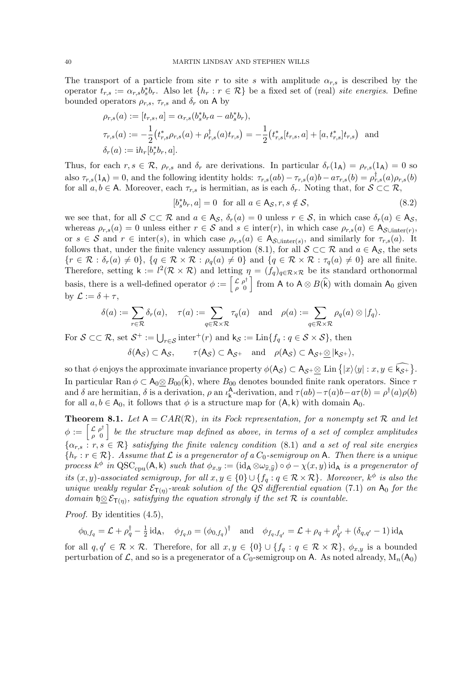The transport of a particle from site r to site s with amplitude  $\alpha_{r,s}$  is described by the operator  $t_{r,s} := \alpha_{r,s} b_s^* b_r$ . Also let  $\{h_r : r \in \mathcal{R}\}$  be a fixed set of (real) site energies. Define bounded operators  $\rho_{r,s}$ ,  $\tau_{r,s}$  and  $\delta_r$  on A by

$$
\rho_{r,s}(a) := [t_{r,s}, a] = \alpha_{r,s}(b_s^* b_r a - a b_s^* b_r),
$$
  
\n
$$
\tau_{r,s}(a) := -\frac{1}{2} (t_{r,s}^* \rho_{r,s}(a) + \rho_{r,s}^{\dagger}(a) t_{r,s}) = -\frac{1}{2} (t_{r,s}^* [t_{r,s}, a] + [a, t_{r,s}^*] t_{r,s})
$$
 and  
\n
$$
\delta_r(a) := i h_r [b_r^* b_r, a].
$$

Thus, for each  $r, s \in \mathcal{R}$ ,  $\rho_{r,s}$  and  $\delta_r$  are derivations. In particular  $\delta_r(1_A) = \rho_{r,s}(1_A) = 0$  so also  $\tau_{r,s}(1_A) = 0$ , and the following identity holds:  $\tau_{r,s}(ab) - \tau_{r,s}(a)b - a\tau_{r,s}(b) = \rho_{r,s}^{\dagger}(a)\rho_{r,s}(b)$ for all  $a, b \in A$ . Moreover, each  $\tau_{r,s}$  is hermitian, as is each  $\delta_r$ . Noting that, for  $S \subset\subset \mathcal{R}$ ,

$$
[b_s^*b_r, a] = 0 \text{ for all } a \in \mathsf{A}_{\mathcal{S}}, r, s \notin \mathcal{S},
$$
\n
$$
(8.2)
$$

we see that, for all  $S \subset\subset \mathcal{R}$  and  $a \in A_{\mathcal{S}}, \delta_r(a) = 0$  unless  $r \in \mathcal{S}$ , in which case  $\delta_r(a) \in A_{\mathcal{S}}$ , whereas  $\rho_{r,s}(a) = 0$  unless either  $r \in S$  and  $s \in \text{inter}(r)$ , in which case  $\rho_{r,s}(a) \in A_{S\cup \text{inter}(r)}$ , or  $s \in \mathcal{S}$  and  $r \in \text{inter}(s)$ , in which case  $\rho_{r,s}(a) \in A_{\mathcal{S} \cup \text{inter}(s)}$ , and similarly for  $\tau_{r,s}(a)$ . It follows that, under the finite valency assumption (8.1), for all  $S \subset\subset \mathcal{R}$  and  $a \in A_{\mathcal{S}}$ , the sets  ${r \in \mathcal{R} : \delta_r(a) \neq 0}, \{q \in \mathcal{R} \times \mathcal{R} : \rho_q(a) \neq 0\} \text{ and } \{q \in \mathcal{R} \times \mathcal{R} : \tau_q(a) \neq 0\} \text{ are all finite.}$ Therefore, setting  $\mathsf{k} := l^2(\mathcal{R} \times \mathcal{R})$  and letting  $\eta = (f_q)_{q \in \mathcal{R} \times \mathcal{R}}$  be its standard orthonormal basis, there is a well-defined operator  $\phi := \begin{bmatrix} \mathcal{L} & \rho^{\dagger} \\ 0 & 0 \end{bmatrix}$  $\begin{bmatrix} \mathcal{L} & \rho^{\dagger} \\ \rho & 0 \end{bmatrix}$  from A to A  $\otimes$  B(k) with domain A<sub>0</sub> given by  $\mathcal{L} := \delta + \tau$ ,

$$
\delta(a) := \sum_{r \in \mathcal{R}} \delta_r(a), \quad \tau(a) := \sum_{q \in \mathcal{R} \times \mathcal{R}} \tau_q(a) \quad \text{and} \quad \rho(a) := \sum_{q \in \mathcal{R} \times \mathcal{R}} \rho_q(a) \otimes |f_q\rangle.
$$

For  $S \subset\subset \mathcal{R}$ , set  $S^+ := \bigcup_{r\in S} \text{inter}^+(r)$  and  $k_S := \text{Lin}\lbrace f_q : q \in S \times S \rbrace$ , then

$$
\delta(A_{\mathcal{S}}) \subset A_{\mathcal{S}}, \qquad \tau(A_{\mathcal{S}}) \subset A_{\mathcal{S}^+} \quad \text{and} \quad \rho(A_{\mathcal{S}}) \subset A_{\mathcal{S}^+} \underline{\otimes} |k_{\mathcal{S}^+}\rangle,
$$

so that  $\phi$  enjoys the approximate invariance property  $\phi(A_{\mathcal{S}}) \subset A_{\mathcal{S}} + \underline{\otimes}$  Lin  $\{|x\rangle\langle y| : x, y \in k_{\mathcal{S}}+\}.$ In particular Ran  $\phi \subset A_0 \otimes B_{00}(\widehat{k})$ , where  $B_{00}$  denotes bounded finite rank operators. Since  $\tau$ and  $\delta$  are hermitian,  $\delta$  is a derivation,  $\rho$  an  $\iota_{\mathsf{k}}^{\mathsf{A}}$ -derivation, and  $\tau(ab) - \tau(a)b - a\tau(b) = \rho^{\dagger}(a)\rho(b)$ for all  $a, b \in A_0$ , it follows that  $\phi$  is a structure map for  $(A, k)$  with domain  $A_0$ .

**Theorem 8.1.** Let  $A = CAR(R)$ , in its Fock representation, for a nonempty set R and let  $\phi := \left[ \begin{smallmatrix} \mathcal{L} & \rho^{\dagger} \\ \rho & 0 \end{smallmatrix} \right]$  $\begin{bmatrix} \mathcal{L} & \rho^{\dagger} \ \rho^{\dagger} & 0 \end{bmatrix}$  be the structure map defined as above, in terms of a set of complex amplitudes  $\{\alpha_{r,s} : r,s \in \mathcal{R}\}\$  satisfying the finite valency condition (8.1) and a set of real site energies  $\{h_r : r \in \mathcal{R}\}\$ . Assume that  $\mathcal L$  is a pregenerator of a  $C_0$ -semigroup on A. Then there is a unique process  $k^{\phi}$  in QSC<sub>cpu</sub>(A, k) such that  $\phi_{x,y} := (\mathrm{id}_{A} \otimes \omega_{\widehat{x},\widehat{y}}) \circ \phi - \chi(x,y) \mathrm{id}_{A}$  is a pregenerator of its  $(x, y)$ -associated semigroup, for all  $x, y \in \{0\} \cup \{f_q : q \in \mathcal{R} \times \mathcal{R}\}\$ . Moreover,  $k^{\phi}$  is also the unique weakly regular  $\mathcal{E}_{\mathsf{T}(\eta)}$ -weak solution of the QS differential equation (7.1) on  $A_0$  for the domain  $\mathfrak{h} \underline{\otimes} \mathcal{E}_{\mathsf{T}(\eta)}$ , satisfying the equation strongly if the set  $\mathcal R$  is countable.

Proof. By identities  $(4.5)$ ,

$$
\phi_{0,f_q} = \mathcal{L} + \rho_q^{\dagger} - \frac{1}{2} \mathrm{id}_A, \quad \phi_{f_q,0} = (\phi_{0,f_q})^{\dagger} \quad \text{and} \quad \phi_{f_q,f_{q'}} = \mathcal{L} + \rho_q + \rho_{q'}^{\dagger} + (\delta_{q,q'} - 1) \mathrm{id}_A
$$

for all  $q, q' \in \mathcal{R} \times \mathcal{R}$ . Therefore, for all  $x, y \in \{0\} \cup \{f_q : q \in \mathcal{R} \times \mathcal{R}\}, \phi_{x,y}$  is a bounded perturbation of  $\mathcal{L}$ , and so is a pregenerator of a  $C_0$ -semigroup on A. As noted already,  $M_n(A_0)$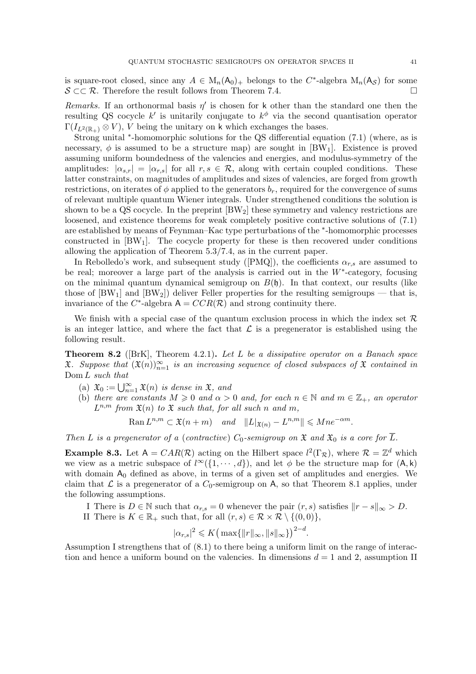is square-root closed, since any  $A \in M_n(\mathsf{A}_0)_+$  belongs to the  $C^*$ -algebra  $M_n(\mathsf{A}_{\mathcal{S}})$  for some  $S \subset \mathcal{R}$ . Therefore the result follows from Theorem 7.4.

Remarks. If an orthonormal basis  $\eta'$  is chosen for k other than the standard one then the resulting QS cocycle k' is unitarily conjugate to  $k^{\phi}$  via the second quantisation operator  $\Gamma(I_{L^2(\mathbb{R}_+)} \otimes V)$ , V being the unitary on k which exchanges the bases.

Strong unital <sup>∗</sup> -homomorphic solutions for the QS differential equation (7.1) (where, as is necessary,  $\phi$  is assumed to be a structure map) are sought in [BW<sub>1</sub>]. Existence is proved assuming uniform boundedness of the valencies and energies, and modulus-symmetry of the amplitudes:  $|\alpha_{s,r}| = |\alpha_{r,s}|$  for all  $r, s \in \mathcal{R}$ , along with certain coupled conditions. These latter constraints, on magnitudes of amplitudes and sizes of valencies, are forged from growth restrictions, on iterates of  $\phi$  applied to the generators  $b_r$ , required for the convergence of sums of relevant multiple quantum Wiener integrals. Under strengthened conditions the solution is shown to be a QS cocycle. In the preprint  $|BW_2|$  these symmetry and valency restrictions are loosened, and existence theorems for weak completely positive contractive solutions of (7.1) are established by means of Feynman–Kac type perturbations of the <sup>∗</sup> -homomorphic processes constructed in  $[BW_1]$ . The cocycle property for these is then recovered under conditions allowing the application of Theorem 5.3/7.4, as in the current paper.

In Rebolledo's work, and subsequent study ([PMQ]), the coefficients  $\alpha_{r,s}$  are assumed to be real; moreover a large part of the analysis is carried out in the  $W^*$ -category, focusing on the minimal quantum dynamical semigroup on  $B(\mathfrak{h})$ . In that context, our results (like those of  $[BW_1]$  and  $[BW_2]$  deliver Feller properties for the resulting semigroups — that is, invariance of the C<sup>\*</sup>-algebra  $A = CCR(R)$  and strong continuity there.

We finish with a special case of the quantum exclusion process in which the index set  $\mathcal R$ is an integer lattice, and where the fact that  $\mathcal L$  is a pregenerator is established using the following result.

**Theorem 8.2** ( $[BrK]$ , Theorem 4.2.1). Let L be a dissipative operator on a Banach space **X.** Suppose that  $(\mathfrak{X}(n))_{n=1}^{\infty}$  is an increasing sequence of closed subspaces of X contained in Dom L such that

- (a)  $\mathfrak{X}_0 := \bigcup_{n=1}^{\infty} \mathfrak{X}(n)$  is dense in  $\mathfrak{X}$ , and
- (b) there are constants  $M \geq 0$  and  $\alpha > 0$  and, for each  $n \in \mathbb{N}$  and  $m \in \mathbb{Z}_+$ , an operator  $L^{n,m}$  from  $\mathfrak{X}(n)$  to  $\mathfrak{X}$  such that, for all such n and m,

Ran $L^{n,m} \subset \mathfrak{X}(n+m)$  and  $||L|_{\mathfrak{X}(n)} - L^{n,m}|| \leqslant Mne^{-\alpha m}$ .

Then L is a pregenerator of a (contractive)  $C_0$ -semigroup on  $\mathfrak X$  and  $\mathfrak X_0$  is a core for  $\overline{L}$ .

**Example 8.3.** Let  $A = CAR(R)$  acting on the Hilbert space  $l^2(\Gamma_R)$ , where  $R = \mathbb{Z}^d$  which we view as a metric subspace of  $l^{\infty}(\{1, \dots, d\})$ , and let  $\phi$  be the structure map for  $(A, k)$ with domain  $A_0$  defined as above, in terms of a given set of amplitudes and energies. We claim that  $\mathcal L$  is a pregenerator of a  $C_0$ -semigroup on A, so that Theorem 8.1 applies, under the following assumptions.

I There is  $D \in \mathbb{N}$  such that  $\alpha_{r,s} = 0$  whenever the pair  $(r, s)$  satisfies  $||r - s||_{\infty} > D$ .

.

II There is  $K \in \mathbb{R}_+$  such that, for all  $(r, s) \in \mathcal{R} \times \mathcal{R} \setminus \{(0, 0)\},$ 

$$
|\alpha_{r,s}|^2 \leqslant K\big(\max\{\|r\|_{\infty},\|s\|_{\infty}\}\big)^{2-d}
$$

Assumption I strengthens that of (8.1) to there being a uniform limit on the range of interaction and hence a uniform bound on the valencies. In dimensions  $d = 1$  and 2, assumption II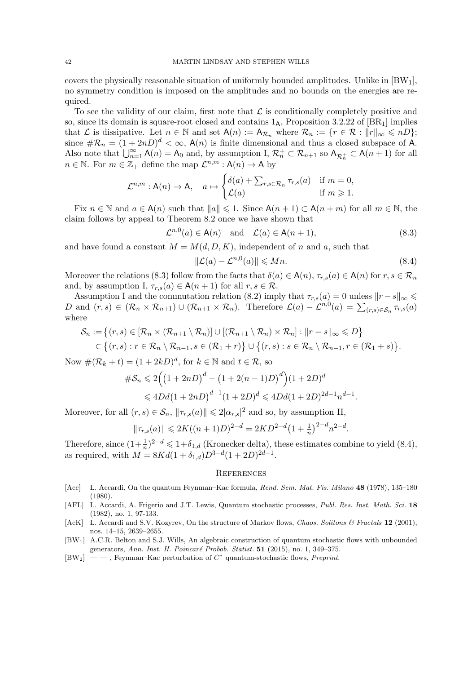covers the physically reasonable situation of uniformly bounded amplitudes. Unlike in [BW1], no symmetry condition is imposed on the amplitudes and no bounds on the energies are required.

To see the validity of our claim, first note that  $\mathcal L$  is conditionally completely positive and so, since its domain is square-root closed and contains  $1_A$ , Proposition 3.2.22 of [BR<sub>1</sub>] implies that L is dissipative. Let  $n \in \mathbb{N}$  and set  $A(n) := A_{\mathcal{R}_n}$  where  $\mathcal{R}_n := \{r \in \mathcal{R} : ||r||_{\infty} \leqslant nD\};$ since  $\#\mathcal{R}_n = (1+2nD)^d < \infty$ ,  $\mathsf{A}(n)$  is finite dimensional and thus a closed subspace of A. Also note that  $\bigcup_{n=1}^{\infty} A(n) = A_0$  and, by assumption I,  $\mathcal{R}_n^+ \subset \mathcal{R}_{n+1}$  so  $A_{\mathcal{R}_n^+} \subset A(n+1)$  for all  $n \in \mathbb{N}$ . For  $m \in \mathbb{Z}_+$  define the map  $\mathcal{L}^{n,m} : \mathsf{A}(n) \to \mathsf{A}$  by

$$
\mathcal{L}^{n,m} : \mathsf{A}(n) \to \mathsf{A}, \quad a \mapsto \begin{cases} \delta(a) + \sum_{r,s \in \mathcal{R}_n} \tau_{r,s}(a) & \text{if } m = 0, \\ \mathcal{L}(a) & \text{if } m \geqslant 1. \end{cases}
$$

Fix  $n \in \mathbb{N}$  and  $a \in A(n)$  such that  $||a|| \leq 1$ . Since  $A(n + 1) \subset A(n + m)$  for all  $m \in \mathbb{N}$ , the claim follows by appeal to Theorem 8.2 once we have shown that

$$
\mathcal{L}^{n,0}(a) \in \mathsf{A}(n) \quad \text{and} \quad \mathcal{L}(a) \in \mathsf{A}(n+1), \tag{8.3}
$$

and have found a constant  $M = M(d, D, K)$ , independent of n and a, such that

$$
\|\mathcal{L}(a) - \mathcal{L}^{n,0}(a)\| \le Mn.
$$
\n(8.4)

Moreover the relations (8.3) follow from the facts that  $\delta(a) \in A(n)$ ,  $\tau_{r,s}(a) \in A(n)$  for  $r, s \in \mathcal{R}_n$ and, by assumption I,  $\tau_{r,s}(a) \in A(n+1)$  for all  $r, s \in \mathcal{R}$ .

Assumption I and the commutation relation (8.2) imply that  $\tau_{r,s}(a) = 0$  unless  $||r - s||_{\infty} \le$ D and  $(r, s) \in (\mathcal{R}_n \times \mathcal{R}_{n+1}) \cup (\mathcal{R}_{n+1} \times \mathcal{R}_n)$ . Therefore  $\mathcal{L}(a) - \mathcal{L}^{n,0}(a) = \sum_{(r,s) \in \mathcal{S}_n} \tau_{r,s}(a)$ where

$$
\mathcal{S}_n := \left\{ (r,s) \in [\mathcal{R}_n \times (\mathcal{R}_{n+1} \setminus \mathcal{R}_n)] \cup [(\mathcal{R}_{n+1} \setminus \mathcal{R}_n) \times \mathcal{R}_n] : ||r - s||_{\infty} \leq D \right\}
$$
  

$$
\subset \left\{ (r,s) : r \in \mathcal{R}_n \setminus \mathcal{R}_{n-1}, s \in (\mathcal{R}_1 + r) \right\} \cup \left\{ (r,s) : s \in \mathcal{R}_n \setminus \mathcal{R}_{n-1}, r \in (\mathcal{R}_1 + s) \right\}.
$$

Now  $\#(\mathcal{R}_k + t) = (1 + 2kD)^d$ , for  $k \in \mathbb{N}$  and  $t \in \mathcal{R}$ , so

$$
\#S_n \leq 2\Big( \big(1+2nD\big)^d - \big(1+2(n-1)D\big)^d \Big) \big(1+2D\big)^d
$$
  

$$
\leq 4Dd\big(1+2nD\big)^{d-1} \big(1+2D\big)^d \leq 4Dd\big(1+2D\big)^{2d-1}n^{d-1}.
$$

Moreover, for all  $(r, s) \in \mathcal{S}_n$ ,  $\|\tau_{r,s}(a)\| \leq 2|\alpha_{r,s}|^2$  and so, by assumption II,

$$
\|\tau_{r,s}(a)\| \leq 2K((n+1)D)^{2-d} = 2KD^{2-d}(1+\frac{1}{n})^{2-d}n^{2-d}.
$$

Therefore, since  $(1+\frac{1}{n})^{2-d} \leq 1+\delta_{1,d}$  (Kronecker delta), these estimates combine to yield (8.4), as required, with  $M = 8Kd(1 + \delta_{1,d})D^{3-d}(1 + 2D)^{2d-1}$ .

#### **REFERENCES**

- [Acc] L. Accardi, On the quantum Feynman–Kac formula, Rend. Sem. Mat. Fis. Milano 48 (1978), 135–180 (1980).
- [AFL] L. Accardi, A. Frigerio and J.T. Lewis, Quantum stochastic processes, Publ. Res. Inst. Math. Sci. 18 (1982), no. 1, 97-133.
- [AcK] L. Accardi and S.V. Kozyrev, On the structure of Markov flows, Chaos, Solitons & Fractals 12 (2001), nos. 14–15, 2639–2655.
- [BW1] A.C.R. Belton and S.J. Wills, An algebraic construction of quantum stochastic flows with unbounded generators, Ann. Inst. H. Poincaré Probab. Statist. 51 (2015), no. 1, 349-375.
- $[BW_2] \ \ \text{---}$ , Feynman–Kac perturbation of  $C^*$  quantum-stochastic flows, Preprint.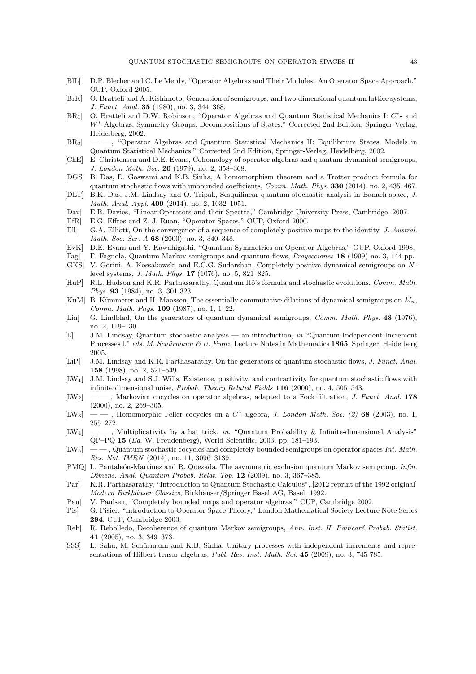- [BlL] D.P. Blecher and C. Le Merdy, "Operator Algebras and Their Modules: An Operator Space Approach," OUP, Oxford 2005.
- [BrK] O. Bratteli and A. Kishimoto, Generation of semigroups, and two-dimensional quantum lattice systems, J. Funct. Anal. 35 (1980), no. 3, 344–368.
- [BR<sub>1</sub>] O. Bratteli and D.W. Robinson, "Operator Algebras and Quantum Statistical Mechanics I:  $C^*$  and W<sup>∗</sup> -Algebras, Symmetry Groups, Decompositions of States," Corrected 2nd Edition, Springer-Verlag, Heidelberg, 2002.
- [BR2] — , "Operator Algebras and Quantum Statistical Mechanics II: Equilibrium States. Models in Quantum Statistical Mechanics," Corrected 2nd Edition, Springer-Verlag, Heidelberg, 2002.
- [ChE] E. Christensen and D.E. Evans, Cohomology of operator algebras and quantum dynamical semigroups, J. London Math. Soc. 20 (1979), no. 2, 358–368.
- [DGS] B. Das, D. Goswami and K.B. Sinha, A homomorphism theorem and a Trotter product formula for quantum stochastic flows with unbounded coefficients, *Comm. Math. Phys.* 330 (2014), no. 2, 435–467.
- [DLT] B.K. Das, J.M. Lindsay and O. Tripak, Sesquilinear quantum stochastic analysis in Banach space, J. Math. Anal. Appl. 409 (2014), no. 2, 1032–1051.
- [Dav] E.B. Davies, "Linear Operators and their Spectra," Cambridge University Press, Cambridge, 2007.
- [EfR] E.G. Effros and Z.-J. Ruan, "Operator Spaces," OUP, Oxford 2000. [Ell] G.A. Elliott, On the convergence of a sequence of completely positive maps to the identity, J. Austral. Math. Soc. Ser. A 68 (2000), no. 3, 340-348.
- [EvK] D.E. Evans and Y. Kawahigashi, "Quantum Symmetries on Operator Algebras," OUP, Oxford 1998.
- [Fag] F. Fagnola, Quantum Markov semigroups and quantum flows, Proyecciones 18 (1999) no. 3, 144 pp.
- [GKS] V. Gorini, A. Kossakowski and E.C.G. Sudarshan, Completely positive dynamical semigroups on Nlevel systems, J. Math. Phys. 17 (1076), no. 5, 821–825.
- [HuP] R.L. Hudson and K.R. Parthasarathy, Quantum Itô's formula and stochastic evolutions, Comm. Math. Phys. 93 (1984), no. 3, 301-323.
- [KuM] B. Kümmerer and H. Maassen, The essentially commutative dilations of dynamical semigroups on  $M_n$ , Comm. Math. Phys. 109 (1987), no. 1, 1–22.
- [Lin] G. Lindblad, On the generators of quantum dynamical semigroups, *Comm. Math. Phys.* **48** (1976), no. 2, 119–130.
- [L] J.M. Lindsay, Quantum stochastic analysis an introduction, in "Quantum Independent Increment Processes I," eds. M. Schürmann & U. Franz, Lecture Notes in Mathematics 1865, Springer, Heidelberg 2005.
- [LiP] J.M. Lindsay and K.R. Parthasarathy, On the generators of quantum stochastic flows, J. Funct. Anal. 158 (1998), no. 2, 521–549.
- [LW1] J.M. Lindsay and S.J. Wills, Existence, positivity, and contractivity for quantum stochastic flows with infinite dimensional noise, Probab. Theory Related Fields 116 (2000), no. 4, 505–543.
- $[LW_2] \ \ \ \ \$ , Markovian cocycles on operator algebras, adapted to a Fock filtration, J. Funct. Anal. 178 (2000), no. 2, 269–305.
- [LW<sub>3</sub>] —, Homomorphic Feller cocycles on a  $C^*$ -algebra, *J. London Math. Soc.* (2) 68 (2003), no. 1, 255–272.
- $[LW_4] \t—$ , Multiplicativity by a hat trick, in, "Quantum Probability & Infinite-dimensional Analysis" QP–PQ 15 (Ed. W. Freudenberg), World Scientific, 2003, pp. 181–193.
- $[LW_5] \quad \quad$ , Quantum stochastic cocycles and completely bounded semigroups on operator spaces Int. Math. Res. Not. IMRN (2014), no. 11, 3096–3139.
- [PMQ] L. Pantaleón-Martinez and R. Quezada, The asymmetric exclusion quantum Markov semigroup, *Infin.* Dimens. Anal. Quantum Probab. Relat. Top. 12 (2009), no. 3, 367–385.
- [Par] K.R. Parthasarathy, "Introduction to Quantum Stochastic Calculus", [2012 reprint of the 1992 original] Modern Birkhäuser Classics, Birkhäuser/Springer Basel AG, Basel, 1992.
- [Pau] V. Paulsen, "Completely bounded maps and operator algebras," CUP, Cambridge 2002.
- [Pis] G. Pisier, "Introduction to Operator Space Theory," London Mathematical Society Lecture Note Series 294, CUP, Cambridge 2003.
- [Reb] R. Rebolledo, Decoherence of quantum Markov semigroups, Ann. Inst. H. Poincaré Probab. Statist. 41 (2005), no. 3, 349–373.
- [SSS] L. Sahu, M. Schürmann and K.B. Sinha, Unitary processes with independent increments and representations of Hilbert tensor algebras, Publ. Res. Inst. Math. Sci. 45 (2009), no. 3, 745-785.